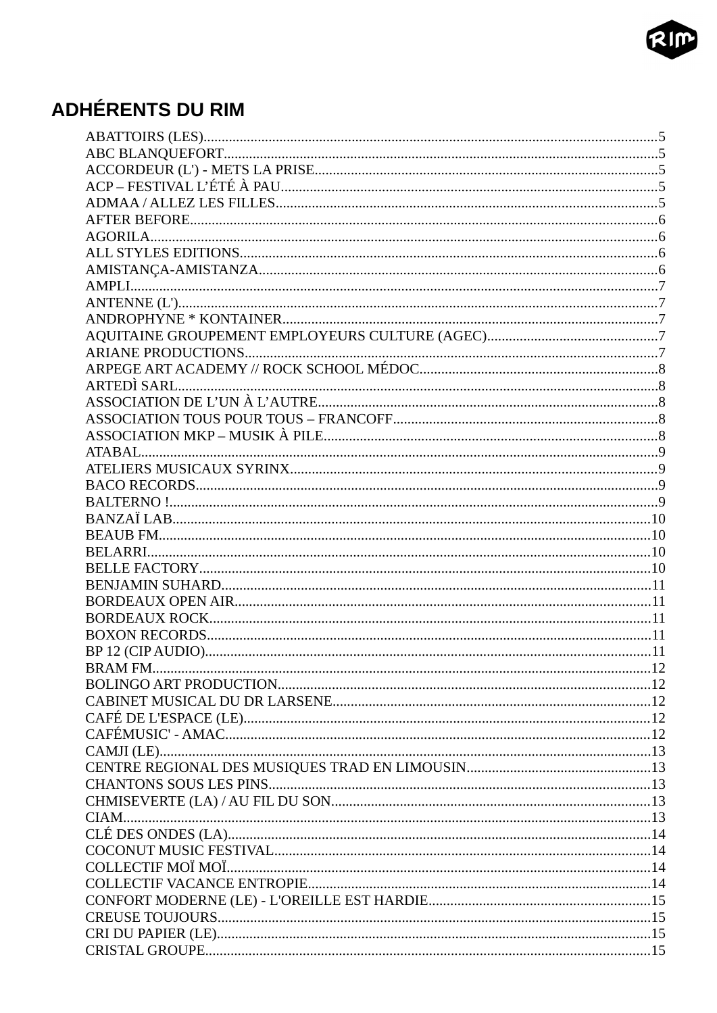

### **ADHÉRENTS DU RIM**

| <b>BRAM FM.</b> | .12 |
|-----------------|-----|
|                 |     |
|                 |     |
|                 |     |
|                 |     |
|                 |     |
|                 |     |
|                 |     |
|                 |     |
|                 |     |
|                 |     |
|                 |     |
|                 |     |
|                 |     |
|                 |     |
|                 |     |
|                 |     |
|                 |     |
|                 |     |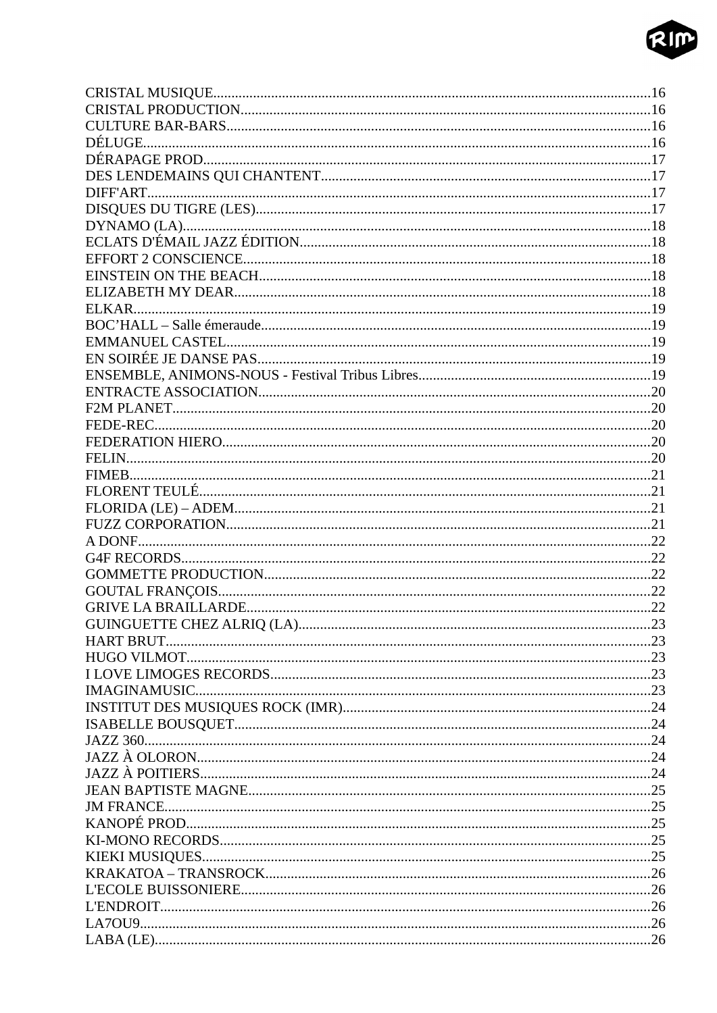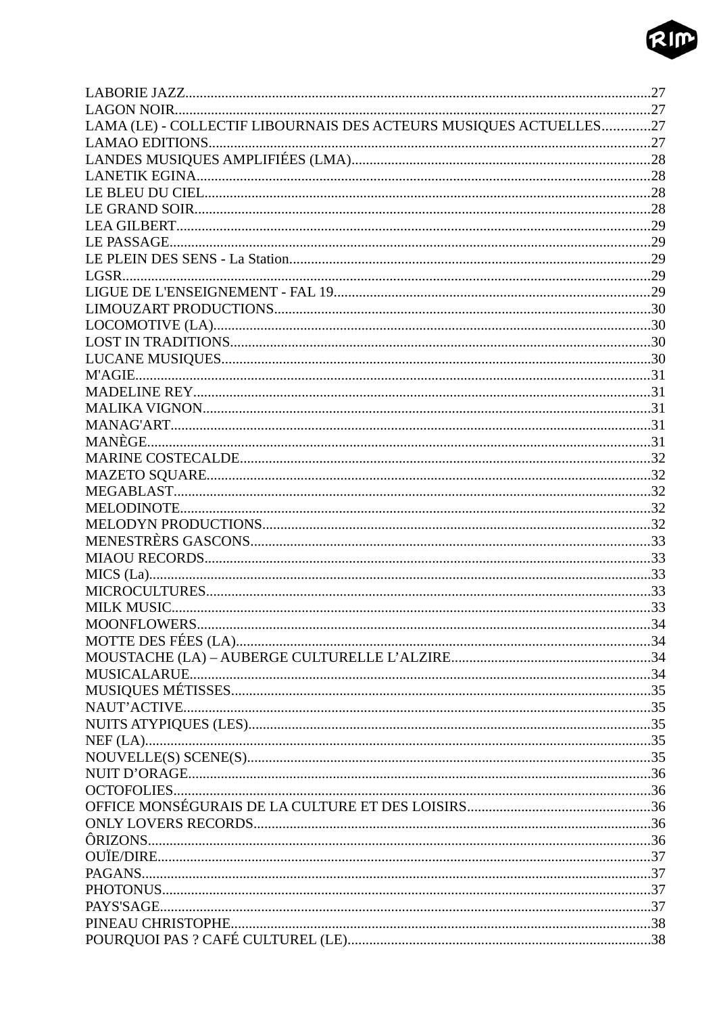

| LAMA (LE) - COLLECTIF LIBOURNAIS DES ACTEURS MUSIQUES ACTUELLES27 |  |
|-------------------------------------------------------------------|--|
|                                                                   |  |
|                                                                   |  |
|                                                                   |  |
|                                                                   |  |
|                                                                   |  |
|                                                                   |  |
|                                                                   |  |
|                                                                   |  |
|                                                                   |  |
|                                                                   |  |
|                                                                   |  |
|                                                                   |  |
|                                                                   |  |
|                                                                   |  |
|                                                                   |  |
|                                                                   |  |
|                                                                   |  |
|                                                                   |  |
|                                                                   |  |
|                                                                   |  |
|                                                                   |  |
|                                                                   |  |
|                                                                   |  |
|                                                                   |  |
|                                                                   |  |
|                                                                   |  |
|                                                                   |  |
|                                                                   |  |
|                                                                   |  |
|                                                                   |  |
|                                                                   |  |
|                                                                   |  |
|                                                                   |  |
|                                                                   |  |
|                                                                   |  |
|                                                                   |  |
|                                                                   |  |
|                                                                   |  |
|                                                                   |  |
|                                                                   |  |
|                                                                   |  |
|                                                                   |  |
|                                                                   |  |
|                                                                   |  |
|                                                                   |  |
|                                                                   |  |
|                                                                   |  |
|                                                                   |  |
|                                                                   |  |
|                                                                   |  |
|                                                                   |  |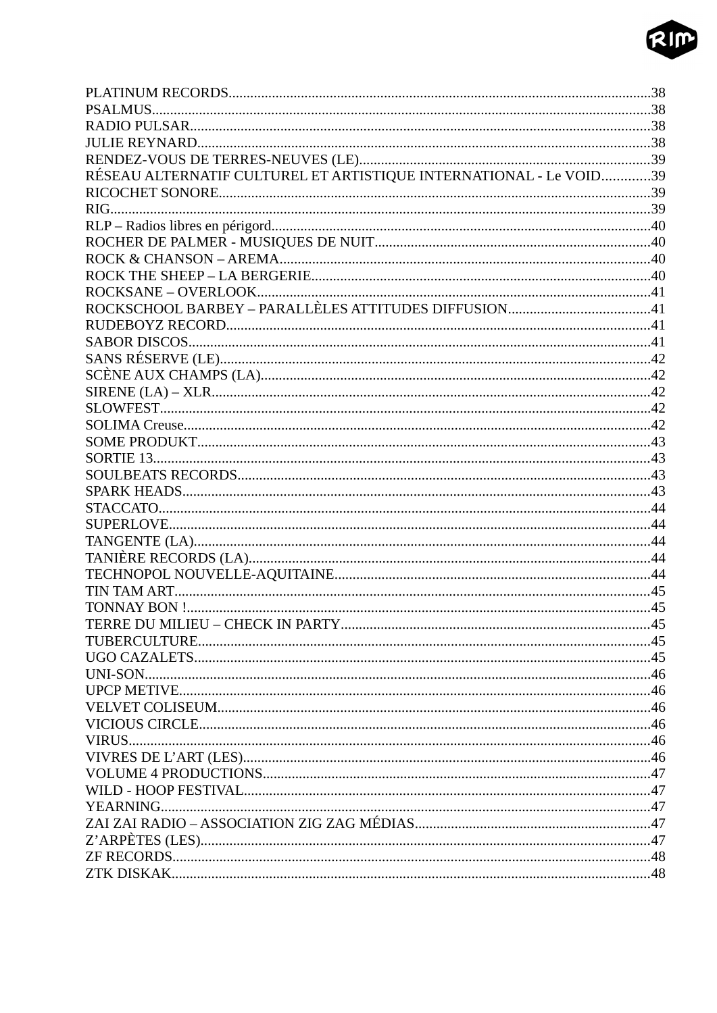

| RÉSEAU ALTERNATIF CULTUREL ET ARTISTIQUE INTERNATIONAL - Le VOID39 |  |
|--------------------------------------------------------------------|--|
|                                                                    |  |
|                                                                    |  |
|                                                                    |  |
|                                                                    |  |
|                                                                    |  |
|                                                                    |  |
|                                                                    |  |
|                                                                    |  |
|                                                                    |  |
|                                                                    |  |
|                                                                    |  |
|                                                                    |  |
|                                                                    |  |
|                                                                    |  |
|                                                                    |  |
|                                                                    |  |
|                                                                    |  |
|                                                                    |  |
|                                                                    |  |
|                                                                    |  |
|                                                                    |  |
|                                                                    |  |
|                                                                    |  |
|                                                                    |  |
|                                                                    |  |
|                                                                    |  |
|                                                                    |  |
|                                                                    |  |
|                                                                    |  |
|                                                                    |  |
|                                                                    |  |
|                                                                    |  |
|                                                                    |  |
|                                                                    |  |
|                                                                    |  |
|                                                                    |  |
|                                                                    |  |
|                                                                    |  |
|                                                                    |  |
|                                                                    |  |
|                                                                    |  |
|                                                                    |  |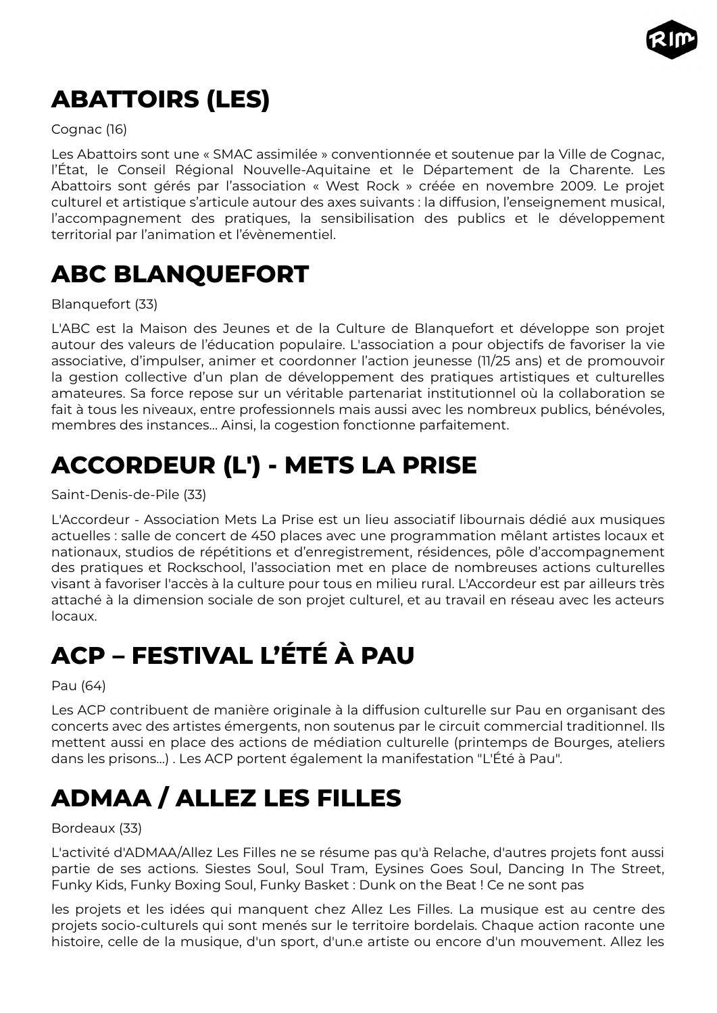

# <span id="page-4-4"></span>**ABATTOIRS (LES)**

#### Cognac (16)

Les Abattoirs sont une « SMAC assimilée » conventionnée et soutenue par la Ville de Cognac, l'État, le Conseil Régional Nouvelle-Aquitaine et le Département de la Charente. Les Abattoirs sont gérés par l'association « West Rock » créée en novembre 2009. Le projet culturel et artistique s'articule autour des axes suivants : la diffusion, l'enseignement musical, l'accompagnement des pratiques, la sensibilisation des publics et le développement territorial par l'animation et l'évènementiel.

### <span id="page-4-3"></span>**ABC BLANQUEFORT**

#### Blanquefort (33)

L'ABC est la Maison des Jeunes et de la Culture de Blanquefort et développe son projet autour des valeurs de l'éducation populaire. L'association a pour objectifs de favoriser la vie associative, d'impulser, animer et coordonner l'action jeunesse (11/25 ans) et de promouvoir la gestion collective d'un plan de développement des pratiques artistiques et culturelles amateures. Sa force repose sur un véritable partenariat institutionnel où la collaboration se fait à tous les niveaux, entre professionnels mais aussi avec les nombreux publics, bénévoles, membres des instances… Ainsi, la cogestion fonctionne parfaitement.

# <span id="page-4-2"></span>**ACCORDEUR (L') - METS LA PRISE**

Saint-Denis-de-Pile (33)

L'Accordeur - Association Mets La Prise est un lieu associatif libournais dédié aux musiques actuelles : salle de concert de 450 places avec une programmation mêlant artistes locaux et nationaux, studios de répétitions et d'enregistrement, résidences, pôle d'accompagnement des pratiques et Rockschool, l'association met en place de nombreuses actions culturelles visant à favoriser l'accès à la culture pour tous en milieu rural. L'Accordeur est par ailleurs très attaché à la dimension sociale de son projet culturel, et au travail en réseau avec les acteurs locaux.

# <span id="page-4-1"></span>**ACP – FESTIVAL L'ÉTÉ À PAU**

Pau (64)

Les ACP contribuent de manière originale à la diffusion culturelle sur Pau en organisant des concerts avec des artistes émergents, non soutenus par le circuit commercial traditionnel. Ils mettent aussi en place des actions de médiation culturelle (printemps de Bourges, ateliers dans les prisons…) . Les ACP portent également la manifestation "L'Été à Pau".

# <span id="page-4-0"></span>**ADMAA / ALLEZ LES FILLES**

#### Bordeaux (33)

L'activité d'ADMAA/Allez Les Filles ne se résume pas qu'à Relache, d'autres projets font aussi partie de ses actions. Siestes Soul, Soul Tram, Eysines Goes Soul, Dancing In The Street, Funky Kids, Funky Boxing Soul, Funky Basket : Dunk on the Beat ! Ce ne sont pas

les projets et les idées qui manquent chez Allez Les Filles. La musique est au centre des projets socio-culturels qui sont menés sur le territoire bordelais. Chaque action raconte une histoire, celle de la musique, d'un sport, d'un.e artiste ou encore d'un mouvement. Allez les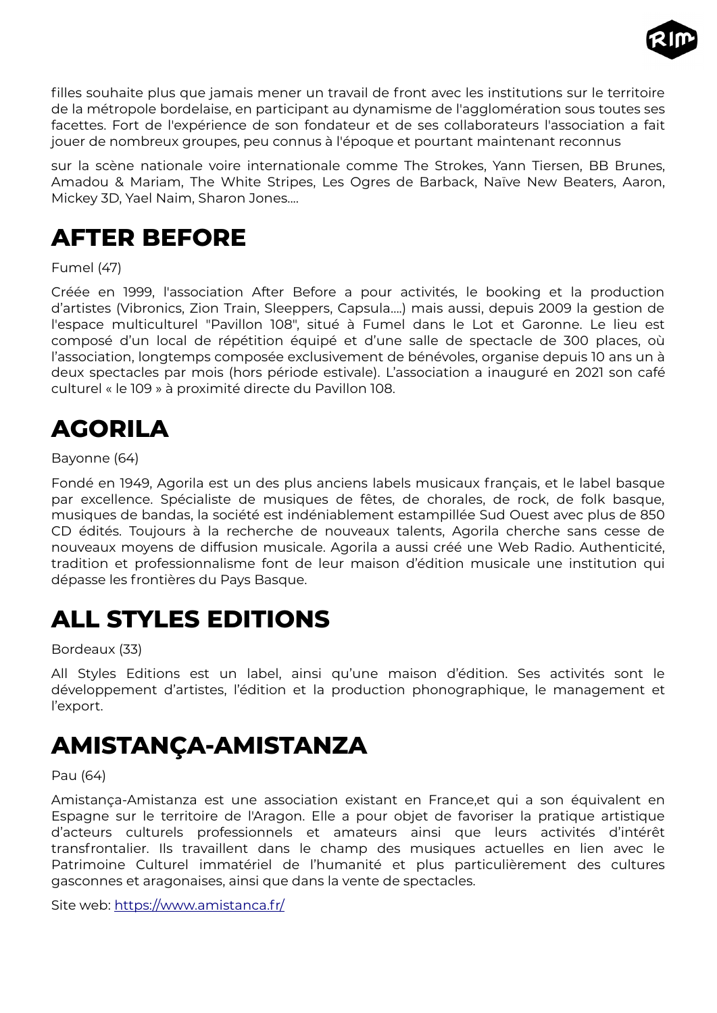

filles souhaite plus que jamais mener un travail de front avec les institutions sur le territoire de la métropole bordelaise, en participant au dynamisme de l'agglomération sous toutes ses facettes. Fort de l'expérience de son fondateur et de ses collaborateurs l'association a fait jouer de nombreux groupes, peu connus à l'époque et pourtant maintenant reconnus

sur la scène nationale voire internationale comme The Strokes, Yann Tiersen, BB Brunes, Amadou & Mariam, The White Stripes, Les Ogres de Barback, Naïve New Beaters, Aaron, Mickey 3D, Yael Naim, Sharon Jones....

### <span id="page-5-3"></span>**AFTER BEFORE**

Fumel (47)

Créée en 1999, l'association After Before a pour activités, le booking et la production d'artistes (Vibronics, Zion Train, Sleeppers, Capsula….) mais aussi, depuis 2009 la gestion de l'espace multiculturel "Pavillon 108", situé à Fumel dans le Lot et Garonne. Le lieu est composé d'un local de répétition équipé et d'une salle de spectacle de 300 places, où l'association, longtemps composée exclusivement de bénévoles, organise depuis 10 ans un à deux spectacles par mois (hors période estivale). L'association a inauguré en 2021 son café culturel « le 109 » à proximité directe du Pavillon 108.

## <span id="page-5-2"></span>**AGORILA**

#### Bayonne (64)

Fondé en 1949, Agorila est un des plus anciens labels musicaux français, et le label basque par excellence. Spécialiste de musiques de fêtes, de chorales, de rock, de folk basque, musiques de bandas, la société est indéniablement estampillée Sud Ouest avec plus de 850 CD édités. Toujours à la recherche de nouveaux talents, Agorila cherche sans cesse de nouveaux moyens de diffusion musicale. Agorila a aussi créé une Web Radio. Authenticité, tradition et professionnalisme font de leur maison d'édition musicale une institution qui dépasse les frontières du Pays Basque.

### <span id="page-5-1"></span>**ALL STYLES EDITIONS**

Bordeaux (33)

All Styles Editions est un label, ainsi qu'une maison d'édition. Ses activités sont le développement d'artistes, l'édition et la production phonographique, le management et l'export.

### <span id="page-5-0"></span>**AMISTANÇA-AMISTANZA**

Pau (64)

Amistança-Amistanza est une association existant en France,et qui a son équivalent en Espagne sur le territoire de l'Aragon. Elle a pour objet de favoriser la pratique artistique d'acteurs culturels professionnels et amateurs ainsi que leurs activités d'intérêt transfrontalier. Ils travaillent dans le champ des musiques actuelles en lien avec le Patrimoine Culturel immatériel de l'humanité et plus particulièrement des cultures gasconnes et aragonaises, ainsi que dans la vente de spectacles.

Site web: <https://www.amistanca.fr/>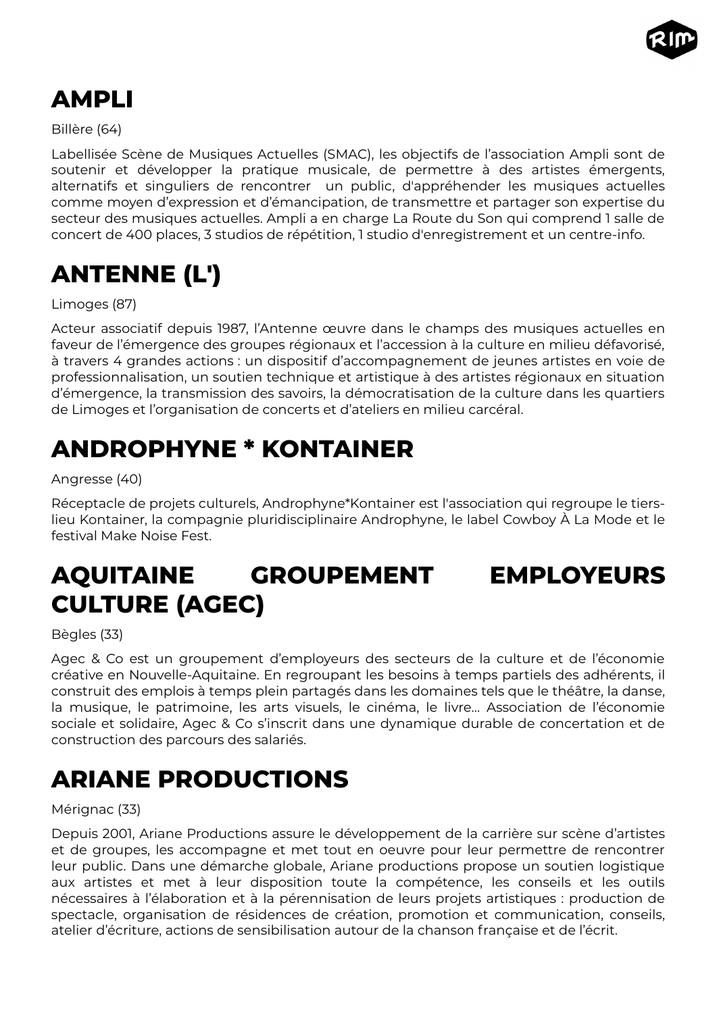

# <span id="page-6-4"></span>**AMPLI**

Billère (64)

Labellisée Scène de Musiques Actuelles (SMAC), les objectifs de l'association Ampli sont de soutenir et développer la pratique musicale, de permettre à des artistes émergents, alternatifs et singuliers de rencontrer un public, d'appréhender les musiques actuelles comme moyen d'expression et d'émancipation, de transmettre et partager son expertise du secteur des musiques actuelles. Ampli a en charge La Route du Son qui comprend 1 salle de concert de 400 places, 3 studios de répétition, 1 studio d'enregistrement et un centre-info.

# <span id="page-6-3"></span>**ANTENNE (L')**

Limoges (87)

Acteur associatif depuis 1987, l'Antenne œuvre dans le champs des musiques actuelles en faveur de l'émergence des groupes régionaux et l'accession à la culture en milieu défavorisé, à travers 4 grandes actions : un dispositif d'accompagnement de jeunes artistes en voie de professionnalisation, un soutien technique et artistique à des artistes régionaux en situation d'émergence, la transmission des savoirs, la démocratisation de la culture dans les quartiers de Limoges et l'organisation de concerts et d'ateliers en milieu carcéral.

# <span id="page-6-2"></span>**ANDROPHYNE \* KONTAINER**

#### Angresse (40)

Réceptacle de projets culturels, Androphyne\*Kontainer est l'association qui regroupe le tierslieu Kontainer, la compagnie pluridisciplinaire Androphyne, le label Cowboy À La Mode et le festival Make Noise Fest.

# <span id="page-6-1"></span>**AQUITAINE GROUPEMENT EMPLOYEURS CULTURE (AGEC)**

Bègles (33)

Agec & Co est un groupement d'employeurs des secteurs de la culture et de l'économie créative en Nouvelle-Aquitaine. En regroupant les besoins à temps partiels des adhérents, il construit des emplois à temps plein partagés dans les domaines tels que le théâtre, la danse, la musique, le patrimoine, les arts visuels, le cinéma, le livre… Association de l'économie sociale et solidaire, Agec & Co s'inscrit dans une dynamique durable de concertation et de construction des parcours des salariés.

# <span id="page-6-0"></span>**ARIANE PRODUCTIONS**

#### Mérignac (33)

Depuis 2001, Ariane Productions assure le développement de la carrière sur scène d'artistes et de groupes, les accompagne et met tout en oeuvre pour leur permettre de rencontrer leur public. Dans une démarche globale, Ariane productions propose un soutien logistique aux artistes et met à leur disposition toute la compétence, les conseils et les outils nécessaires à l'élaboration et à la pérennisation de leurs projets artistiques : production de spectacle, organisation de résidences de création, promotion et communication, conseils, atelier d'écriture, actions de sensibilisation autour de la chanson française et de l'écrit.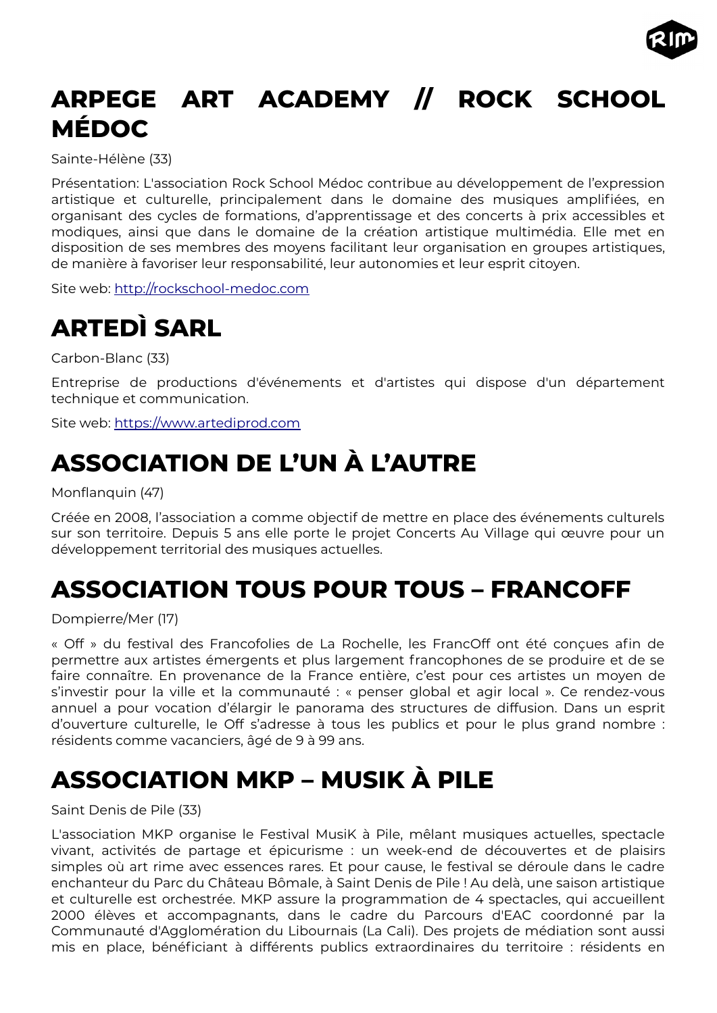

# <span id="page-7-4"></span>**ARPEGE ART ACADEMY // ROCK SCHOOL MÉDOC**

Sainte-Hélène (33)

Présentation: L'association Rock School Médoc contribue au développement de l'expression artistique et culturelle, principalement dans le domaine des musiques amplifiées, en organisant des cycles de formations, d'apprentissage et des concerts à prix accessibles et modiques, ainsi que dans le domaine de la création artistique multimédia. Elle met en disposition de ses membres des moyens facilitant leur organisation en groupes artistiques, de manière à favoriser leur responsabilité, leur autonomies et leur esprit citoyen.

Site web: [http://rockschool-medoc.com](http://rockschool-medoc.com/)

# <span id="page-7-3"></span>**ARTEDÌ SARL**

Carbon-Blanc (33)

Entreprise de productions d'événements et d'artistes qui dispose d'un département technique et communication.

Site web: [https://www.artediprod.com](https://www.artediprod.com/)

# <span id="page-7-2"></span>**ASSOCIATION DE L'UN À L'AUTRE**

Monflanquin (47)

Créée en 2008, l'association a comme objectif de mettre en place des événements culturels sur son territoire. Depuis 5 ans elle porte le projet Concerts Au Village qui œuvre pour un développement territorial des musiques actuelles.

# <span id="page-7-1"></span>**ASSOCIATION TOUS POUR TOUS – FRANCOFF**

Dompierre/Mer (17)

« Off » du festival des Francofolies de La Rochelle, les FrancOff ont été conçues afin de permettre aux artistes émergents et plus largement francophones de se produire et de se faire connaître. En provenance de la France entière, c'est pour ces artistes un moyen de s'investir pour la ville et la communauté : « penser global et agir local ». Ce rendez-vous annuel a pour vocation d'élargir le panorama des structures de diffusion. Dans un esprit d'ouverture culturelle, le Off s'adresse à tous les publics et pour le plus grand nombre : résidents comme vacanciers, âgé de 9 à 99 ans.

# <span id="page-7-0"></span>**ASSOCIATION MKP – MUSIK À PILE**

Saint Denis de Pile (33)

L'association MKP organise le Festival MusiK à Pile, mêlant musiques actuelles, spectacle vivant, activités de partage et épicurisme : un week-end de découvertes et de plaisirs simples où art rime avec essences rares. Et pour cause, le festival se déroule dans le cadre enchanteur du Parc du Château Bômale, à Saint Denis de Pile ! Au delà, une saison artistique et culturelle est orchestrée. MKP assure la programmation de 4 spectacles, qui accueillent 2000 élèves et accompagnants, dans le cadre du Parcours d'EAC coordonné par la Communauté d'Agglomération du Libournais (La Cali). Des projets de médiation sont aussi mis en place, bénéficiant à différents publics extraordinaires du territoire : résidents en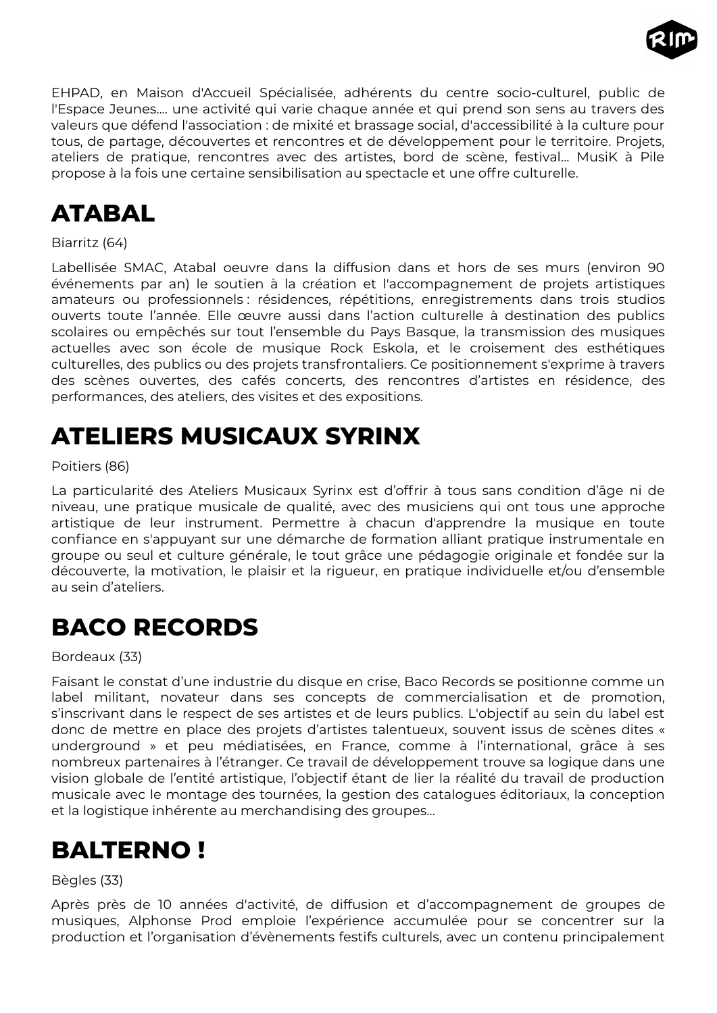

EHPAD, en Maison d'Accueil Spécialisée, adhérents du centre socio-culturel, public de l'Espace Jeunes.... une activité qui varie chaque année et qui prend son sens au travers des valeurs que défend l'association : de mixité et brassage social, d'accessibilité à la culture pour tous, de partage, découvertes et rencontres et de développement pour le territoire. Projets, ateliers de pratique, rencontres avec des artistes, bord de scène, festival... MusiK à Pile propose à la fois une certaine sensibilisation au spectacle et une offre culturelle.

# <span id="page-8-3"></span>**ATABAL**

#### Biarritz (64)

Labellisée SMAC, Atabal oeuvre dans la diffusion dans et hors de ses murs (environ 90 événements par an) le soutien à la création et l'accompagnement de projets artistiques amateurs ou professionnels : résidences, répétitions, enregistrements dans trois studios ouverts toute l'année. Elle œuvre aussi dans l'action culturelle à destination des publics scolaires ou empêchés sur tout l'ensemble du Pays Basque, la transmission des musiques actuelles avec son école de musique Rock Eskola, et le croisement des esthétiques culturelles, des publics ou des projets transfrontaliers. Ce positionnement s'exprime à travers des scènes ouvertes, des cafés concerts, des rencontres d'artistes en résidence, des performances, des ateliers, des visites et des expositions.

### <span id="page-8-2"></span>**ATELIERS MUSICAUX SYRINX**

#### Poitiers (86)

La particularité des Ateliers Musicaux Syrinx est d'offrir à tous sans condition d'âge ni de niveau, une pratique musicale de qualité, avec des musiciens qui ont tous une approche artistique de leur instrument. Permettre à chacun d'apprendre la musique en toute confiance en s'appuyant sur une démarche de formation alliant pratique instrumentale en groupe ou seul et culture générale, le tout grâce une pédagogie originale et fondée sur la découverte, la motivation, le plaisir et la rigueur, en pratique individuelle et/ou d'ensemble au sein d'ateliers.

### <span id="page-8-1"></span>**BACO RECORDS**

#### Bordeaux (33)

Faisant le constat d'une industrie du disque en crise, Baco Records se positionne comme un label militant, novateur dans ses concepts de commercialisation et de promotion, s'inscrivant dans le respect de ses artistes et de leurs publics. L'objectif au sein du label est donc de mettre en place des projets d'artistes talentueux, souvent issus de scènes dites « underground » et peu médiatisées, en France, comme à l'international, grâce à ses nombreux partenaires à l'étranger. Ce travail de développement trouve sa logique dans une vision globale de l'entité artistique, l'objectif étant de lier la réalité du travail de production musicale avec le montage des tournées, la gestion des catalogues éditoriaux, la conception et la logistique inhérente au merchandising des groupes…

### <span id="page-8-0"></span>**BALTERNO !**

#### Bègles (33)

Après près de 10 années d'activité, de diffusion et d'accompagnement de groupes de musiques, Alphonse Prod emploie l'expérience accumulée pour se concentrer sur la production et l'organisation d'évènements festifs culturels, avec un contenu principalement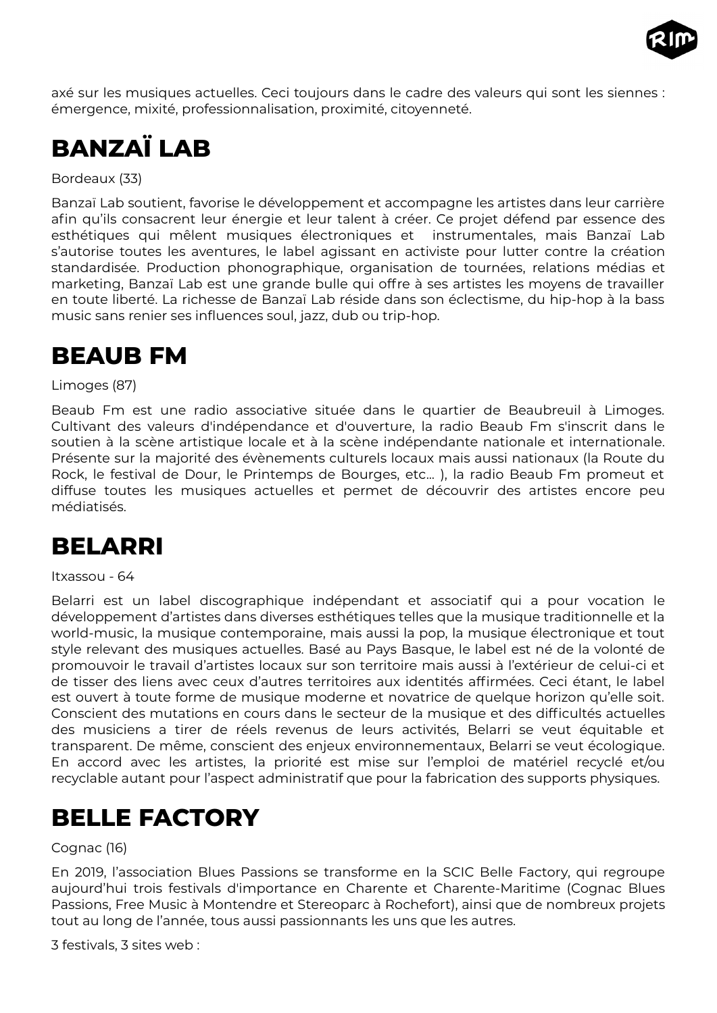

axé sur les musiques actuelles. Ceci toujours dans le cadre des valeurs qui sont les siennes : émergence, mixité, professionnalisation, proximité, citoyenneté.

# <span id="page-9-3"></span>**BANZAÏ LAB**

Bordeaux (33)

Banzaï Lab soutient, favorise le développement et accompagne les artistes dans leur carrière afin qu'ils consacrent leur énergie et leur talent à créer. Ce projet défend par essence des esthétiques qui mêlent musiques électroniques et instrumentales, mais Banzaï Lab s'autorise toutes les aventures, le label agissant en activiste pour lutter contre la création standardisée. Production phonographique, organisation de tournées, relations médias et marketing, Banzaï Lab est une grande bulle qui offre à ses artistes les moyens de travailler en toute liberté. La richesse de Banzaï Lab réside dans son éclectisme, du hip-hop à la bass music sans renier ses influences soul, jazz, dub ou trip-hop.

### <span id="page-9-2"></span>**BEAUB FM**

Limoges (87)

Beaub Fm est une radio associative située dans le quartier de Beaubreuil à Limoges. Cultivant des valeurs d'indépendance et d'ouverture, la radio Beaub Fm s'inscrit dans le soutien à la scène artistique locale et à la scène indépendante nationale et internationale. Présente sur la majorité des évènements culturels locaux mais aussi nationaux (la Route du Rock, le festival de Dour, le Printemps de Bourges, etc... ), la radio Beaub Fm promeut et diffuse toutes les musiques actuelles et permet de découvrir des artistes encore peu médiatisés.

### <span id="page-9-1"></span>**BELARRI**

#### Itxassou - 64

Belarri est un label discographique indépendant et associatif qui a pour vocation le développement d'artistes dans diverses esthétiques telles que la musique traditionnelle et la world-music, la musique contemporaine, mais aussi la pop, la musique électronique et tout style relevant des musiques actuelles. Basé au Pays Basque, le label est né de la volonté de promouvoir le travail d'artistes locaux sur son territoire mais aussi à l'extérieur de celui-ci et de tisser des liens avec ceux d'autres territoires aux identités affirmées. Ceci étant, le label est ouvert à toute forme de musique moderne et novatrice de quelque horizon qu'elle soit. Conscient des mutations en cours dans le secteur de la musique et des difficultés actuelles des musiciens a tirer de réels revenus de leurs activités, Belarri se veut équitable et transparent. De même, conscient des enjeux environnementaux, Belarri se veut écologique. En accord avec les artistes, la priorité est mise sur l'emploi de matériel recyclé et/ou recyclable autant pour l'aspect administratif que pour la fabrication des supports physiques.

### <span id="page-9-0"></span>**BELLE FACTORY**

Cognac (16)

En 2019, l'association Blues Passions se transforme en la SCIC Belle Factory, qui regroupe aujourd'hui trois festivals d'importance en Charente et Charente-Maritime (Cognac Blues Passions, Free Music à Montendre et Stereoparc à Rochefort), ainsi que de nombreux projets tout au long de l'année, tous aussi passionnants les uns que les autres.

3 festivals, 3 sites web :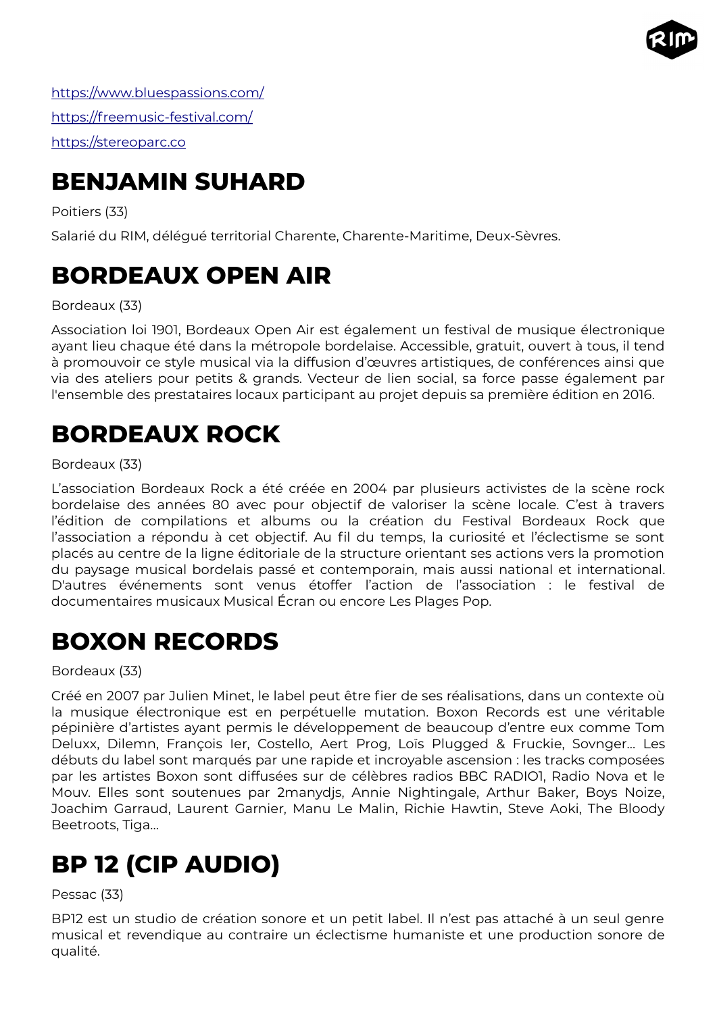

<https://www.bluespassions.com/> <https://freemusic-festival.com/> [https://stereoparc.co](https://stereoparc.com/)

## <span id="page-10-4"></span>**BENJAMIN SUHARD**

Poitiers (33)

Salarié du RIM, délégué territorial Charente, Charente-Maritime, Deux-Sèvres.

## <span id="page-10-3"></span>**BORDEAUX OPEN AIR**

Bordeaux (33)

Association loi 1901, Bordeaux Open Air est également un festival de musique électronique ayant lieu chaque été dans la métropole bordelaise. Accessible, gratuit, ouvert à tous, il tend à promouvoir ce style musical via la diffusion d'œuvres artistiques, de conférences ainsi que via des ateliers pour petits & grands. Vecteur de lien social, sa force passe également par l'ensemble des prestataires locaux participant au projet depuis sa première édition en 2016.

## <span id="page-10-2"></span>**BORDEAUX ROCK**

#### Bordeaux (33)

L'association Bordeaux Rock a été créée en 2004 par plusieurs activistes de la scène rock bordelaise des années 80 avec pour objectif de valoriser la scène locale. C'est à travers l'édition de compilations et albums ou la création du Festival Bordeaux Rock que l'association a répondu à cet objectif. Au fil du temps, la curiosité et l'éclectisme se sont placés au centre de la ligne éditoriale de la structure orientant ses actions vers la promotion du paysage musical bordelais passé et contemporain, mais aussi national et international. D'autres événements sont venus étoffer l'action de l'association : le festival de documentaires musicaux Musical Écran ou encore Les Plages Pop.

### <span id="page-10-1"></span>**BOXON RECORDS**

Bordeaux (33)

Créé en 2007 par Julien Minet, le label peut être fier de ses réalisations, dans un contexte où la musique électronique est en perpétuelle mutation. Boxon Records est une véritable pépinière d'artistes ayant permis le développement de beaucoup d'entre eux comme Tom Deluxx, Dilemn, François Ier, Costello, Aert Prog, Loïs Plugged & Fruckie, Sovnger… Les débuts du label sont marqués par une rapide et incroyable ascension : les tracks composées par les artistes Boxon sont diffusées sur de célèbres radios BBC RADIO1, Radio Nova et le Mouv. Elles sont soutenues par 2manydjs, Annie Nightingale, Arthur Baker, Boys Noize, Joachim Garraud, Laurent Garnier, Manu Le Malin, Richie Hawtin, Steve Aoki, The Bloody Beetroots, Tiga…

# <span id="page-10-0"></span>**BP 12 (CIP AUDIO)**

#### Pessac (33)

BP12 est un studio de création sonore et un petit label. Il n'est pas attaché à un seul genre musical et revendique au contraire un éclectisme humaniste et une production sonore de qualité.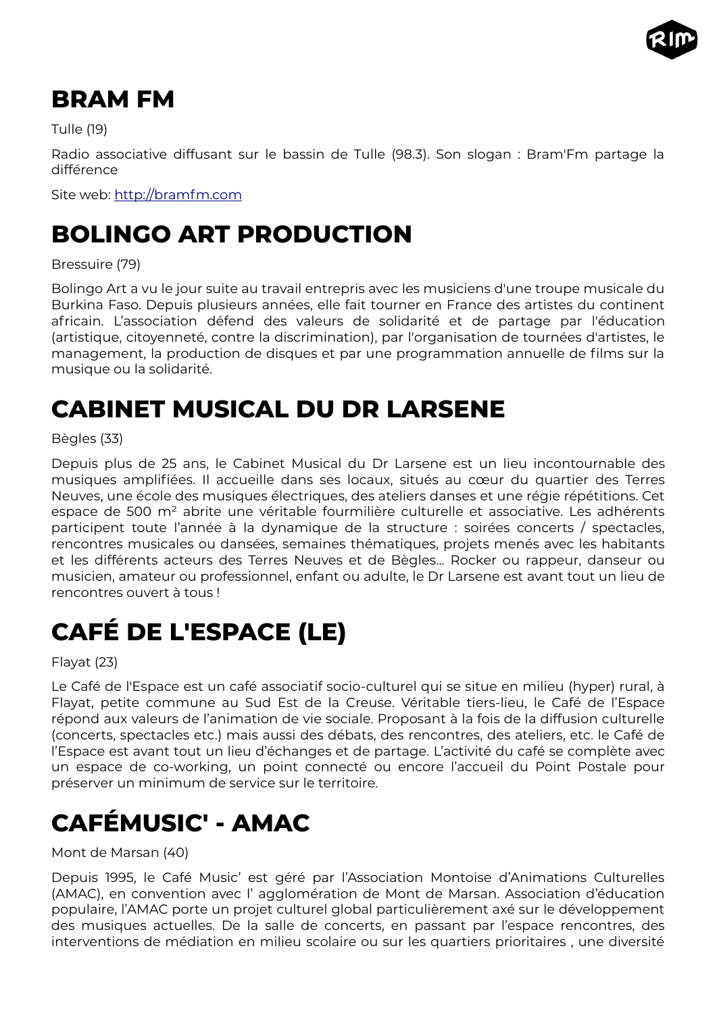

### <span id="page-11-4"></span>**BRAM FM**

Tulle (19)

Radio associative diffusant sur le bassin de Tulle (98.3). Son slogan : Bram'Fm partage la différence

Site web: [http://bramfm.com](http://bramfm.com/)

# <span id="page-11-3"></span>**BOLINGO ART PRODUCTION**

#### Bressuire (79)

Bolingo Art a vu le jour suite au travail entrepris avec les musiciens d'une troupe musicale du Burkina Faso. Depuis plusieurs années, elle fait tourner en France des artistes du continent africain. L'association défend des valeurs de solidarité et de partage par l'éducation (artistique, citoyenneté, contre la discrimination), par l'organisation de tournées d'artistes, le management, la production de disques et par une programmation annuelle de films sur la musique ou la solidarité.

## <span id="page-11-2"></span>**CABINET MUSICAL DU DR LARSENE**

Bègles (33)

Depuis plus de 25 ans, le Cabinet Musical du Dr Larsene est un lieu incontournable des musiques amplifiées. Il accueille dans ses locaux, situés au cœur du quartier des Terres Neuves, une école des musiques électriques, des ateliers danses et une régie répétitions. Cet espace de 500 m² abrite une véritable fourmilière culturelle et associative. Les adhérents participent toute l'année à la dynamique de la structure : soirées concerts / spectacles, rencontres musicales ou dansées, semaines thématiques, projets menés avec les habitants et les différents acteurs des Terres Neuves et de Bègles... Rocker ou rappeur, danseur ou musicien, amateur ou professionnel, enfant ou adulte, le Dr Larsene est avant tout un lieu de rencontres ouvert à tous !

# <span id="page-11-1"></span>**CAFÉ DE L'ESPACE (LE)**

Flayat (23)

Le Café de l'Espace est un café associatif socio-culturel qui se situe en milieu (hyper) rural, à Flayat, petite commune au Sud Est de la Creuse. Véritable tiers-lieu, le Café de l'Espace répond aux valeurs de l'animation de vie sociale. Proposant à la fois de la diffusion culturelle (concerts, spectacles etc.) mais aussi des débats, des rencontres, des ateliers, etc. le Café de l'Espace est avant tout un lieu d'échanges et de partage. L'activité du café se complète avec un espace de co-working, un point connecté ou encore l'accueil du Point Postale pour préserver un minimum de service sur le territoire.

# <span id="page-11-0"></span>**CAFÉMUSIC' - AMAC**

Mont de Marsan (40)

Depuis 1995, le Café Music' est géré par l'Association Montoise d'Animations Culturelles (AMAC), en convention avec l' agglomération de Mont de Marsan. Association d'éducation populaire, l'AMAC porte un projet culturel global particulièrement axé sur le développement des musiques actuelles. De la salle de concerts, en passant par l'espace rencontres, des interventions de médiation en milieu scolaire ou sur les quartiers prioritaires , une diversité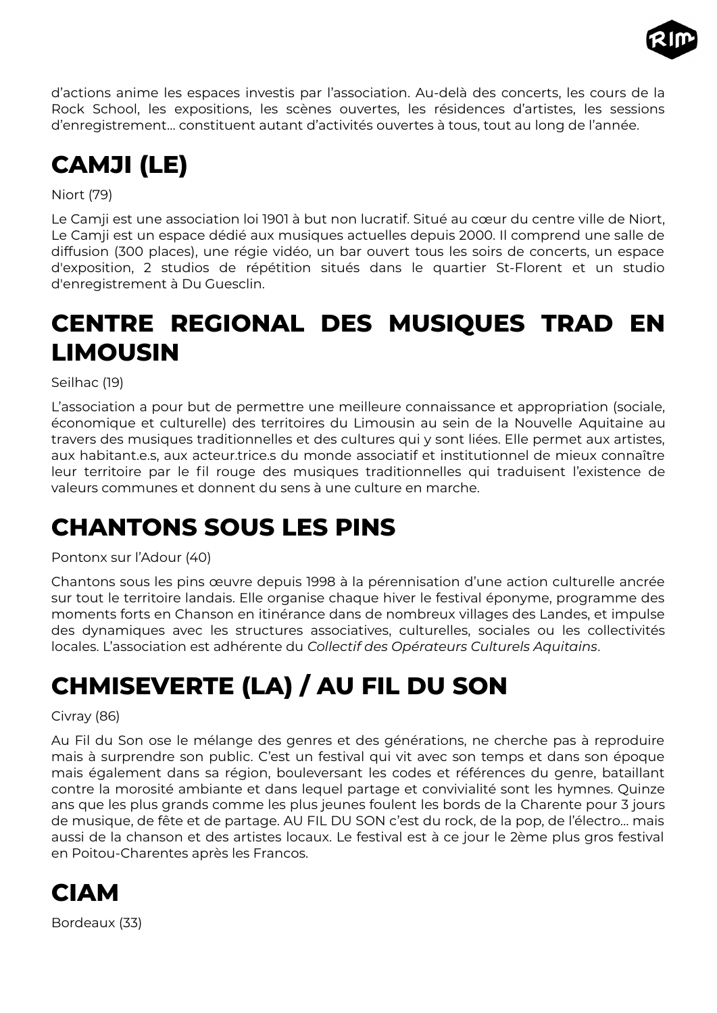

d'actions anime les espaces investis par l'association. Au-delà des concerts, les cours de la Rock School, les expositions, les scènes ouvertes, les résidences d'artistes, les sessions d'enregistrement… constituent autant d'activités ouvertes à tous, tout au long de l'année.

# <span id="page-12-4"></span>**CAMJI (LE)**

Niort (79)

Le Camji est une association loi 1901 à but non lucratif. Situé au cœur du centre ville de Niort, Le Camji est un espace dédié aux musiques actuelles depuis 2000. Il comprend une salle de diffusion (300 places), une régie vidéo, un bar ouvert tous les soirs de concerts, un espace d'exposition, 2 studios de répétition situés dans le quartier St-Florent et un studio d'enregistrement à Du Guesclin.

# <span id="page-12-3"></span>**CENTRE REGIONAL DES MUSIQUES TRAD EN LIMOUSIN**

Seilhac (19)

L'association a pour but de permettre une meilleure connaissance et appropriation (sociale, économique et culturelle) des territoires du Limousin au sein de la Nouvelle Aquitaine au travers des musiques traditionnelles et des cultures qui y sont liées. Elle permet aux artistes, aux habitant.e.s, aux acteur.trice.s du monde associatif et institutionnel de mieux connaître leur territoire par le fil rouge des musiques traditionnelles qui traduisent l'existence de valeurs communes et donnent du sens à une culture en marche.

# <span id="page-12-2"></span>**CHANTONS SOUS LES PINS**

Pontonx sur l'Adour (40)

Chantons sous les pins œuvre depuis 1998 à la pérennisation d'une action culturelle ancrée sur tout le territoire landais. Elle organise chaque hiver le festival éponyme, programme des moments forts en Chanson en itinérance dans de nombreux villages des Landes, et impulse des dynamiques avec les structures associatives, culturelles, sociales ou les collectivités locales. L'association est adhérente du *Collectif des Opérateurs Culturels Aquitains*.

# <span id="page-12-1"></span>**CHMISEVERTE (LA) / AU FIL DU SON**

Civray (86)

Au Fil du Son ose le mélange des genres et des générations, ne cherche pas à reproduire mais à surprendre son public. C'est un festival qui vit avec son temps et dans son époque mais également dans sa région, bouleversant les codes et références du genre, bataillant contre la morosité ambiante et dans lequel partage et convivialité sont les hymnes. Quinze ans que les plus grands comme les plus jeunes foulent les bords de la Charente pour 3 jours de musique, de fête et de partage. AU FIL DU SON c'est du rock, de la pop, de l'électro… mais aussi de la chanson et des artistes locaux. Le festival est à ce jour le 2ème plus gros festival en Poitou-Charentes après les Francos.

<span id="page-12-0"></span>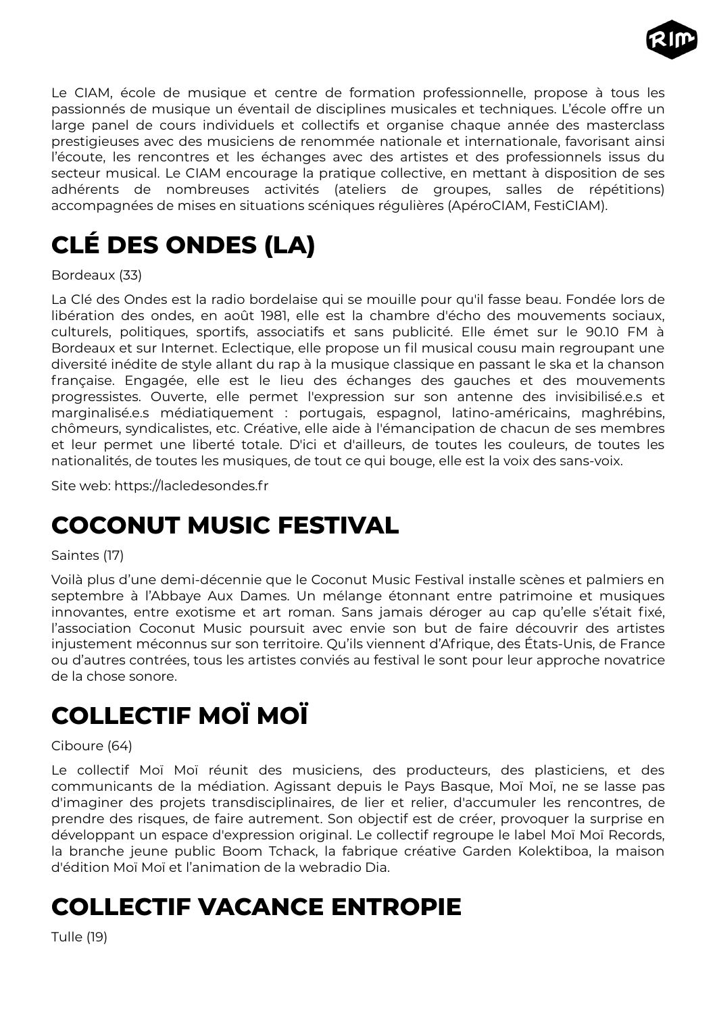

Le CIAM, école de musique et centre de formation professionnelle, propose à tous les passionnés de musique un éventail de disciplines musicales et techniques. L'école offre un large panel de cours individuels et collectifs et organise chaque année des masterclass prestigieuses avec des musiciens de renommée nationale et internationale, favorisant ainsi l'écoute, les rencontres et les échanges avec des artistes et des professionnels issus du secteur musical. Le CIAM encourage la pratique collective, en mettant à disposition de ses adhérents de nombreuses activités (ateliers de groupes, salles de répétitions) accompagnées de mises en situations scéniques régulières (ApéroCIAM, FestiCIAM).

# <span id="page-13-3"></span>**CLÉ DES ONDES (LA)**

Bordeaux (33)

La Clé des Ondes est la radio bordelaise qui se mouille pour qu'il fasse beau. Fondée lors de libération des ondes, en août 1981, elle est la chambre d'écho des mouvements sociaux, culturels, politiques, sportifs, associatifs et sans publicité. Elle émet sur le 90.10 FM à Bordeaux et sur Internet. Eclectique, elle propose un fil musical cousu main regroupant une diversité inédite de style allant du rap à la musique classique en passant le ska et la chanson française. Engagée, elle est le lieu des échanges des gauches et des mouvements progressistes. Ouverte, elle permet l'expression sur son antenne des invisibilisé.e.s et marginalisé.e.s médiatiquement : portugais, espagnol, latino-américains, maghrébins, chômeurs, syndicalistes, etc. Créative, elle aide à l'émancipation de chacun de ses membres et leur permet une liberté totale. D'ici et d'ailleurs, de toutes les couleurs, de toutes les nationalités, de toutes les musiques, de tout ce qui bouge, elle est la voix des sans-voix.

Site web: https://lacledesondes.fr

### <span id="page-13-2"></span>**COCONUT MUSIC FESTIVAL**

#### Saintes (17)

Voilà plus d'une demi-décennie que le Coconut Music Festival installe scènes et palmiers en septembre à l'Abbaye Aux Dames. Un mélange étonnant entre patrimoine et musiques innovantes, entre exotisme et art roman. Sans jamais déroger au cap qu'elle s'était fixé, l'association Coconut Music poursuit avec envie son but de faire découvrir des artistes injustement méconnus sur son territoire. Qu'ils viennent d'Afrique, des États-Unis, de France ou d'autres contrées, tous les artistes conviés au festival le sont pour leur approche novatrice de la chose sonore.

# <span id="page-13-1"></span>**COLLECTIF MOÏ MOÏ**

#### Ciboure (64)

Le collectif Moï Moï réunit des musiciens, des producteurs, des plasticiens, et des communicants de la médiation. Agissant depuis le Pays Basque, Moï Moï, ne se lasse pas d'imaginer des projets transdisciplinaires, de lier et relier, d'accumuler les rencontres, de prendre des risques, de faire autrement. Son objectif est de créer, provoquer la surprise en développant un espace d'expression original. Le collectif regroupe le label Moï Moï Records, la branche jeune public Boom Tchack, la fabrique créative Garden Kolektiboa, la maison d'édition Moï Moï et l'animation de la webradio Dia.

### <span id="page-13-0"></span>**COLLECTIF VACANCE ENTROPIE**

Tulle (19)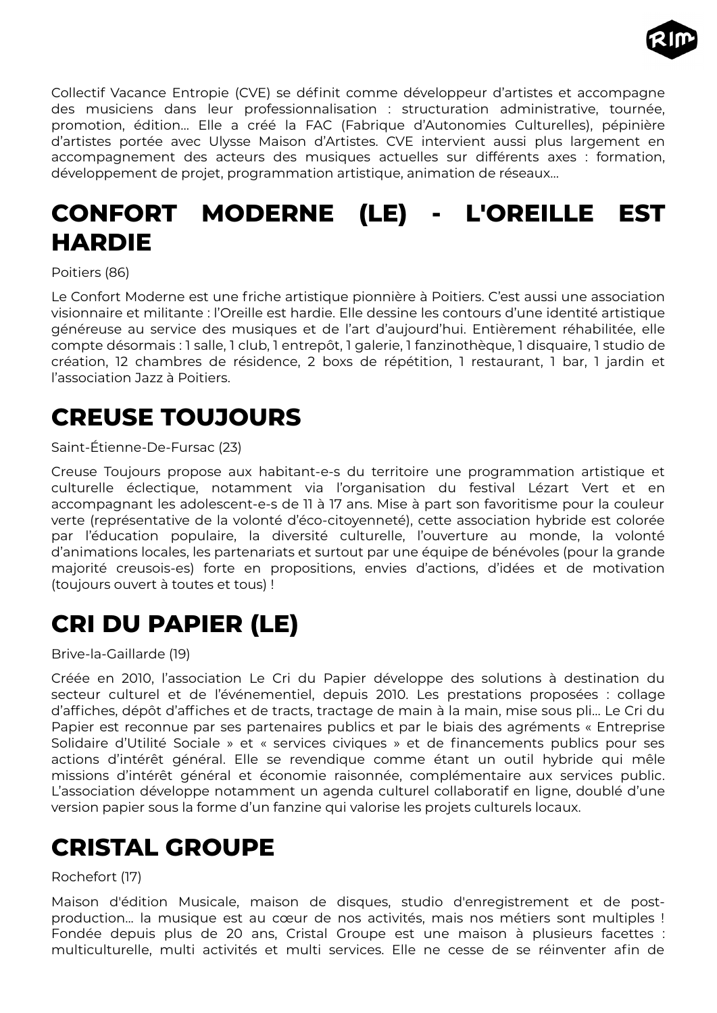

Collectif Vacance Entropie (CVE) se définit comme développeur d'artistes et accompagne des musiciens dans leur professionnalisation : structuration administrative, tournée, promotion, édition… Elle a créé la FAC (Fabrique d'Autonomies Culturelles), pépinière d'artistes portée avec Ulysse Maison d'Artistes. CVE intervient aussi plus largement en accompagnement des acteurs des musiques actuelles sur différents axes : formation, développement de projet, programmation artistique, animation de réseaux…

# <span id="page-14-3"></span>**CONFORT MODERNE (LE) - L'OREILLE EST HARDIE**

Poitiers (86)

Le Confort Moderne est une friche artistique pionnière à Poitiers. C'est aussi une association visionnaire et militante : l'Oreille est hardie. Elle dessine les contours d'une identité artistique généreuse au service des musiques et de l'art d'aujourd'hui. Entièrement réhabilitée, elle compte désormais : 1 salle, 1 club, 1 entrepôt, 1 galerie, 1 fanzinothèque, 1 disquaire, 1 studio de création, 12 chambres de résidence, 2 boxs de répétition, 1 restaurant, 1 bar, 1 jardin et l'association Jazz à Poitiers.

# <span id="page-14-2"></span>**CREUSE TOUJOURS**

#### Saint-Étienne-De-Fursac (23)

Creuse Toujours propose aux habitant-e-s du territoire une programmation artistique et culturelle éclectique, notamment via l'organisation du festival Lézart Vert et en accompagnant les adolescent-e-s de 11 à 17 ans. Mise à part son favoritisme pour la couleur verte (représentative de la volonté d'éco-citoyenneté), cette association hybride est colorée par l'éducation populaire, la diversité culturelle, l'ouverture au monde, la volonté d'animations locales, les partenariats et surtout par une équipe de bénévoles (pour la grande majorité creusois-es) forte en propositions, envies d'actions, d'idées et de motivation (toujours ouvert à toutes et tous) !

# <span id="page-14-1"></span>**CRI DU PAPIER (LE)**

Brive-la-Gaillarde (19)

Créée en 2010, l'association Le Cri du Papier développe des solutions à destination du secteur culturel et de l'événementiel, depuis 2010. Les prestations proposées : collage d'affiches, dépôt d'affiches et de tracts, tractage de main à la main, mise sous pli… Le Cri du Papier est reconnue par ses partenaires publics et par le biais des agréments « Entreprise Solidaire d'Utilité Sociale » et « services civiques » et de financements publics pour ses actions d'intérêt général. Elle se revendique comme étant un outil hybride qui mêle missions d'intérêt général et économie raisonnée, complémentaire aux services public. L'association développe notamment un agenda culturel collaboratif en ligne, doublé d'une version papier sous la forme d'un fanzine qui valorise les projets culturels locaux.

# <span id="page-14-0"></span>**CRISTAL GROUPE**

#### Rochefort (17)

Maison d'édition Musicale, maison de disques, studio d'enregistrement et de postproduction... la musique est au cœur de nos activités, mais nos métiers sont multiples ! Fondée depuis plus de 20 ans, Cristal Groupe est une maison à plusieurs facettes : multiculturelle, multi activités et multi services. Elle ne cesse de se réinventer afin de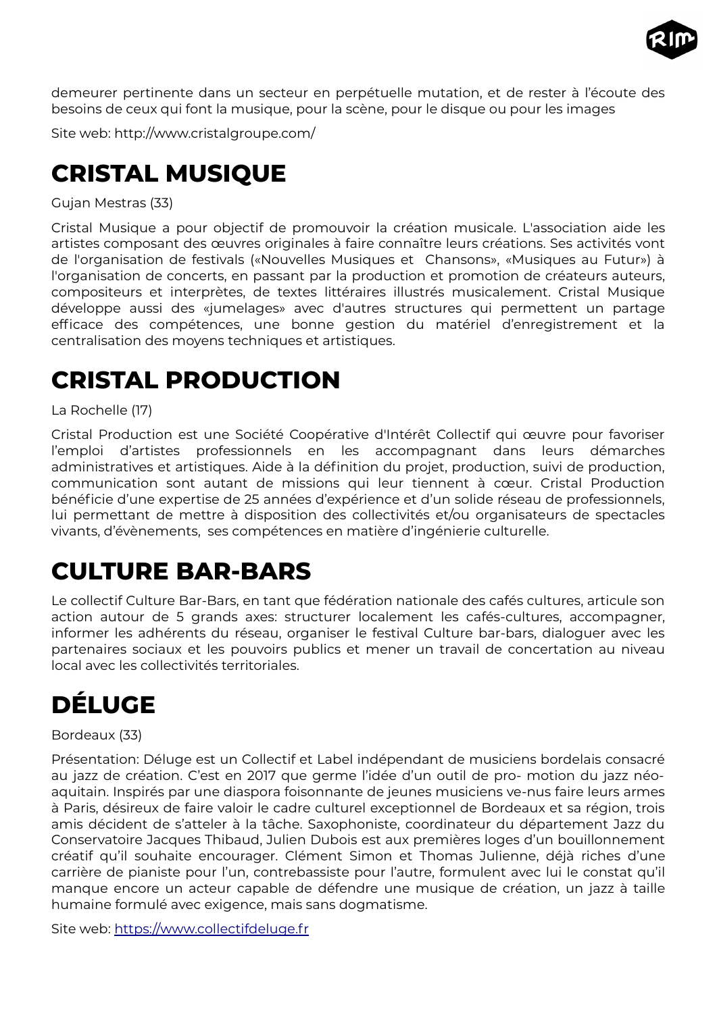

demeurer pertinente dans un secteur en perpétuelle mutation, et de rester à l'écoute des besoins de ceux qui font la musique, pour la scène, pour le disque ou pour les images

Site web: http://www.cristalgroupe.com/

# <span id="page-15-3"></span>**CRISTAL MUSIQUE**

Gujan Mestras (33)

Cristal Musique a pour objectif de promouvoir la création musicale. L'association aide les artistes composant des œuvres originales à faire connaître leurs créations. Ses activités vont de l'organisation de festivals («Nouvelles Musiques et Chansons», «Musiques au Futur») à l'organisation de concerts, en passant par la production et promotion de créateurs auteurs, compositeurs et interprètes, de textes littéraires illustrés musicalement. Cristal Musique développe aussi des «jumelages» avec d'autres structures qui permettent un partage efficace des compétences, une bonne gestion du matériel d'enregistrement et la centralisation des moyens techniques et artistiques.

## <span id="page-15-2"></span>**CRISTAL PRODUCTION**

La Rochelle (17)

Cristal Production est une Société Coopérative d'Intérêt Collectif qui œuvre pour favoriser l'emploi d'artistes professionnels en les accompagnant dans leurs démarches administratives et artistiques. Aide à la définition du projet, production, suivi de production, communication sont autant de missions qui leur tiennent à cœur. Cristal Production bénéficie d'une expertise de 25 années d'expérience et d'un solide réseau de professionnels, lui permettant de mettre à disposition des collectivités et/ou organisateurs de spectacles vivants, d'évènements, ses compétences en matière d'ingénierie culturelle.

### <span id="page-15-1"></span>**CULTURE BAR-BARS**

Le collectif Culture Bar-Bars, en tant que fédération nationale des cafés cultures, articule son action autour de 5 grands axes: structurer localement les cafés-cultures, accompagner, informer les adhérents du réseau, organiser le festival Culture bar-bars, dialoguer avec les partenaires sociaux et les pouvoirs publics et mener un travail de concertation au niveau local avec les collectivités territoriales.

# <span id="page-15-0"></span>**DÉLUGE**

Bordeaux (33)

Présentation: Déluge est un Collectif et Label indépendant de musiciens bordelais consacré au jazz de création. C'est en 2017 que germe l'idée d'un outil de pro- motion du jazz néoaquitain. Inspirés par une diaspora foisonnante de jeunes musiciens ve-nus faire leurs armes à Paris, désireux de faire valoir le cadre culturel exceptionnel de Bordeaux et sa région, trois amis décident de s'atteler à la tâche. Saxophoniste, coordinateur du département Jazz du Conservatoire Jacques Thibaud, Julien Dubois est aux premières loges d'un bouillonnement créatif qu'il souhaite encourager. Clément Simon et Thomas Julienne, déjà riches d'une carrière de pianiste pour l'un, contrebassiste pour l'autre, formulent avec lui le constat qu'il manque encore un acteur capable de défendre une musique de création, un jazz à taille humaine formulé avec exigence, mais sans dogmatisme.

Site web: [https://www.collectifdeluge.fr](https://www.collectifdeluge.fr/)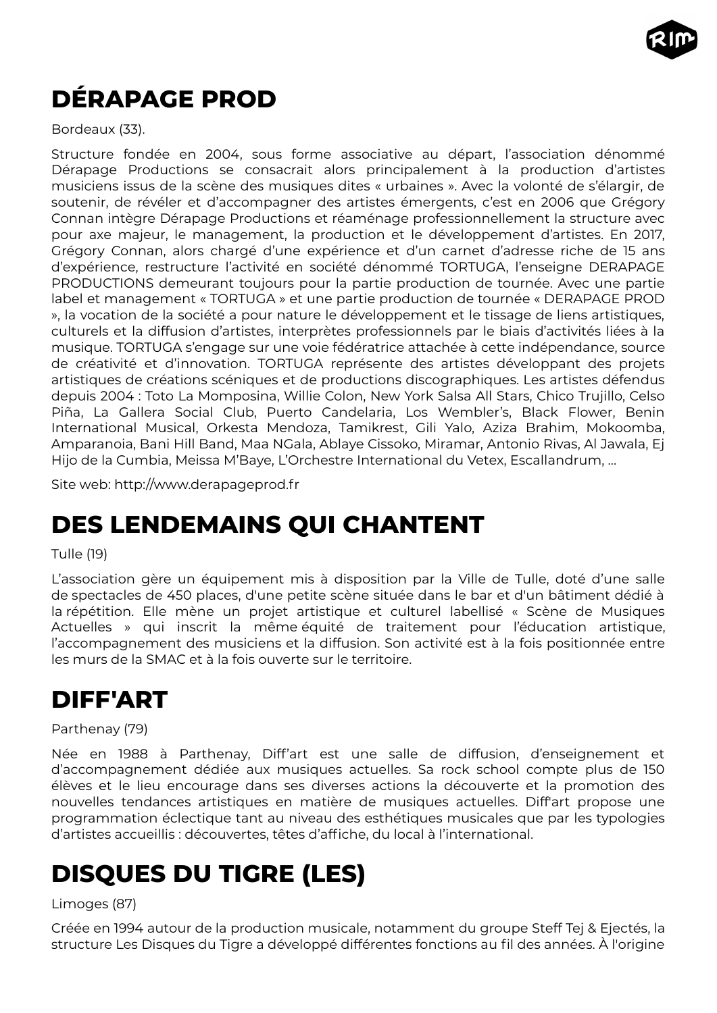

# <span id="page-16-3"></span>**DÉRAPAGE PROD**

Bordeaux (33).

Structure fondée en 2004, sous forme associative au départ, l'association dénommé Dérapage Productions se consacrait alors principalement à la production d'artistes musiciens issus de la scène des musiques dites « urbaines ». Avec la volonté de s'élargir, de soutenir, de révéler et d'accompagner des artistes émergents, c'est en 2006 que Grégory Connan intègre Dérapage Productions et réaménage professionnellement la structure avec pour axe majeur, le management, la production et le développement d'artistes. En 2017, Grégory Connan, alors chargé d'une expérience et d'un carnet d'adresse riche de 15 ans d'expérience, restructure l'activité en société dénommé TORTUGA, l'enseigne DERAPAGE PRODUCTIONS demeurant toujours pour la partie production de tournée. Avec une partie label et management « TORTUGA » et une partie production de tournée « DERAPAGE PROD », la vocation de la société a pour nature le développement et le tissage de liens artistiques, culturels et la diffusion d'artistes, interprètes professionnels par le biais d'activités liées à la musique. TORTUGA s'engage sur une voie fédératrice attachée à cette indépendance, source de créativité et d'innovation. TORTUGA représente des artistes développant des projets artistiques de créations scéniques et de productions discographiques. Les artistes défendus depuis 2004 : Toto La Momposina, Willie Colon, New York Salsa All Stars, Chico Trujillo, Celso Piña, La Gallera Social Club, Puerto Candelaria, Los Wembler's, Black Flower, Benin International Musical, Orkesta Mendoza, Tamikrest, Gili Yalo, Aziza Brahim, Mokoomba, Amparanoia, Bani Hill Band, Maa NGala, Ablaye Cissoko, Miramar, Antonio Rivas, Al Jawala, Ej Hijo de la Cumbia, Meissa M'Baye, L'Orchestre International du Vetex, Escallandrum, …

Site web: http://www.derapageprod.fr

### <span id="page-16-2"></span>**DES LENDEMAINS QUI CHANTENT**

#### Tulle (19)

L'association gère un équipement mis à disposition par la Ville de Tulle, doté d'une salle de spectacles de 450 places, d'une petite scène située dans le bar et d'un bâtiment dédié à la répétition. Elle mène un projet artistique et culturel labellisé « Scène de Musiques Actuelles » qui inscrit la même équité de traitement pour l'éducation artistique, l'accompagnement des musiciens et la diffusion. Son activité est à la fois positionnée entre les murs de la SMAC et à la fois ouverte sur le territoire.

### <span id="page-16-1"></span>**DIFF'ART**

#### Parthenay (79)

Née en 1988 à Parthenay, Diff'art est une salle de diffusion, d'enseignement et d'accompagnement dédiée aux musiques actuelles. Sa rock school compte plus de 150 élèves et le lieu encourage dans ses diverses actions la découverte et la promotion des nouvelles tendances artistiques en matière de musiques actuelles. Diff'art propose une programmation éclectique tant au niveau des esthétiques musicales que par les typologies d'artistes accueillis : découvertes, têtes d'affiche, du local à l'international.

# <span id="page-16-0"></span>**DISQUES DU TIGRE (LES)**

#### Limoges (87)

Créée en 1994 autour de la production musicale, notamment du groupe Steff Tej & Ejectés, la structure Les Disques du Tigre a développé différentes fonctions au fil des années. À l'origine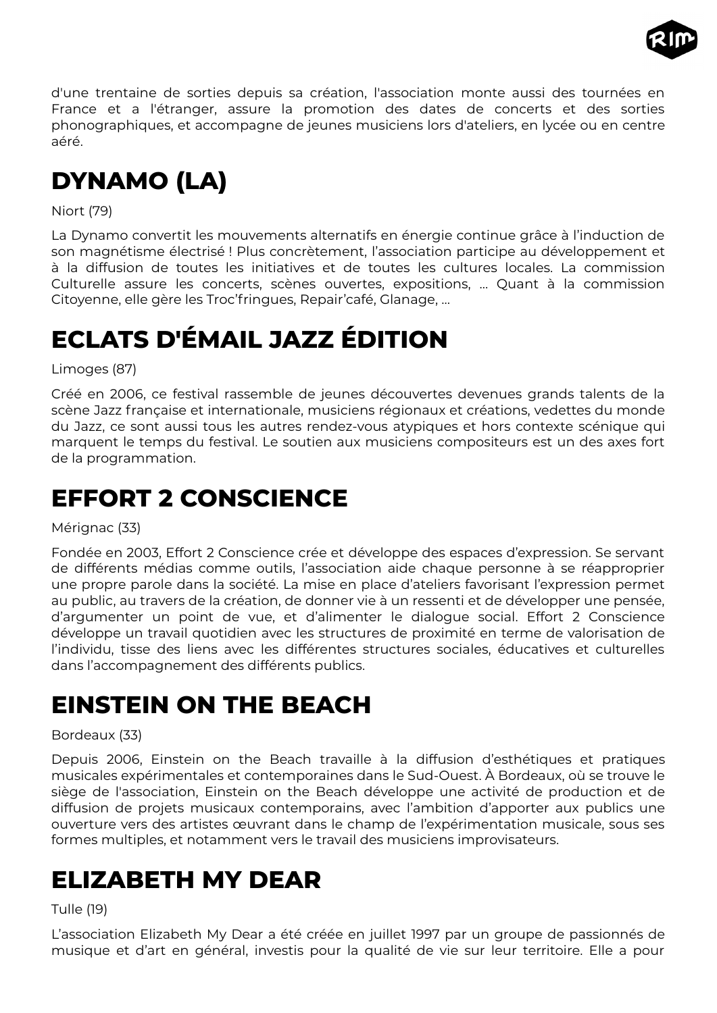

d'une trentaine de sorties depuis sa création, l'association monte aussi des tournées en France et a l'étranger, assure la promotion des dates de concerts et des sorties phonographiques, et accompagne de jeunes musiciens lors d'ateliers, en lycée ou en centre aéré.

# <span id="page-17-4"></span>**DYNAMO (LA)**

Niort (79)

La Dynamo convertit les mouvements alternatifs en énergie continue grâce à l'induction de son magnétisme électrisé ! Plus concrètement, l'association participe au développement et à la diffusion de toutes les initiatives et de toutes les cultures locales. La commission Culturelle assure les concerts, scènes ouvertes, expositions, … Quant à la commission Citoyenne, elle gère les Troc'fringues, Repair'café, Glanage, …

# <span id="page-17-3"></span>**ECLATS D'ÉMAIL JAZZ ÉDITION**

Limoges (87)

Créé en 2006, ce festival rassemble de jeunes découvertes devenues grands talents de la scène Jazz française et internationale, musiciens régionaux et créations, vedettes du monde du Jazz, ce sont aussi tous les autres rendez-vous atypiques et hors contexte scénique qui marquent le temps du festival. Le soutien aux musiciens compositeurs est un des axes fort de la programmation.

# <span id="page-17-2"></span>**EFFORT 2 CONSCIENCE**

Mérignac (33)

Fondée en 2003, Effort 2 Conscience crée et développe des espaces d'expression. Se servant de différents médias comme outils, l'association aide chaque personne à se réapproprier une propre parole dans la société. La mise en place d'ateliers favorisant l'expression permet au public, au travers de la création, de donner vie à un ressenti et de développer une pensée, d'argumenter un point de vue, et d'alimenter le dialogue social. Effort 2 Conscience développe un travail quotidien avec les structures de proximité en terme de valorisation de l'individu, tisse des liens avec les différentes structures sociales, éducatives et culturelles dans l'accompagnement des différents publics.

# <span id="page-17-1"></span>**EINSTEIN ON THE BEACH**

#### Bordeaux (33)

Depuis 2006, Einstein on the Beach travaille à la diffusion d'esthétiques et pratiques musicales expérimentales et contemporaines dans le Sud-Ouest. À Bordeaux, où se trouve le siège de l'association, Einstein on the Beach développe une activité de production et de diffusion de projets musicaux contemporains, avec l'ambition d'apporter aux publics une ouverture vers des artistes œuvrant dans le champ de l'expérimentation musicale, sous ses formes multiples, et notamment vers le travail des musiciens improvisateurs.

### <span id="page-17-0"></span>**ELIZABETH MY DEAR**

#### Tulle (19)

L'association Elizabeth My Dear a été créée en juillet 1997 par un groupe de passionnés de musique et d'art en général, investis pour la qualité de vie sur leur territoire. Elle a pour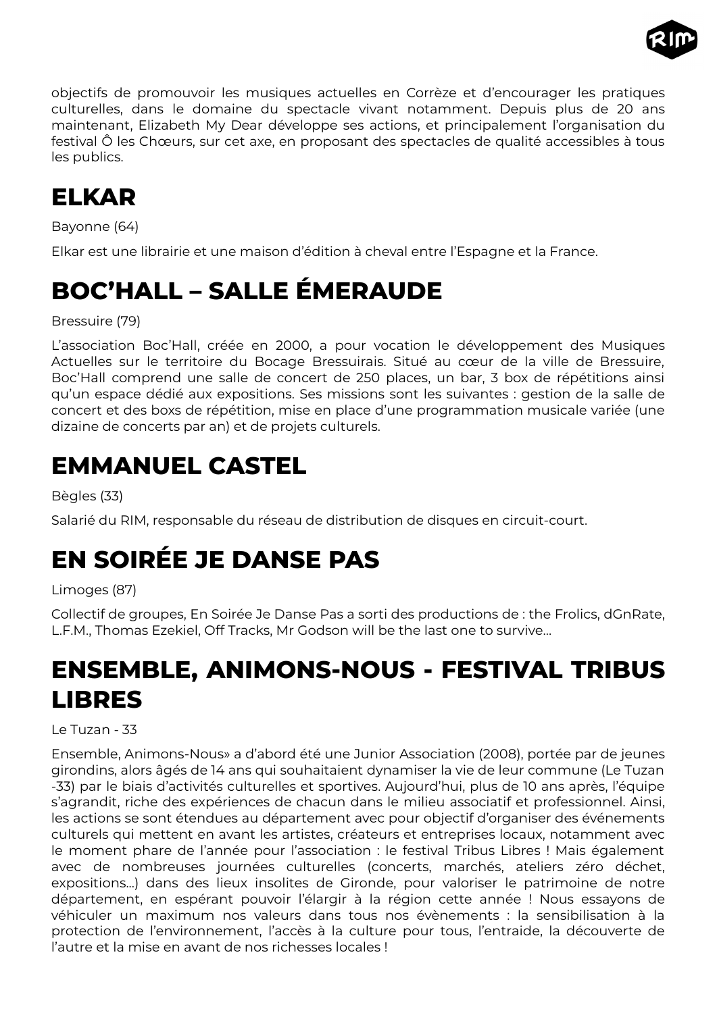

objectifs de promouvoir les musiques actuelles en Corrèze et d'encourager les pratiques culturelles, dans le domaine du spectacle vivant notamment. Depuis plus de 20 ans maintenant, Elizabeth My Dear développe ses actions, et principalement l'organisation du festival Ô les Chœurs, sur cet axe, en proposant des spectacles de qualité accessibles à tous les publics.

## <span id="page-18-4"></span>**ELKAR**

Bayonne (64)

Elkar est une librairie et une maison d'édition à cheval entre l'Espagne et la France.

# <span id="page-18-3"></span>**BOC'HALL – SALLE ÉMERAUDE**

Bressuire (79)

L'association Boc'Hall, créée en 2000, a pour vocation le développement des Musiques Actuelles sur le territoire du Bocage Bressuirais. Situé au cœur de la ville de Bressuire, Boc'Hall comprend une salle de concert de 250 places, un bar, 3 box de répétitions ainsi qu'un espace dédié aux expositions. Ses missions sont les suivantes : gestion de la salle de concert et des boxs de répétition, mise en place d'une programmation musicale variée (une dizaine de concerts par an) et de projets culturels.

### <span id="page-18-2"></span>**EMMANUEL CASTEL**

Bègles (33)

Salarié du RIM, responsable du réseau de distribution de disques en circuit-court.

# <span id="page-18-1"></span>**EN SOIRÉE JE DANSE PAS**

#### Limoges (87)

Collectif de groupes, En Soirée Je Danse Pas a sorti des productions de : the Frolics, dGnRate, L.F.M., Thomas Ezekiel, Off Tracks, Mr Godson will be the last one to survive…

# <span id="page-18-0"></span>**ENSEMBLE, ANIMONS-NOUS - FESTIVAL TRIBUS LIBRES**

Le Tuzan - 33

Ensemble, Animons-Nous» a d'abord été une Junior Association (2008), portée par de jeunes girondins, alors âgés de 14 ans qui souhaitaient dynamiser la vie de leur commune (Le Tuzan -33) par le biais d'activités culturelles et sportives. Aujourd'hui, plus de 10 ans après, l'équipe s'agrandit, riche des expériences de chacun dans le milieu associatif et professionnel. Ainsi, les actions se sont étendues au département avec pour objectif d'organiser des événements culturels qui mettent en avant les artistes, créateurs et entreprises locaux, notamment avec le moment phare de l'année pour l'association : le festival Tribus Libres ! Mais également avec de nombreuses journées culturelles (concerts, marchés, ateliers zéro déchet, expositions...) dans des lieux insolites de Gironde, pour valoriser le patrimoine de notre département, en espérant pouvoir l'élargir à la région cette année ! Nous essayons de véhiculer un maximum nos valeurs dans tous nos évènements : la sensibilisation à la protection de l'environnement, l'accès à la culture pour tous, l'entraide, la découverte de l'autre et la mise en avant de nos richesses locales !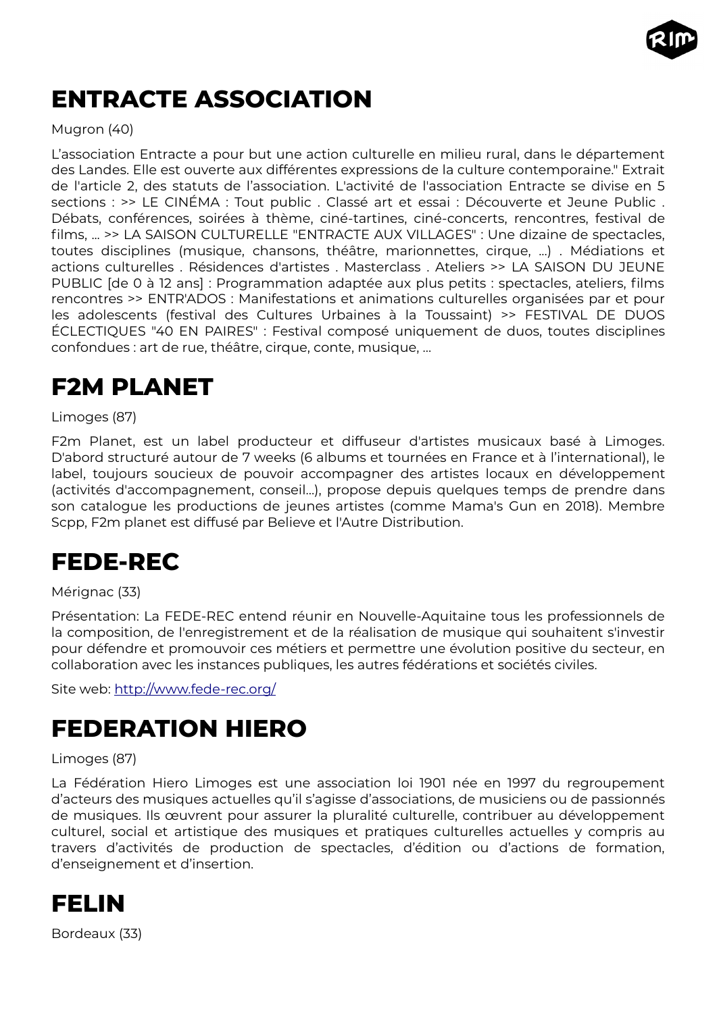

# <span id="page-19-4"></span>**ENTRACTE ASSOCIATION**

#### Mugron (40)

L'association Entracte a pour but une action culturelle en milieu rural, dans le département des Landes. Elle est ouverte aux différentes expressions de la culture contemporaine." Extrait de l'article 2, des statuts de l'association. L'activité de l'association Entracte se divise en 5 sections : >> LE CINÉMA : Tout public . Classé art et essai : Découverte et Jeune Public . Débats, conférences, soirées à thème, ciné-tartines, ciné-concerts, rencontres, festival de films, ... >> LA SAISON CULTURELLE "ENTRACTE AUX VILLAGES" : Une dizaine de spectacles, toutes disciplines (musique, chansons, théâtre, marionnettes, cirque, ...) . Médiations et actions culturelles . Résidences d'artistes . Masterclass . Ateliers >> LA SAISON DU JEUNE PUBLIC [de 0 à 12 ans] : Programmation adaptée aux plus petits : spectacles, ateliers, films rencontres >> ENTR'ADOS : Manifestations et animations culturelles organisées par et pour les adolescents (festival des Cultures Urbaines à la Toussaint) >> FESTIVAL DE DUOS ÉCLECTIQUES "40 EN PAIRES" : Festival composé uniquement de duos, toutes disciplines confondues : art de rue, théâtre, cirque, conte, musique, ...

### <span id="page-19-3"></span>**F2M PLANET**

#### Limoges (87)

F2m Planet, est un label producteur et diffuseur d'artistes musicaux basé à Limoges. D'abord structuré autour de 7 weeks (6 albums et tournées en France et à l'international), le label, toujours soucieux de pouvoir accompagner des artistes locaux en développement (activités d'accompagnement, conseil…), propose depuis quelques temps de prendre dans son catalogue les productions de jeunes artistes (comme Mama's Gun en 2018). Membre Scpp, F2m planet est diffusé par Believe et l'Autre Distribution.

### <span id="page-19-2"></span>**FEDE-REC**

#### Mérignac (33)

Présentation: La FEDE-REC entend réunir en Nouvelle-Aquitaine tous les professionnels de la composition, de l'enregistrement et de la réalisation de musique qui souhaitent s'investir pour défendre et promouvoir ces métiers et permettre une évolution positive du secteur, en collaboration avec les instances publiques, les autres fédérations et sociétés civiles.

Site web: <http://www.fede-rec.org/>

### <span id="page-19-1"></span>**FEDERATION HIERO**

#### Limoges (87)

La Fédération Hiero Limoges est une association loi 1901 née en 1997 du regroupement d'acteurs des musiques actuelles qu'il s'agisse d'associations, de musiciens ou de passionnés de musiques. Ils œuvrent pour assurer la pluralité culturelle, contribuer au développement culturel, social et artistique des musiques et pratiques culturelles actuelles y compris au travers d'activités de production de spectacles, d'édition ou d'actions de formation, d'enseignement et d'insertion.

<span id="page-19-0"></span>

Bordeaux (33)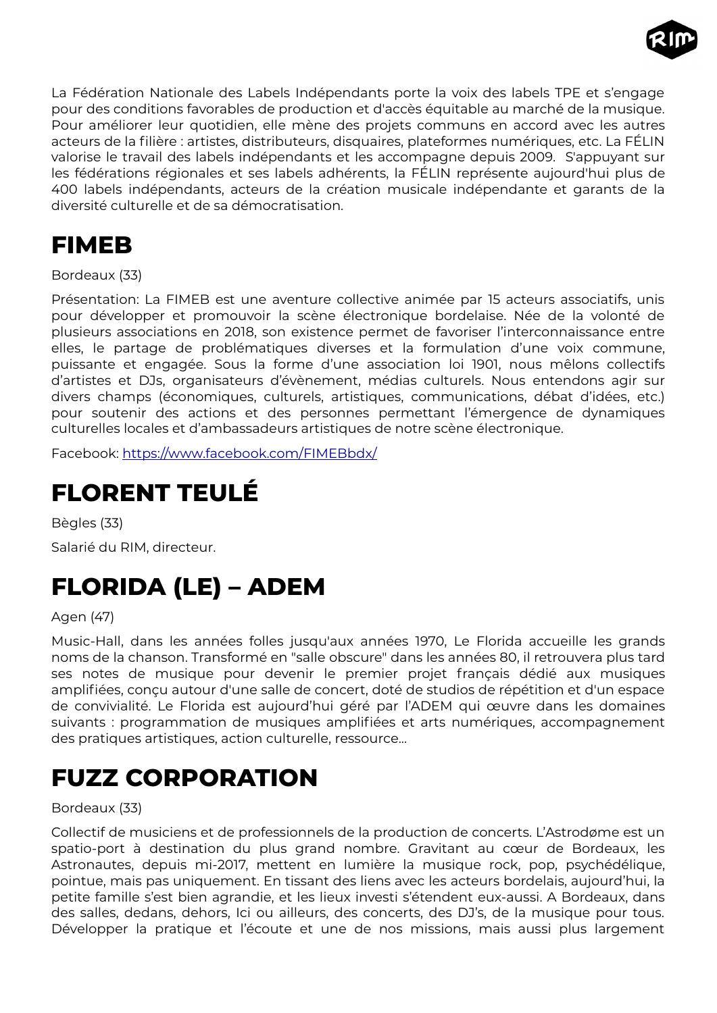

La Fédération Nationale des Labels Indépendants porte la voix des labels TPE et s'engage pour des conditions favorables de production et d'accès équitable au marché de la musique. Pour améliorer leur quotidien, elle mène des projets communs en accord avec les autres acteurs de la filière : artistes, distributeurs, disquaires, plateformes numériques, etc. La FÉLIN valorise le travail des labels indépendants et les accompagne depuis 2009. S'appuyant sur les fédérations régionales et ses labels adhérents, la FÉLIN représente aujourd'hui plus de 400 labels indépendants, acteurs de la création musicale indépendante et garants de la diversité culturelle et de sa démocratisation.

### <span id="page-20-3"></span>**FIMEB**

Bordeaux (33)

Présentation: La FIMEB est une aventure collective animée par 15 acteurs associatifs, unis pour développer et promouvoir la scène électronique bordelaise. Née de la volonté de plusieurs associations en 2018, son existence permet de favoriser l'interconnaissance entre elles, le partage de problématiques diverses et la formulation d'une voix commune, puissante et engagée. Sous la forme d'une association loi 1901, nous mêlons collectifs d'artistes et DJs, organisateurs d'évènement, médias culturels. Nous entendons agir sur divers champs (économiques, culturels, artistiques, communications, débat d'idées, etc.) pour soutenir des actions et des personnes permettant l'émergence de dynamiques culturelles locales et d'ambassadeurs artistiques de notre scène électronique.

Facebook: <https://www.facebook.com/FIMEBbdx/>

## <span id="page-20-2"></span>**FLORENT TEULÉ**

Bègles (33) Salarié du RIM, directeur.

# <span id="page-20-1"></span>**FLORIDA (LE) – ADEM**

Agen (47)

Music-Hall, dans les années folles jusqu'aux années 1970, Le Florida accueille les grands noms de la chanson. Transformé en "salle obscure" dans les années 80, il retrouvera plus tard ses notes de musique pour devenir le premier projet français dédié aux musiques amplifiées, conçu autour d'une salle de concert, doté de studios de répétition et d'un espace de convivialité. Le Florida est aujourd'hui géré par l'ADEM qui œuvre dans les domaines suivants : programmation de musiques amplifiées et arts numériques, accompagnement des pratiques artistiques, action culturelle, ressource...

# <span id="page-20-0"></span>**FUZZ CORPORATION**

#### Bordeaux (33)

Collectif de musiciens et de professionnels de la production de concerts. L'Astrodøme est un spatio-port à destination du plus grand nombre. Gravitant au cœur de Bordeaux, les Astronautes, depuis mi-2017, mettent en lumière la musique rock, pop, psychédélique, pointue, mais pas uniquement. En tissant des liens avec les acteurs bordelais, aujourd'hui, la petite famille s'est bien agrandie, et les lieux investi s'étendent eux-aussi. A Bordeaux, dans des salles, dedans, dehors, Ici ou ailleurs, des concerts, des DJ's, de la musique pour tous. Développer la pratique et l'écoute et une de nos missions, mais aussi plus largement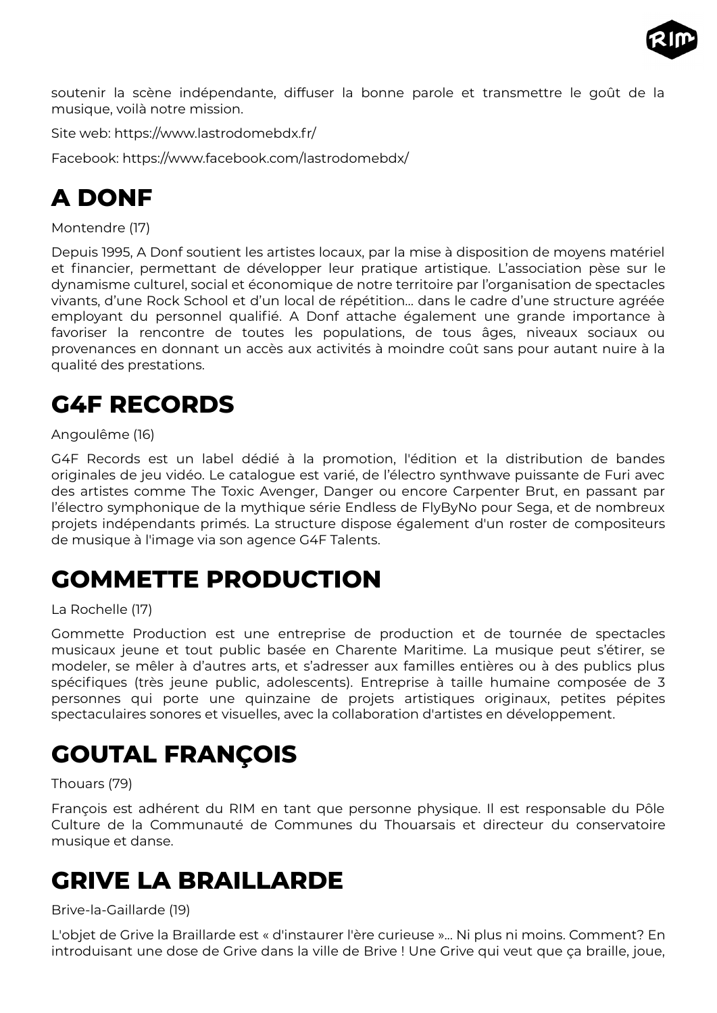

soutenir la scène indépendante, diffuser la bonne parole et transmettre le goût de la musique, voilà notre mission.

Site web: https://www.lastrodomebdx.fr/

Facebook: https://www.facebook.com/lastrodomebdx/

# <span id="page-21-4"></span>**A DONF**

Montendre (17)

Depuis 1995, A Donf soutient les artistes locaux, par la mise à disposition de moyens matériel et financier, permettant de développer leur pratique artistique. L'association pèse sur le dynamisme culturel, social et économique de notre territoire par l'organisation de spectacles vivants, d'une Rock School et d'un local de répétition… dans le cadre d'une structure agréée employant du personnel qualifié. A Donf attache également une grande importance à favoriser la rencontre de toutes les populations, de tous âges, niveaux sociaux ou provenances en donnant un accès aux activités à moindre coût sans pour autant nuire à la qualité des prestations.

# <span id="page-21-3"></span>**G4F RECORDS**

#### Angoulême (16)

G4F Records est un label dédié à la promotion, l'édition et la distribution de bandes originales de jeu vidéo. Le catalogue est varié, de l'électro synthwave puissante de Furi avec des artistes comme The Toxic Avenger, Danger ou encore Carpenter Brut, en passant par l'électro symphonique de la mythique série Endless de FlyByNo pour Sega, et de nombreux projets indépendants primés. La structure dispose également d'un roster de compositeurs de musique à l'image via son agence G4F Talents.

### <span id="page-21-2"></span>**GOMMETTE PRODUCTION**

#### La Rochelle (17)

Gommette Production est une entreprise de production et de tournée de spectacles musicaux jeune et tout public basée en Charente Maritime. La musique peut s'étirer, se modeler, se mêler à d'autres arts, et s'adresser aux familles entières ou à des publics plus spécifiques (très jeune public, adolescents). Entreprise à taille humaine composée de 3 personnes qui porte une quinzaine de projets artistiques originaux, petites pépites spectaculaires sonores et visuelles, avec la collaboration d'artistes en développement.

# <span id="page-21-1"></span>**GOUTAL FRANÇOIS**

#### Thouars (79)

François est adhérent du RIM en tant que personne physique. Il est responsable du Pôle Culture de la Communauté de Communes du Thouarsais et directeur du conservatoire musique et danse.

### <span id="page-21-0"></span>**GRIVE LA BRAILLARDE**

#### Brive-la-Gaillarde (19)

L'objet de Grive la Braillarde est « d'instaurer l'ère curieuse »... Ni plus ni moins. Comment? En introduisant une dose de Grive dans la ville de Brive ! Une Grive qui veut que ça braille, joue,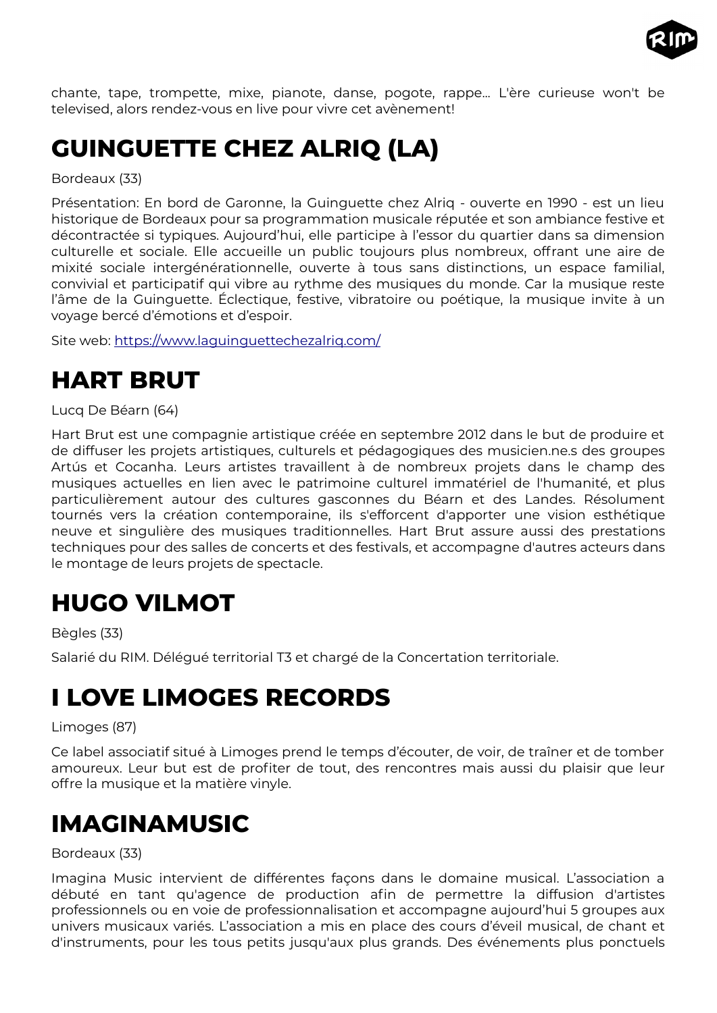

chante, tape, trompette, mixe, pianote, danse, pogote, rappe... L'ère curieuse won't be televised, alors rendez-vous en live pour vivre cet avènement!

# <span id="page-22-4"></span>**GUINGUETTE CHEZ ALRIQ (LA)**

Bordeaux (33)

Présentation: En bord de Garonne, la Guinguette chez Alriq - ouverte en 1990 - est un lieu historique de Bordeaux pour sa programmation musicale réputée et son ambiance festive et décontractée si typiques. Aujourd'hui, elle participe à l'essor du quartier dans sa dimension culturelle et sociale. Elle accueille un public toujours plus nombreux, offrant une aire de mixité sociale intergénérationnelle, ouverte à tous sans distinctions, un espace familial, convivial et participatif qui vibre au rythme des musiques du monde. Car la musique reste l'âme de la Guinguette. Éclectique, festive, vibratoire ou poétique, la musique invite à un voyage bercé d'émotions et d'espoir.

Site web: <https://www.laguinguettechezalriq.com/>

## <span id="page-22-3"></span>**HART BRUT**

Lucq De Béarn (64)

Hart Brut est une compagnie artistique créée en septembre 2012 dans le but de produire et de diffuser les projets artistiques, culturels et pédagogiques des musicien.ne.s des groupes Artús et Cocanha. Leurs artistes travaillent à de nombreux projets dans le champ des musiques actuelles en lien avec le patrimoine culturel immatériel de l'humanité, et plus particulièrement autour des cultures gasconnes du Béarn et des Landes. Résolument tournés vers la création contemporaine, ils s'efforcent d'apporter une vision esthétique neuve et singulière des musiques traditionnelles. Hart Brut assure aussi des prestations techniques pour des salles de concerts et des festivals, et accompagne d'autres acteurs dans le montage de leurs projets de spectacle.

### <span id="page-22-2"></span>**HUGO VILMOT**

Bègles (33)

Salarié du RIM. Délégué territorial T3 et chargé de la Concertation territoriale.

### <span id="page-22-1"></span>**I LOVE LIMOGES RECORDS**

Limoges (87)

Ce label associatif situé à Limoges prend le temps d'écouter, de voir, de traîner et de tomber amoureux. Leur but est de profiter de tout, des rencontres mais aussi du plaisir que leur offre la musique et la matière vinyle.

### <span id="page-22-0"></span>**IMAGINAMUSIC**

Bordeaux (33)

Imagina Music intervient de différentes façons dans le domaine musical. L'association a débuté en tant qu'agence de production afin de permettre la diffusion d'artistes professionnels ou en voie de professionnalisation et accompagne aujourd'hui 5 groupes aux univers musicaux variés. L'association a mis en place des cours d'éveil musical, de chant et d'instruments, pour les tous petits jusqu'aux plus grands. Des événements plus ponctuels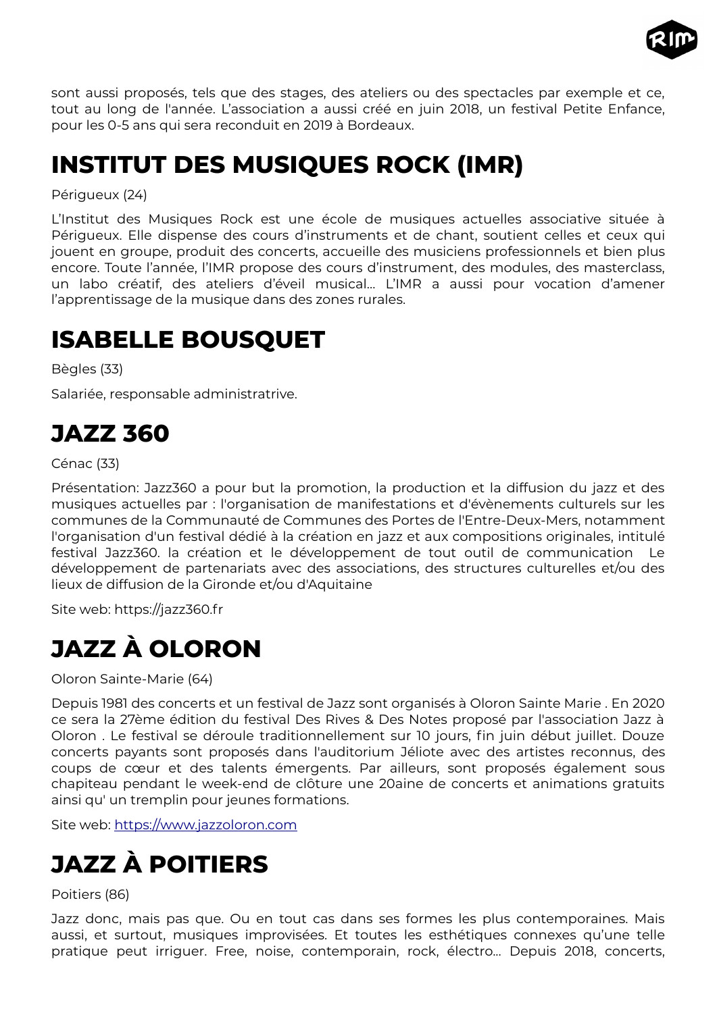

sont aussi proposés, tels que des stages, des ateliers ou des spectacles par exemple et ce, tout au long de l'année. L'association a aussi créé en juin 2018, un festival Petite Enfance, pour les 0-5 ans qui sera reconduit en 2019 à Bordeaux.

## <span id="page-23-4"></span>**INSTITUT DES MUSIQUES ROCK (IMR)**

Périgueux (24)

L'Institut des Musiques Rock est une école de musiques actuelles associative située à Périgueux. Elle dispense des cours d'instruments et de chant, soutient celles et ceux qui jouent en groupe, produit des concerts, accueille des musiciens professionnels et bien plus encore. Toute l'année, l'IMR propose des cours d'instrument, des modules, des masterclass, un labo créatif, des ateliers d'éveil musical… L'IMR a aussi pour vocation d'amener l'apprentissage de la musique dans des zones rurales.

# <span id="page-23-3"></span>**ISABELLE BOUSQUET**

Bègles (33)

Salariée, responsable administratrive.

### <span id="page-23-2"></span>**JAZZ 360**

Cénac (33)

Présentation: Jazz360 a pour but la promotion, la production et la diffusion du jazz et des musiques actuelles par : l'organisation de manifestations et d'évènements culturels sur les communes de la Communauté de Communes des Portes de l'Entre-Deux-Mers, notamment l'organisation d'un festival dédié à la création en jazz et aux compositions originales, intitulé festival Jazz360. la création et le développement de tout outil de communication Le développement de partenariats avec des associations, des structures culturelles et/ou des lieux de diffusion de la Gironde et/ou d'Aquitaine

Site web: https://jazz360.fr

# <span id="page-23-1"></span>**JAZZ À OLORON**

Oloron Sainte-Marie (64)

Depuis 1981 des concerts et un festival de Jazz sont organisés à Oloron Sainte Marie . En 2020 ce sera la 27ème édition du festival Des Rives & Des Notes proposé par l'association Jazz à Oloron . Le festival se déroule traditionnellement sur 10 jours, fin juin début juillet. Douze concerts payants sont proposés dans l'auditorium Jéliote avec des artistes reconnus, des coups de cœur et des talents émergents. Par ailleurs, sont proposés également sous chapiteau pendant le week-end de clôture une 20aine de concerts et animations gratuits ainsi qu' un tremplin pour jeunes formations.

Site web: [https://www.jazzoloron.com](https://www.jazzoloron.com/)

# <span id="page-23-0"></span>**JAZZ À POITIERS**

#### Poitiers (86)

Jazz donc, mais pas que. Ou en tout cas dans ses formes les plus contemporaines. Mais aussi, et surtout, musiques improvisées. Et toutes les esthétiques connexes qu'une telle pratique peut irriguer. Free, noise, contemporain, rock, électro... Depuis 2018, concerts,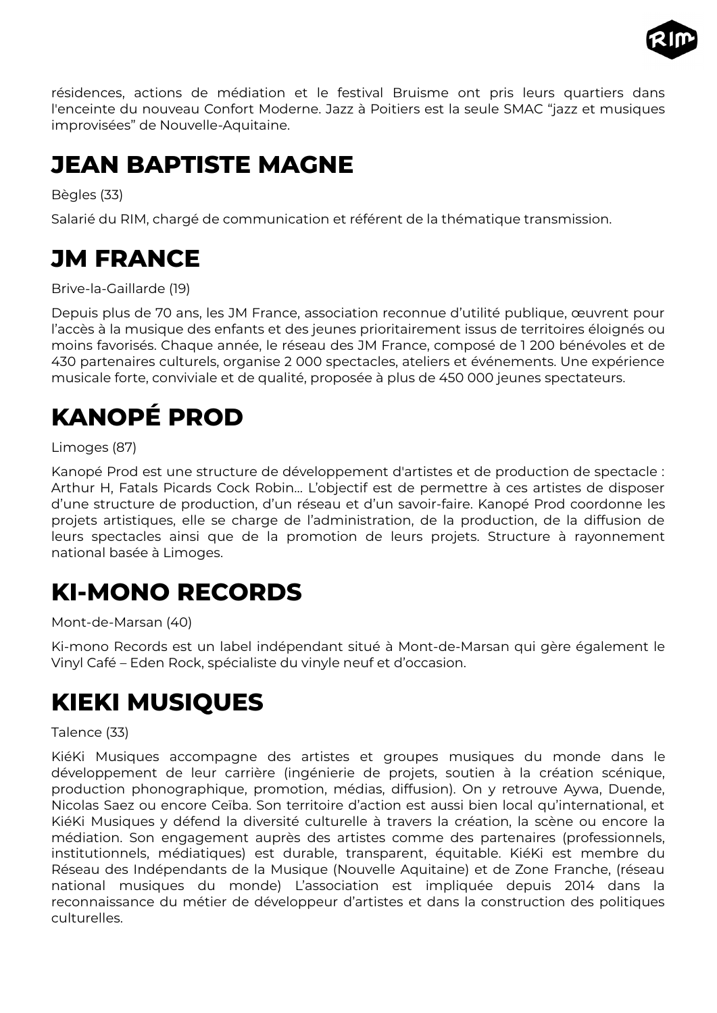

résidences, actions de médiation et le festival Bruisme ont pris leurs quartiers dans l'enceinte du nouveau Confort Moderne. Jazz à Poitiers est la seule SMAC "jazz et musiques improvisées" de Nouvelle-Aquitaine.

## <span id="page-24-4"></span>**JEAN BAPTISTE MAGNE**

Bègles (33)

Salarié du RIM, chargé de communication et référent de la thématique transmission.

# <span id="page-24-3"></span>**JM FRANCE**

Brive-la-Gaillarde (19)

Depuis plus de 70 ans, les JM France, association reconnue d'utilité publique, œuvrent pour l'accès à la musique des enfants et des jeunes prioritairement issus de territoires éloignés ou moins favorisés. Chaque année, le réseau des JM France, composé de 1 200 bénévoles et de 430 partenaires culturels, organise 2 000 spectacles, ateliers et événements. Une expérience musicale forte, conviviale et de qualité, proposée à plus de 450 000 jeunes spectateurs.

# <span id="page-24-2"></span>**KANOPÉ PROD**

Limoges (87)

Kanopé Prod est une structure de développement d'artistes et de production de spectacle : Arthur H, Fatals Picards Cock Robin… L'objectif est de permettre à ces artistes de disposer d'une structure de production, d'un réseau et d'un savoir-faire. Kanopé Prod coordonne les projets artistiques, elle se charge de l'administration, de la production, de la diffusion de leurs spectacles ainsi que de la promotion de leurs projets. Structure à rayonnement national basée à Limoges.

# <span id="page-24-1"></span>**KI-MONO RECORDS**

Mont-de-Marsan (40)

Ki-mono Records est un label indépendant situé à Mont-de-Marsan qui gère également le Vinyl Café – Eden Rock, spécialiste du vinyle neuf et d'occasion.

### <span id="page-24-0"></span>**KIEKI MUSIQUES**

Talence (33)

KiéKi Musiques accompagne des artistes et groupes musiques du monde dans le développement de leur carrière (ingénierie de projets, soutien à la création scénique, production phonographique, promotion, médias, diffusion). On y retrouve Aywa, Duende, Nicolas Saez ou encore Ceïba. Son territoire d'action est aussi bien local qu'international, et KiéKi Musiques y défend la diversité culturelle à travers la création, la scène ou encore la médiation. Son engagement auprès des artistes comme des partenaires (professionnels, institutionnels, médiatiques) est durable, transparent, équitable. KiéKi est membre du Réseau des Indépendants de la Musique (Nouvelle Aquitaine) et de Zone Franche, (réseau national musiques du monde) L'association est impliquée depuis 2014 dans la reconnaissance du métier de développeur d'artistes et dans la construction des politiques culturelles.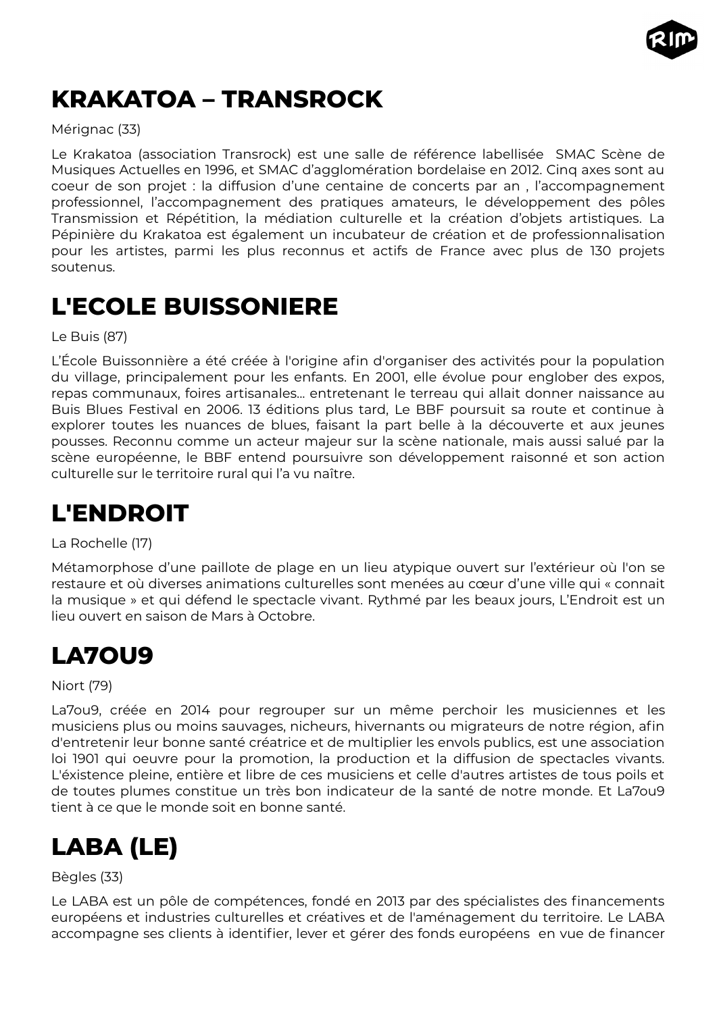

# <span id="page-25-4"></span>**KRAKATOA – TRANSROCK**

#### Mérignac (33)

Le Krakatoa (association Transrock) est une salle de référence labellisée SMAC Scène de Musiques Actuelles en 1996, et SMAC d'agglomération bordelaise en 2012. Cinq axes sont au coeur de son projet : la diffusion d'une centaine de concerts par an , l'accompagnement professionnel, l'accompagnement des pratiques amateurs, le développement des pôles Transmission et Répétition, la médiation culturelle et la création d'objets artistiques. La Pépinière du Krakatoa est également un incubateur de création et de professionnalisation pour les artistes, parmi les plus reconnus et actifs de France avec plus de 130 projets soutenus.

### <span id="page-25-3"></span>**L'ECOLE BUISSONIERE**

Le Buis (87)

L'École Buissonnière a été créée à l'origine afin d'organiser des activités pour la population du village, principalement pour les enfants. En 2001, elle évolue pour englober des expos, repas communaux, foires artisanales... entretenant le terreau qui allait donner naissance au Buis Blues Festival en 2006. 13 éditions plus tard, Le BBF poursuit sa route et continue à explorer toutes les nuances de blues, faisant la part belle à la découverte et aux jeunes pousses. Reconnu comme un acteur majeur sur la scène nationale, mais aussi salué par la scène européenne, le BBF entend poursuivre son développement raisonné et son action culturelle sur le territoire rural qui l'a vu naître.

## <span id="page-25-2"></span>**L'ENDROIT**

La Rochelle (17)

Métamorphose d'une paillote de plage en un lieu atypique ouvert sur l'extérieur où l'on se restaure et où diverses animations culturelles sont menées au cœur d'une ville qui « connait la musique » et qui défend le spectacle vivant. Rythmé par les beaux jours, L'Endroit est un lieu ouvert en saison de Mars à Octobre.

### <span id="page-25-1"></span>**LA7OU9**

Niort (79)

La7ou9, créée en 2014 pour regrouper sur un même perchoir les musiciennes et les musiciens plus ou moins sauvages, nicheurs, hivernants ou migrateurs de notre région, afin d'entretenir leur bonne santé créatrice et de multiplier les envols publics, est une association loi 1901 qui oeuvre pour la promotion, la production et la diffusion de spectacles vivants. L'éxistence pleine, entière et libre de ces musiciens et celle d'autres artistes de tous poils et de toutes plumes constitue un très bon indicateur de la santé de notre monde. Et La7ou9 tient à ce que le monde soit en bonne santé.

# <span id="page-25-0"></span>**LABA (LE)**

#### Bègles (33)

Le LABA est un pôle de compétences, fondé en 2013 par des spécialistes des financements européens et industries culturelles et créatives et de l'aménagement du territoire. Le LABA accompagne ses clients à identifier, lever et gérer des fonds européens en vue de financer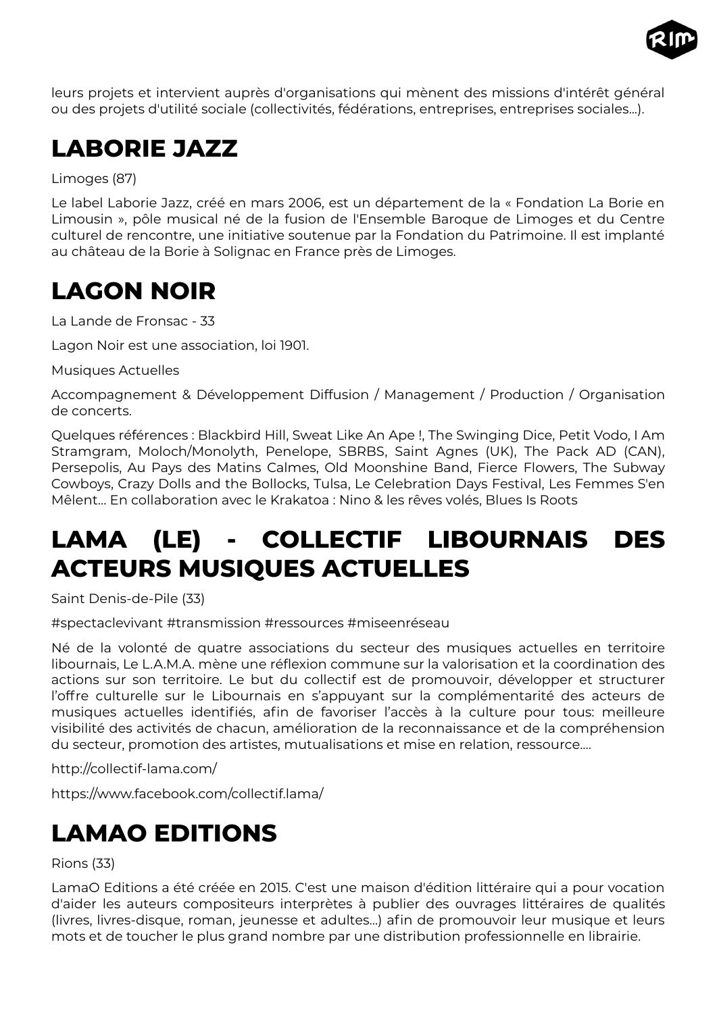

leurs projets et intervient auprès d'organisations qui mènent des missions d'intérêt général ou des projets d'utilité sociale (collectivités, fédérations, entreprises, entreprises sociales...).

# <span id="page-26-3"></span>**LABORIE JAZZ**

Limoges (87)

Le label Laborie Jazz, créé en mars 2006, est un département de la « Fondation La Borie en Limousin », pôle musical né de la fusion de l'Ensemble Baroque de Limoges et du Centre culturel de rencontre, une initiative soutenue par la Fondation du Patrimoine. Il est implanté au château de la Borie à Solignac en France près de Limoges.

# <span id="page-26-2"></span>**LAGON NOIR**

La Lande de Fronsac - 33

Lagon Noir est une association, loi 1901.

Musiques Actuelles

Accompagnement & Développement Diffusion / Management / Production / Organisation de concerts.

Quelques références : Blackbird Hill, Sweat Like An Ape !, The Swinging Dice, Petit Vodo, I Am Stramgram, Moloch/Monolyth, Penelope, SBRBS, Saint Agnes (UK), The Pack AD (CAN), Persepolis, Au Pays des Matins Calmes, Old Moonshine Band, Fierce Flowers, The Subway Cowboys, Crazy Dolls and the Bollocks, Tulsa, Le Celebration Days Festival, Les Femmes S'en Mêlent... En collaboration avec le Krakatoa : Nino & les rêves volés, Blues Is Roots

# <span id="page-26-1"></span>**LAMA (LE) - COLLECTIF LIBOURNAIS DES ACTEURS MUSIQUES ACTUELLES**

Saint Denis-de-Pile (33)

#spectaclevivant #transmission #ressources #miseenréseau

Né de la volonté de quatre associations du secteur des musiques actuelles en territoire libournais, Le L.A.M.A. mène une réflexion commune sur la valorisation et la coordination des actions sur son territoire. Le but du collectif est de promouvoir, développer et structurer l'offre culturelle sur le Libournais en s'appuyant sur la complémentarité des acteurs de musiques actuelles identifiés, afin de favoriser l'accès à la culture pour tous: meilleure visibilité des activités de chacun, amélioration de la reconnaissance et de la compréhension du secteur, promotion des artistes, mutualisations et mise en relation, ressource....

http://collectif-lama.com/

https://www.facebook.com/collectif.lama/

# <span id="page-26-0"></span>**LAMAO EDITIONS**

Rions (33)

LamaO Editions a été créée en 2015. C'est une maison d'édition littéraire qui a pour vocation d'aider les auteurs compositeurs interprètes à publier des ouvrages littéraires de qualités (livres, livres-disque, roman, jeunesse et adultes...) afin de promouvoir leur musique et leurs mots et de toucher le plus grand nombre par une distribution professionnelle en librairie.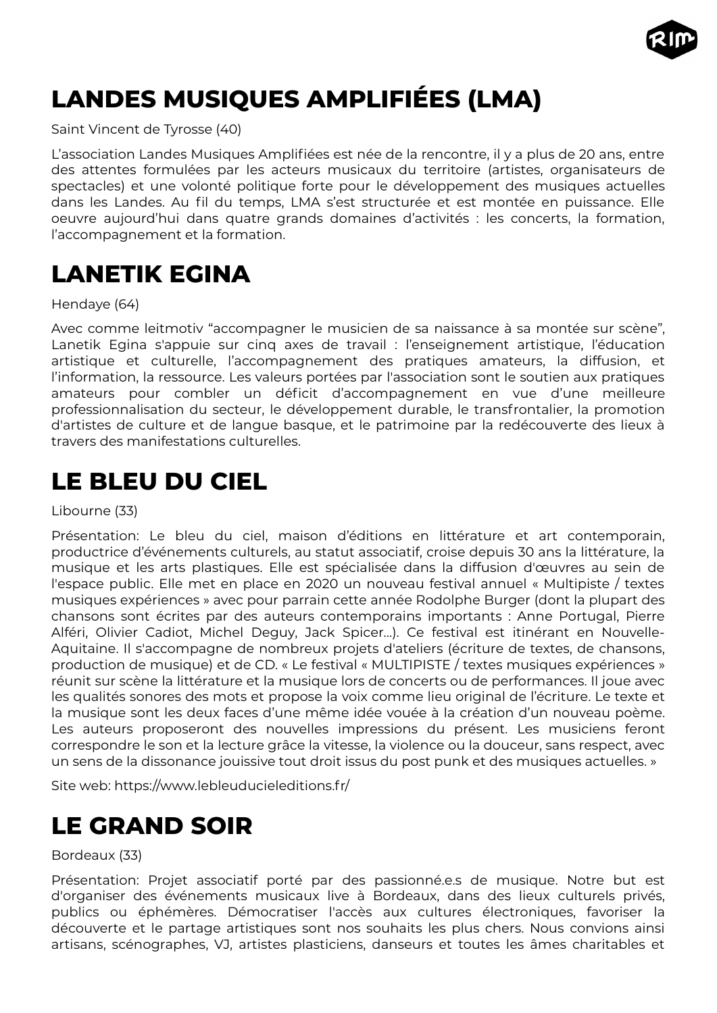

# <span id="page-27-3"></span>**LANDES MUSIQUES AMPLIFIÉES (LMA)**

Saint Vincent de Tyrosse (40)

L'association Landes Musiques Amplifiées est née de la rencontre, il y a plus de 20 ans, entre des attentes formulées par les acteurs musicaux du territoire (artistes, organisateurs de spectacles) et une volonté politique forte pour le développement des musiques actuelles dans les Landes. Au fil du temps, LMA s'est structurée et est montée en puissance. Elle oeuvre aujourd'hui dans quatre grands domaines d'activités : les concerts, la formation, l'accompagnement et la formation.

## <span id="page-27-2"></span>**LANETIK EGINA**

Hendaye (64)

Avec comme leitmotiv "accompagner le musicien de sa naissance à sa montée sur scène", Lanetik Egina s'appuie sur cinq axes de travail : l'enseignement artistique, l'éducation artistique et culturelle, l'accompagnement des pratiques amateurs, la diffusion, et l'information, la ressource. Les valeurs portées par l'association sont le soutien aux pratiques amateurs pour combler un déficit d'accompagnement en vue d'une meilleure professionnalisation du secteur, le développement durable, le transfrontalier, la promotion d'artistes de culture et de langue basque, et le patrimoine par la redécouverte des lieux à travers des manifestations culturelles.

## <span id="page-27-1"></span>**LE BLEU DU CIEL**

Libourne (33)

Présentation: Le bleu du ciel, maison d'éditions en littérature et art contemporain, productrice d'événements culturels, au statut associatif, croise depuis 30 ans la littérature, la musique et les arts plastiques. Elle est spécialisée dans la diffusion d'œuvres au sein de l'espace public. Elle met en place en 2020 un nouveau festival annuel « Multipiste / textes musiques expériences » avec pour parrain cette année Rodolphe Burger (dont la plupart des chansons sont écrites par des auteurs contemporains importants : Anne Portugal, Pierre Alféri, Olivier Cadiot, Michel Deguy, Jack Spicer…). Ce festival est itinérant en Nouvelle-Aquitaine. Il s'accompagne de nombreux projets d'ateliers (écriture de textes, de chansons, production de musique) et de CD. « Le festival « MULTIPISTE / textes musiques expériences » réunit sur scène la littérature et la musique lors de concerts ou de performances. Il joue avec les qualités sonores des mots et propose la voix comme lieu original de l'écriture. Le texte et la musique sont les deux faces d'une même idée vouée à la création d'un nouveau poème. Les auteurs proposeront des nouvelles impressions du présent. Les musiciens feront correspondre le son et la lecture grâce la vitesse, la violence ou la douceur, sans respect, avec un sens de la dissonance jouissive tout droit issus du post punk et des musiques actuelles. »

Site web: https://www.lebleuducieleditions.fr/

### <span id="page-27-0"></span>**LE GRAND SOIR**

Bordeaux (33)

Présentation: Projet associatif porté par des passionné.e.s de musique. Notre but est d'organiser des événements musicaux live à Bordeaux, dans des lieux culturels privés, publics ou éphémères. Démocratiser l'accès aux cultures électroniques, favoriser la découverte et le partage artistiques sont nos souhaits les plus chers. Nous convions ainsi artisans, scénographes, VJ, artistes plasticiens, danseurs et toutes les âmes charitables et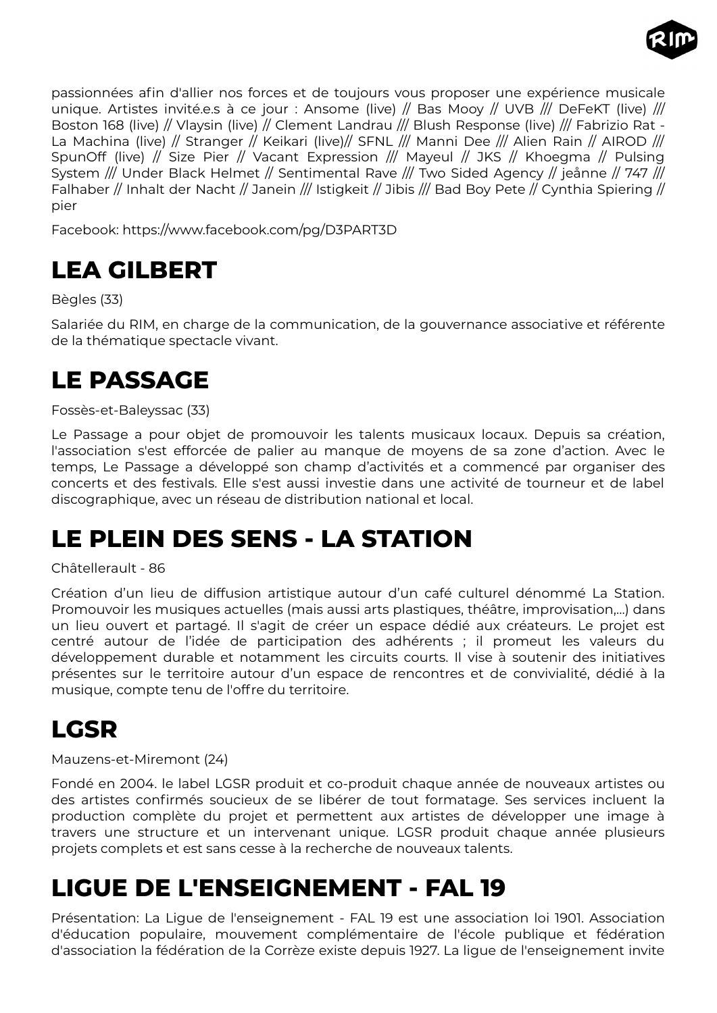

passionnées afin d'allier nos forces et de toujours vous proposer une expérience musicale unique. Artistes invité.e.s à ce jour : Ansome (live) // Bas Mooy // UVB /// DeFeKT (live) /// Boston 168 (live) // Vlaysin (live) // Clement Landrau /// Blush Response (live) /// Fabrizio Rat -La Machina (live) // Stranger // Keikari (live)// SFNL /// Manni Dee /// Alien Rain // AIROD /// SpunOff (live) // Size Pier // Vacant Expression /// Mayeul // JKS // Khoegma // Pulsing System /// Under Black Helmet // Sentimental Rave /// Two Sided Agency // jeånne // 747 /// Falhaber // Inhalt der Nacht // Janein /// Istigkeit // Jibis /// Bad Boy Pete // Cynthia Spiering // pier

Facebook: https://www.facebook.com/pg/D3PART3D

# <span id="page-28-4"></span>**LEA GILBERT**

#### Bègles (33)

Salariée du RIM, en charge de la communication, de la gouvernance associative et référente de la thématique spectacle vivant.

### <span id="page-28-3"></span>**LE PASSAGE**

#### Fossès-et-Baleyssac (33)

Le Passage a pour objet de promouvoir les talents musicaux locaux. Depuis sa création, l'association s'est efforcée de palier au manque de moyens de sa zone d'action. Avec le temps, Le Passage a développé son champ d'activités et a commencé par organiser des concerts et des festivals. Elle s'est aussi investie dans une activité de tourneur et de label discographique, avec un réseau de distribution national et local.

### <span id="page-28-2"></span>**LE PLEIN DES SENS - LA STATION**

#### Châtellerault - 86

Création d'un lieu de diffusion artistique autour d'un café culturel dénommé La Station. Promouvoir les musiques actuelles (mais aussi arts plastiques, théâtre, improvisation,…) dans un lieu ouvert et partagé. Il s'agit de créer un espace dédié aux créateurs. Le projet est centré autour de l'idée de participation des adhérents ; il promeut les valeurs du développement durable et notamment les circuits courts. Il vise à soutenir des initiatives présentes sur le territoire autour d'un espace de rencontres et de convivialité, dédié à la musique, compte tenu de l'offre du territoire.

### <span id="page-28-1"></span>**LGSR**

Mauzens-et-Miremont (24)

Fondé en 2004. le label LGSR produit et co-produit chaque année de nouveaux artistes ou des artistes confirmés soucieux de se libérer de tout formatage. Ses services incluent la production complète du projet et permettent aux artistes de développer une image à travers une structure et un intervenant unique. LGSR produit chaque année plusieurs projets complets et est sans cesse à la recherche de nouveaux talents.

### <span id="page-28-0"></span>**LIGUE DE L'ENSEIGNEMENT - FAL 19**

Présentation: La Ligue de l'enseignement - FAL 19 est une association loi 1901. Association d'éducation populaire, mouvement complémentaire de l'école publique et fédération d'association la fédération de la Corrèze existe depuis 1927. La ligue de l'enseignement invite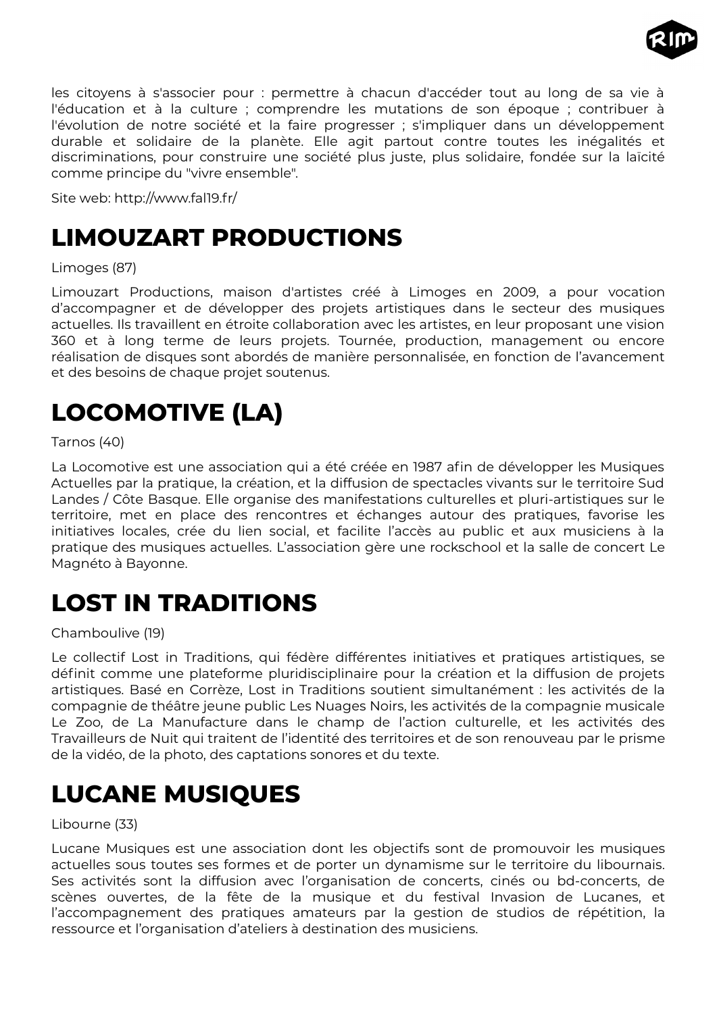

les citoyens à s'associer pour : permettre à chacun d'accéder tout au long de sa vie à l'éducation et à la culture ; comprendre les mutations de son époque ; contribuer à l'évolution de notre société et la faire progresser ; s'impliquer dans un développement durable et solidaire de la planète. Elle agit partout contre toutes les inégalités et discriminations, pour construire une société plus juste, plus solidaire, fondée sur la laïcité comme principe du "vivre ensemble".

Site web: http://www.fal19.fr/

## <span id="page-29-3"></span>**LIMOUZART PRODUCTIONS**

#### Limoges (87)

Limouzart Productions, maison d'artistes créé à Limoges en 2009, a pour vocation d'accompagner et de développer des projets artistiques dans le secteur des musiques actuelles. Ils travaillent en étroite collaboration avec les artistes, en leur proposant une vision 360 et à long terme de leurs projets. Tournée, production, management ou encore réalisation de disques sont abordés de manière personnalisée, en fonction de l'avancement et des besoins de chaque projet soutenus.

# <span id="page-29-2"></span>**LOCOMOTIVE (LA)**

#### Tarnos (40)

La Locomotive est une association qui a été créée en 1987 afin de développer les Musiques Actuelles par la pratique, la création, et la diffusion de spectacles vivants sur le territoire Sud Landes / Côte Basque. Elle organise des manifestations culturelles et pluri-artistiques sur le territoire, met en place des rencontres et échanges autour des pratiques, favorise les initiatives locales, crée du lien social, et facilite l'accès au public et aux musiciens à la pratique des musiques actuelles. L'association gère une rockschool et la salle de concert Le Magnéto à Bayonne.

### <span id="page-29-1"></span>**LOST IN TRADITIONS**

#### Chamboulive (19)

Le collectif Lost in Traditions, qui fédère différentes initiatives et pratiques artistiques, se définit comme une plateforme pluridisciplinaire pour la création et la diffusion de projets artistiques. Basé en Corrèze, Lost in Traditions soutient simultanément : les activités de la compagnie de théâtre jeune public Les Nuages Noirs, les activités de la compagnie musicale Le Zoo, de La Manufacture dans le champ de l'action culturelle, et les activités des Travailleurs de Nuit qui traitent de l'identité des territoires et de son renouveau par le prisme de la vidéo, de la photo, des captations sonores et du texte.

### <span id="page-29-0"></span>**LUCANE MUSIQUES**

#### Libourne (33)

Lucane Musiques est une association dont les objectifs sont de promouvoir les musiques actuelles sous toutes ses formes et de porter un dynamisme sur le territoire du libournais. Ses activités sont la diffusion avec l'organisation de concerts, cinés ou bd-concerts, de scènes ouvertes, de la fête de la musique et du festival Invasion de Lucanes, et l'accompagnement des pratiques amateurs par la gestion de studios de répétition, la ressource et l'organisation d'ateliers à destination des musiciens.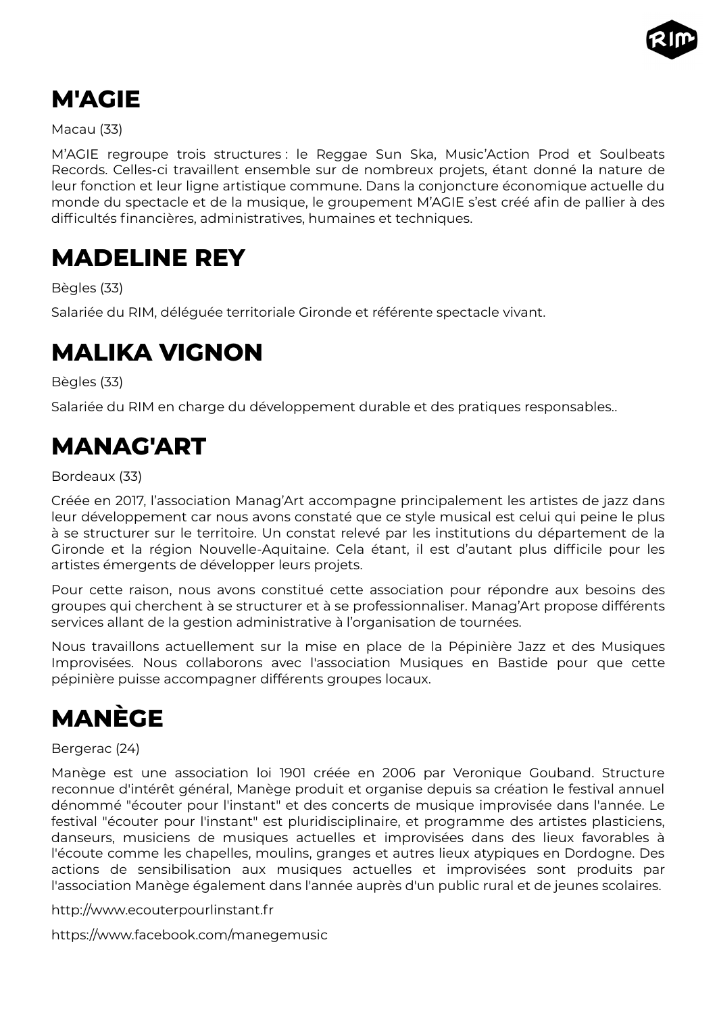

## <span id="page-30-4"></span>**M'AGIE**

Macau (33)

M'AGIE regroupe trois structures : le Reggae Sun Ska, Music'Action Prod et Soulbeats Records. Celles-ci travaillent ensemble sur de nombreux projets, étant donné la nature de leur fonction et leur ligne artistique commune. Dans la conjoncture économique actuelle du monde du spectacle et de la musique, le groupement M'AGIE s'est créé afin de pallier à des difficultés financières, administratives, humaines et techniques.

### <span id="page-30-3"></span>**MADELINE REY**

Bègles (33)

Salariée du RIM, déléguée territoriale Gironde et référente spectacle vivant.

### <span id="page-30-2"></span>**MALIKA VIGNON**

Bègles (33)

Salariée du RIM en charge du développement durable et des pratiques responsables..

## <span id="page-30-1"></span>**MANAG'ART**

Bordeaux (33)

Créée en 2017, l'association Manag'Art accompagne principalement les artistes de jazz dans leur développement car nous avons constaté que ce style musical est celui qui peine le plus à se structurer sur le territoire. Un constat relevé par les institutions du département de la Gironde et la région Nouvelle-Aquitaine. Cela étant, il est d'autant plus difficile pour les artistes émergents de développer leurs projets.

Pour cette raison, nous avons constitué cette association pour répondre aux besoins des groupes qui cherchent à se structurer et à se professionnaliser. Manag'Art propose différents services allant de la gestion administrative à l'organisation de tournées.

Nous travaillons actuellement sur la mise en place de la Pépinière Jazz et des Musiques Improvisées. Nous collaborons avec l'association Musiques en Bastide pour que cette pépinière puisse accompagner différents groupes locaux.

# <span id="page-30-0"></span>**MANÈGE**

#### Bergerac (24)

Manège est une association loi 1901 créée en 2006 par Veronique Gouband. Structure reconnue d'intérêt général, Manège produit et organise depuis sa création le festival annuel dénommé "écouter pour l'instant" et des concerts de musique improvisée dans l'année. Le festival "écouter pour l'instant" est pluridisciplinaire, et programme des artistes plasticiens, danseurs, musiciens de musiques actuelles et improvisées dans des lieux favorables à l'écoute comme les chapelles, moulins, granges et autres lieux atypiques en Dordogne. Des actions de sensibilisation aux musiques actuelles et improvisées sont produits par l'association Manège également dans l'année auprès d'un public rural et de jeunes scolaires.

http://www.ecouterpourlinstant.fr

https://www.facebook.com/manegemusic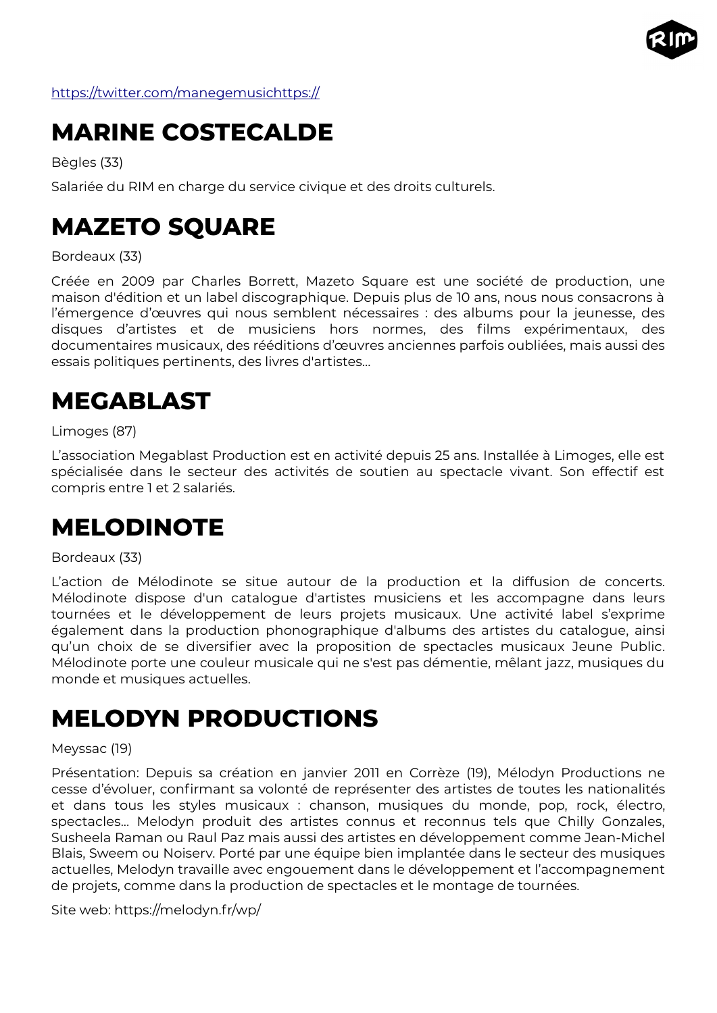

<https://twitter.com/manegemusichttps://>

## <span id="page-31-4"></span>**MARINE COSTECALDE**

Bègles (33)

Salariée du RIM en charge du service civique et des droits culturels.

## <span id="page-31-3"></span>**MAZETO SQUARE**

Bordeaux (33)

Créée en 2009 par Charles Borrett, Mazeto Square est une société de production, une maison d'édition et un label discographique. Depuis plus de 10 ans, nous nous consacrons à l'émergence d'œuvres qui nous semblent nécessaires : des albums pour la jeunesse, des disques d'artistes et de musiciens hors normes, des films expérimentaux, des documentaires musicaux, des rééditions d'œuvres anciennes parfois oubliées, mais aussi des essais politiques pertinents, des livres d'artistes...

## <span id="page-31-2"></span>**MEGABLAST**

Limoges (87)

L'association Megablast Production est en activité depuis 25 ans. Installée à Limoges, elle est spécialisée dans le secteur des activités de soutien au spectacle vivant. Son effectif est compris entre 1 et 2 salariés.

### <span id="page-31-1"></span>**MELODINOTE**

Bordeaux (33)

L'action de Mélodinote se situe autour de la production et la diffusion de concerts. Mélodinote dispose d'un catalogue d'artistes musiciens et les accompagne dans leurs tournées et le développement de leurs projets musicaux. Une activité label s'exprime également dans la production phonographique d'albums des artistes du catalogue, ainsi qu'un choix de se diversifier avec la proposition de spectacles musicaux Jeune Public. Mélodinote porte une couleur musicale qui ne s'est pas démentie, mêlant jazz, musiques du monde et musiques actuelles.

### <span id="page-31-0"></span>**MELODYN PRODUCTIONS**

#### Meyssac (19)

Présentation: Depuis sa création en janvier 2011 en Corrèze (19), Mélodyn Productions ne cesse d'évoluer, confirmant sa volonté de représenter des artistes de toutes les nationalités et dans tous les styles musicaux : chanson, musiques du monde, pop, rock, électro, spectacles... Melodyn produit des artistes connus et reconnus tels que Chilly Gonzales, Susheela Raman ou Raul Paz mais aussi des artistes en développement comme Jean-Michel Blais, Sweem ou Noiserv. Porté par une équipe bien implantée dans le secteur des musiques actuelles, Melodyn travaille avec engouement dans le développement et l'accompagnement de projets, comme dans la production de spectacles et le montage de tournées.

Site web: https://melodyn.fr/wp/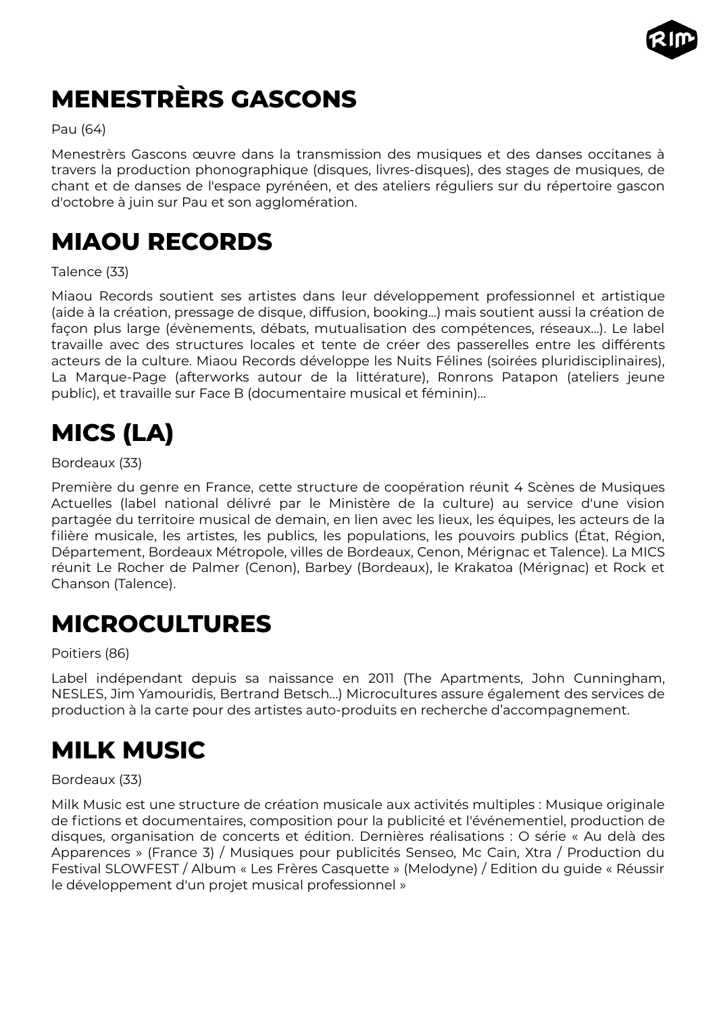

# <span id="page-32-4"></span>**MENESTRÈRS GASCONS**

#### Pau (64)

Menestrèrs Gascons œuvre dans la transmission des musiques et des danses occitanes à travers la production phonographique (disques, livres-disques), des stages de musiques, de chant et de danses de l'espace pyrénéen, et des ateliers réguliers sur du répertoire gascon d'octobre à juin sur Pau et son agglomération.

## <span id="page-32-3"></span>**MIAOU RECORDS**

#### Talence (33)

Miaou Records soutient ses artistes dans leur développement professionnel et artistique (aide à la création, pressage de disque, diffusion, booking...) mais soutient aussi la création de façon plus large (évènements, débats, mutualisation des compétences, réseaux...). Le label travaille avec des structures locales et tente de créer des passerelles entre les différents acteurs de la culture. Miaou Records développe les Nuits Félines (soirées pluridisciplinaires), La Marque-Page (afterworks autour de la littérature), Ronrons Patapon (ateliers jeune public), et travaille sur Face B (documentaire musical et féminin)…

# <span id="page-32-2"></span>**MICS (LA)**

#### Bordeaux (33)

Première du genre en France, cette structure de coopération réunit 4 Scènes de Musiques Actuelles (label national délivré par le Ministère de la culture) au service d'une vision partagée du territoire musical de demain, en lien avec les lieux, les équipes, les acteurs de la filière musicale, les artistes, les publics, les populations, les pouvoirs publics (État, Région, Département, Bordeaux Métropole, villes de Bordeaux, Cenon, Mérignac et Talence). La MICS réunit Le Rocher de Palmer (Cenon), Barbey (Bordeaux), le Krakatoa (Mérignac) et Rock et Chanson (Talence).

### <span id="page-32-1"></span>**MICROCULTURES**

#### Poitiers (86)

Label indépendant depuis sa naissance en 2011 (The Apartments, John Cunningham, NESLES, Jim Yamouridis, Bertrand Betsch…) Microcultures assure également des services de production à la carte pour des artistes auto-produits en recherche d'accompagnement.

### <span id="page-32-0"></span>**MILK MUSIC**

#### Bordeaux (33)

Milk Music est une structure de création musicale aux activités multiples : Musique originale de fictions et documentaires, composition pour la publicité et l'événementiel, production de disques, organisation de concerts et édition. Dernières réalisations : O série « Au delà des Apparences » (France 3) / Musiques pour publicités Senseo, Mc Cain, Xtra / Production du Festival SLOWFEST / Album « Les Frères Casquette » (Melodyne) / Edition du guide « Réussir le développement d'un projet musical professionnel »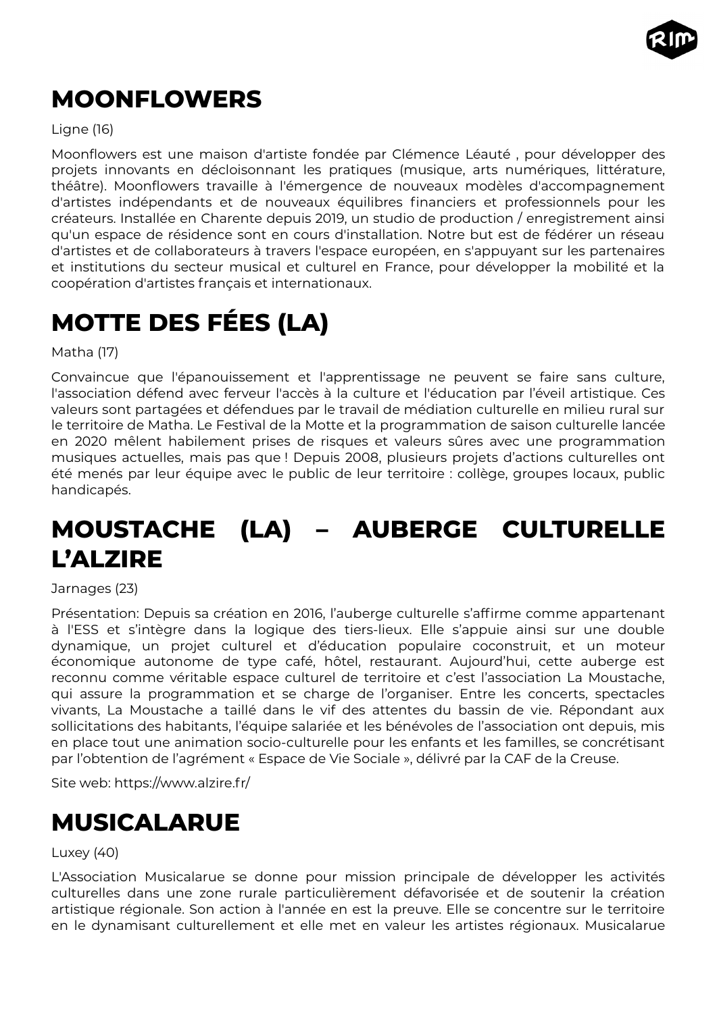

# <span id="page-33-3"></span>**MOONFLOWERS**

Ligne (16)

Moonflowers est une maison d'artiste fondée par Clémence Léauté , pour développer des projets innovants en décloisonnant les pratiques (musique, arts numériques, littérature, théâtre). Moonflowers travaille à l'émergence de nouveaux modèles d'accompagnement d'artistes indépendants et de nouveaux équilibres financiers et professionnels pour les créateurs. Installée en Charente depuis 2019, un studio de production / enregistrement ainsi qu'un espace de résidence sont en cours d'installation. Notre but est de fédérer un réseau d'artistes et de collaborateurs à travers l'espace européen, en s'appuyant sur les partenaires et institutions du secteur musical et culturel en France, pour développer la mobilité et la coopération d'artistes français et internationaux.

# <span id="page-33-2"></span>**MOTTE DES FÉES (LA)**

Matha (17)

Convaincue que l'épanouissement et l'apprentissage ne peuvent se faire sans culture, l'association défend avec ferveur l'accès à la culture et l'éducation par l'éveil artistique. Ces valeurs sont partagées et défendues par le travail de médiation culturelle en milieu rural sur le territoire de Matha. Le Festival de la Motte et la programmation de saison culturelle lancée en 2020 mêlent habilement prises de risques et valeurs sûres avec une programmation musiques actuelles, mais pas que ! Depuis 2008, plusieurs projets d'actions culturelles ont été menés par leur équipe avec le public de leur territoire : collège, groupes locaux, public handicapés.

# <span id="page-33-1"></span>**MOUSTACHE (LA) – AUBERGE CULTURELLE L'ALZIRE**

Jarnages (23)

Présentation: Depuis sa création en 2016, l'auberge culturelle s'affirme comme appartenant à l'ESS et s'intègre dans la logique des tiers-lieux. Elle s'appuie ainsi sur une double dynamique, un projet culturel et d'éducation populaire coconstruit, et un moteur économique autonome de type café, hôtel, restaurant. Aujourd'hui, cette auberge est reconnu comme véritable espace culturel de territoire et c'est l'association La Moustache, qui assure la programmation et se charge de l'organiser. Entre les concerts, spectacles vivants, La Moustache a taillé dans le vif des attentes du bassin de vie. Répondant aux sollicitations des habitants, l'équipe salariée et les bénévoles de l'association ont depuis, mis en place tout une animation socio-culturelle pour les enfants et les familles, se concrétisant par l'obtention de l'agrément « Espace de Vie Sociale », délivré par la CAF de la Creuse.

Site web: https://www.alzire.fr/

### <span id="page-33-0"></span>**MUSICALARUE**

Luxey (40)

L'Association Musicalarue se donne pour mission principale de développer les activités culturelles dans une zone rurale particulièrement défavorisée et de soutenir la création artistique régionale. Son action à l'année en est la preuve. Elle se concentre sur le territoire en le dynamisant culturellement et elle met en valeur les artistes régionaux. Musicalarue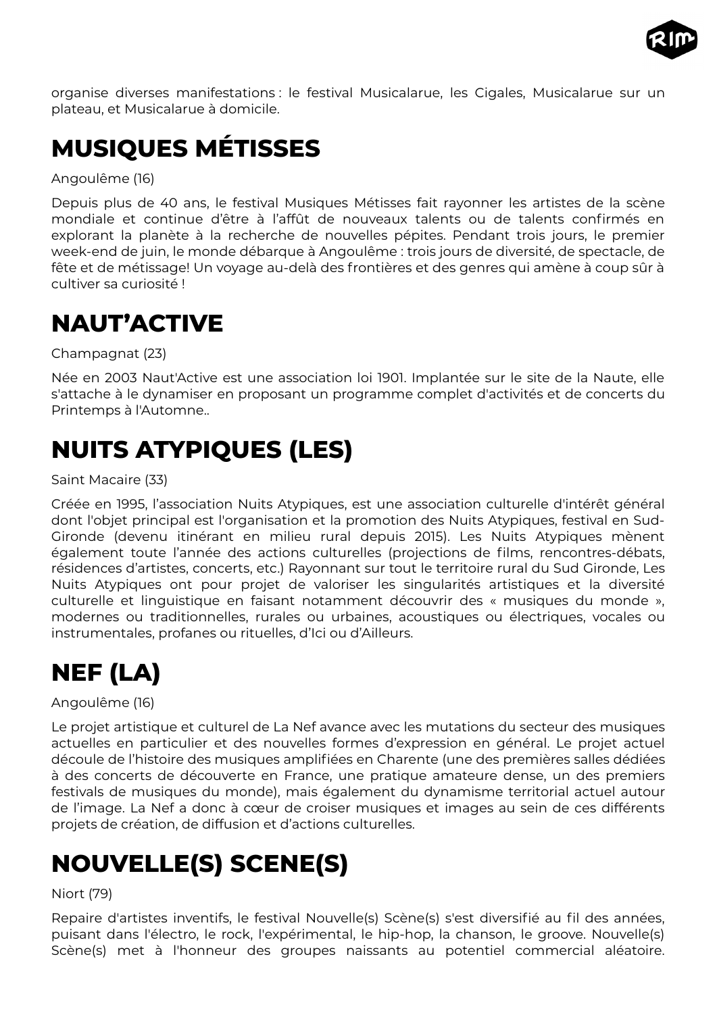

organise diverses manifestations : le festival Musicalarue, les Cigales, Musicalarue sur un plateau, et Musicalarue à domicile.

# <span id="page-34-4"></span>**MUSIQUES MÉTISSES**

Angoulême (16)

Depuis plus de 40 ans, le festival Musiques Métisses fait rayonner les artistes de la scène mondiale et continue d'être à l'affût de nouveaux talents ou de talents confirmés en explorant la planète à la recherche de nouvelles pépites. Pendant trois jours, le premier week-end de juin, le monde débarque à Angoulême : trois jours de diversité, de spectacle, de fête et de métissage! Un voyage au-delà des frontières et des genres qui amène à coup sûr à cultiver sa curiosité !

## <span id="page-34-3"></span>**NAUT'ACTIVE**

Champagnat (23)

Née en 2003 Naut'Active est une association loi 1901. Implantée sur le site de la Naute, elle s'attache à le dynamiser en proposant un programme complet d'activités et de concerts du Printemps à l'Automne..

# <span id="page-34-2"></span>**NUITS ATYPIQUES (LES)**

Saint Macaire (33)

Créée en 1995, l'association Nuits Atypiques, est une association culturelle d'intérêt général dont l'objet principal est l'organisation et la promotion des Nuits Atypiques, festival en Sud-Gironde (devenu itinérant en milieu rural depuis 2015). Les Nuits Atypiques mènent également toute l'année des actions culturelles (projections de films, rencontres-débats, résidences d'artistes, concerts, etc.) Rayonnant sur tout le territoire rural du Sud Gironde, Les Nuits Atypiques ont pour projet de valoriser les singularités artistiques et la diversité culturelle et linguistique en faisant notamment découvrir des « musiques du monde », modernes ou traditionnelles, rurales ou urbaines, acoustiques ou électriques, vocales ou instrumentales, profanes ou rituelles, d'Ici ou d'Ailleurs.

# <span id="page-34-1"></span>**NEF (LA)**

Angoulême (16)

Le projet artistique et culturel de La Nef avance avec les mutations du secteur des musiques actuelles en particulier et des nouvelles formes d'expression en général. Le projet actuel découle de l'histoire des musiques amplifiées en Charente (une des premières salles dédiées à des concerts de découverte en France, une pratique amateure dense, un des premiers festivals de musiques du monde), mais également du dynamisme territorial actuel autour de l'image. La Nef a donc à cœur de croiser musiques et images au sein de ces différents projets de création, de diffusion et d'actions culturelles.

# <span id="page-34-0"></span>**NOUVELLE(S) SCENE(S)**

#### Niort (79)

Repaire d'artistes inventifs, le festival Nouvelle(s) Scène(s) s'est diversifié au fil des années, puisant dans l'électro, le rock, l'expérimental, le hip-hop, la chanson, le groove. Nouvelle(s) Scène(s) met à l'honneur des groupes naissants au potentiel commercial aléatoire.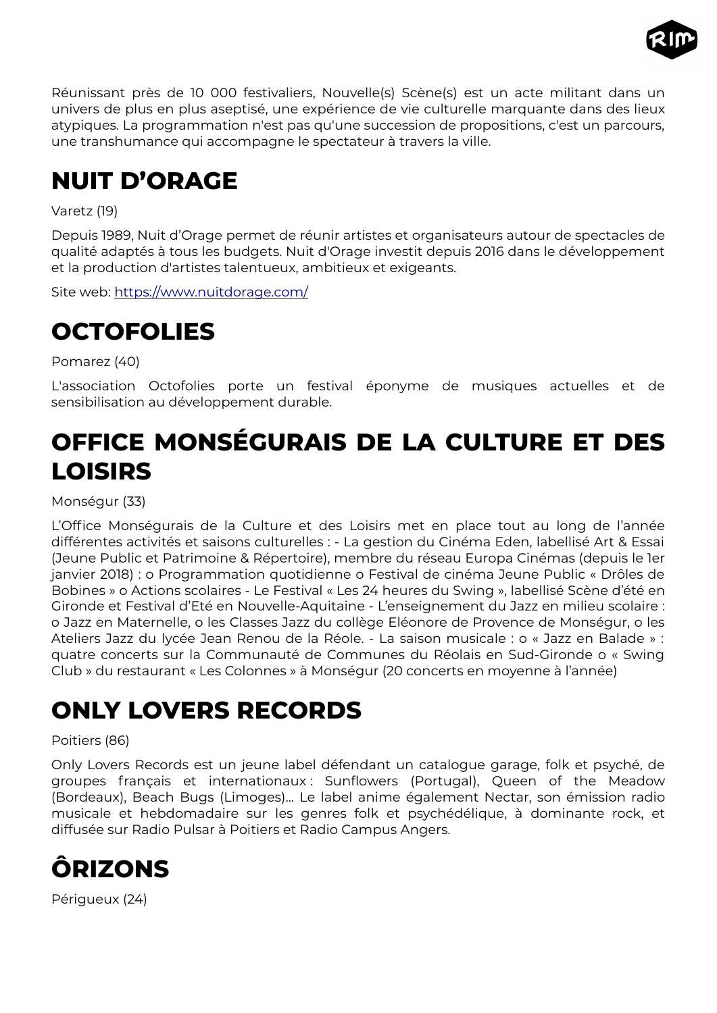

Réunissant près de 10 000 festivaliers, Nouvelle(s) Scène(s) est un acte militant dans un univers de plus en plus aseptisé, une expérience de vie culturelle marquante dans des lieux atypiques. La programmation n'est pas qu'une succession de propositions, c'est un parcours, une transhumance qui accompagne le spectateur à travers la ville.

# <span id="page-35-4"></span>**NUIT D'ORAGE**

#### Varetz (19)

Depuis 1989, Nuit d'Orage permet de réunir artistes et organisateurs autour de spectacles de qualité adaptés à tous les budgets. Nuit d'Orage investit depuis 2016 dans le développement et la production d'artistes talentueux, ambitieux et exigeants.

Site web: <https://www.nuitdorage.com/>

### <span id="page-35-3"></span>**OCTOFOLIES**

Pomarez (40)

L'association Octofolies porte un festival éponyme de musiques actuelles et de sensibilisation au développement durable.

# <span id="page-35-2"></span>**OFFICE MONSÉGURAIS DE LA CULTURE ET DES LOISIRS**

Monségur (33)

L'Office Monségurais de la Culture et des Loisirs met en place tout au long de l'année différentes activités et saisons culturelles : - La gestion du Cinéma Eden, labellisé Art & Essai (Jeune Public et Patrimoine & Répertoire), membre du réseau Europa Cinémas (depuis le 1er janvier 2018) : o Programmation quotidienne o Festival de cinéma Jeune Public « Drôles de Bobines » o Actions scolaires - Le Festival « Les 24 heures du Swing », labellisé Scène d'été en Gironde et Festival d'Eté en Nouvelle-Aquitaine - L'enseignement du Jazz en milieu scolaire : o Jazz en Maternelle, o les Classes Jazz du collège Eléonore de Provence de Monségur, o les Ateliers Jazz du lycée Jean Renou de la Réole. - La saison musicale : o « Jazz en Balade » : quatre concerts sur la Communauté de Communes du Réolais en Sud-Gironde o « Swing Club » du restaurant « Les Colonnes » à Monségur (20 concerts en moyenne à l'année)

# <span id="page-35-1"></span>**ONLY LOVERS RECORDS**

#### Poitiers (86)

Only Lovers Records est un jeune label défendant un catalogue garage, folk et psyché, de groupes français et internationaux : Sunflowers (Portugal), Queen of the Meadow (Bordeaux), Beach Bugs (Limoges)... Le label anime également Nectar, son émission radio musicale et hebdomadaire sur les genres folk et psychédélique, à dominante rock, et diffusée sur Radio Pulsar à Poitiers et Radio Campus Angers.

<span id="page-35-0"></span>

Périgueux (24)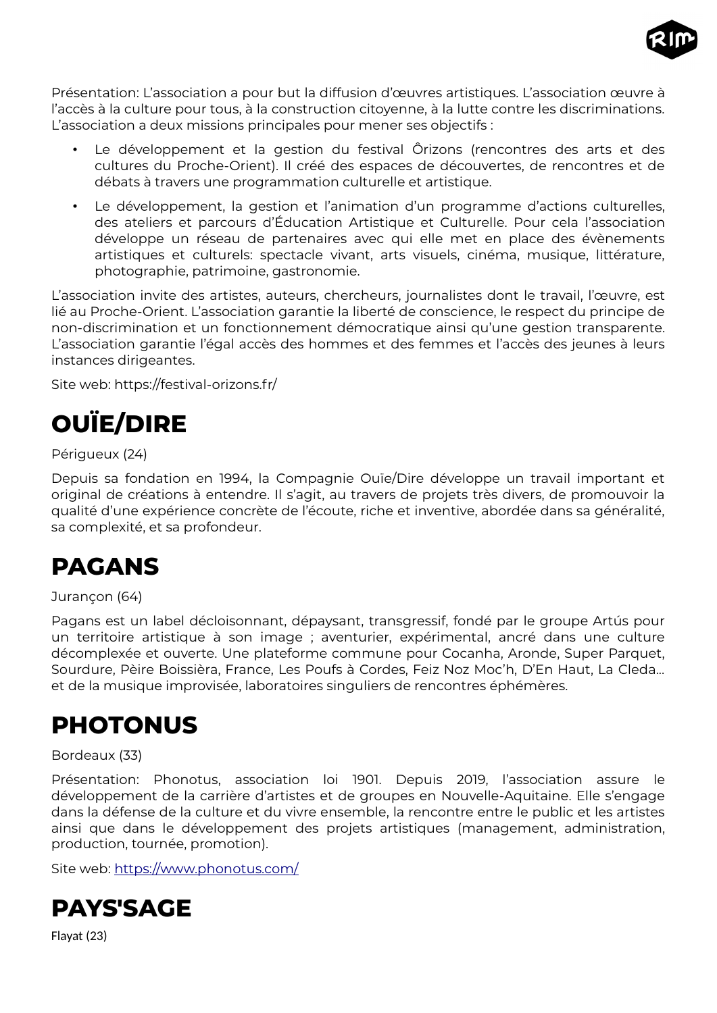

Présentation: L'association a pour but la diffusion d'œuvres artistiques. L'association œuvre à l'accès à la culture pour tous, à la construction citoyenne, à la lutte contre les discriminations. L'association a deux missions principales pour mener ses objectifs :

- Le développement et la gestion du festival Ôrizons (rencontres des arts et des cultures du Proche-Orient). Il créé des espaces de découvertes, de rencontres et de débats à travers une programmation culturelle et artistique.
- Le développement, la gestion et l'animation d'un programme d'actions culturelles, des ateliers et parcours d'Éducation Artistique et Culturelle. Pour cela l'association développe un réseau de partenaires avec qui elle met en place des évènements artistiques et culturels: spectacle vivant, arts visuels, cinéma, musique, littérature, photographie, patrimoine, gastronomie.

L'association invite des artistes, auteurs, chercheurs, journalistes dont le travail, l'œuvre, est lié au Proche-Orient. L'association garantie la liberté de conscience, le respect du principe de non-discrimination et un fonctionnement démocratique ainsi qu'une gestion transparente. L'association garantie l'égal accès des hommes et des femmes et l'accès des jeunes à leurs instances dirigeantes.

Site web: https://festival-orizons.fr/

# <span id="page-36-3"></span>**OUÏE/DIRE**

#### Périgueux (24)

Depuis sa fondation en 1994, la Compagnie Ouïe/Dire développe un travail important et original de créations à entendre. Il s'agit, au travers de projets très divers, de promouvoir la qualité d'une expérience concrète de l'écoute, riche et inventive, abordée dans sa généralité, sa complexité, et sa profondeur.

### <span id="page-36-2"></span>**PAGANS**

Jurançon (64)

Pagans est un label décloisonnant, dépaysant, transgressif, fondé par le groupe Artús pour un territoire artistique à son image ; aventurier, expérimental, ancré dans une culture décomplexée et ouverte. Une plateforme commune pour Cocanha, Aronde, Super Parquet, Sourdure, Pèire Boissièra, France, Les Poufs à Cordes, Feiz Noz Moc'h, D'En Haut, La Cleda... et de la musique improvisée, laboratoires singuliers de rencontres éphémères.

### <span id="page-36-1"></span>**PHOTONUS**

#### Bordeaux (33)

Présentation: Phonotus, association loi 1901. Depuis 2019, l'association assure le développement de la carrière d'artistes et de groupes en Nouvelle-Aquitaine. Elle s'engage dans la défense de la culture et du vivre ensemble, la rencontre entre le public et les artistes ainsi que dans le développement des projets artistiques (management, administration, production, tournée, promotion).

Site web: <https://www.phonotus.com/>

<span id="page-36-0"></span>

Flayat (23)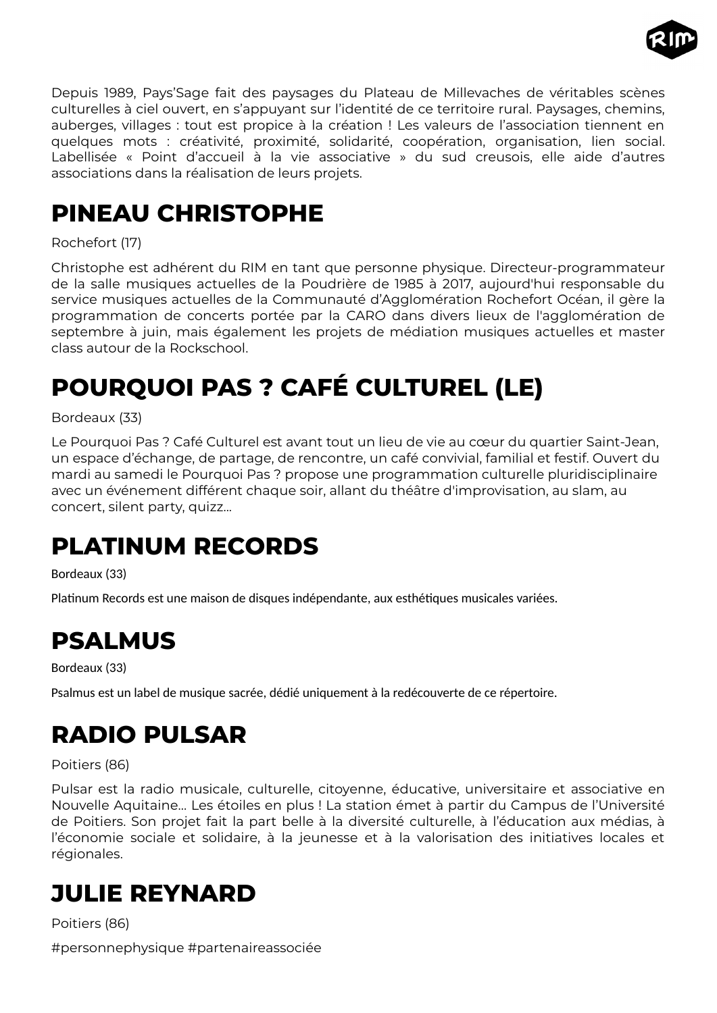

Depuis 1989, Pays'Sage fait des paysages du Plateau de Millevaches de véritables scènes culturelles à ciel ouvert, en s'appuyant sur l'identité de ce territoire rural. Paysages, chemins, auberges, villages : tout est propice à la création ! Les valeurs de l'association tiennent en quelques mots : créativité, proximité, solidarité, coopération, organisation, lien social. Labellisée « Point d'accueil à la vie associative » du sud creusois, elle aide d'autres associations dans la réalisation de leurs projets.

## <span id="page-37-1"></span>**PINEAU CHRISTOPHE**

#### Rochefort (17)

Christophe est adhérent du RIM en tant que personne physique. Directeur-programmateur de la salle musiques actuelles de la Poudrière de 1985 à 2017, aujourd'hui responsable du service musiques actuelles de la Communauté d'Agglomération Rochefort Océan, il gère la programmation de concerts portée par la CARO dans divers lieux de l'agglomération de septembre à juin, mais également les projets de médiation musiques actuelles et master class autour de la Rockschool.

# <span id="page-37-0"></span>**POURQUOI PAS ? CAFÉ CULTUREL (LE)**

#### Bordeaux (33)

Le Pourquoi Pas ? Café Culturel est avant tout un lieu de vie au cœur du quartier Saint-Jean, un espace d'échange, de partage, de rencontre, un café convivial, familial et festif. Ouvert du mardi au samedi le Pourquoi Pas ? propose une programmation culturelle pluridisciplinaire avec un événement différent chaque soir, allant du théâtre d'improvisation, au slam, au concert, silent party, quizz...

### <span id="page-37-5"></span>**PLATINUM RECORDS**

#### Bordeaux (33)

Platinum Records est une maison de disques indépendante, aux esthétiques musicales variées.

# <span id="page-37-4"></span>**PSALMUS**

Bordeaux (33)

Psalmus est un label de musique sacrée, dédié uniquement à la redécouverte de ce répertoire.

# <span id="page-37-3"></span>**RADIO PULSAR**

#### Poitiers (86)

Pulsar est la radio musicale, culturelle, citoyenne, éducative, universitaire et associative en Nouvelle Aquitaine… Les étoiles en plus ! La station émet à partir du Campus de l'Université de Poitiers. Son projet fait la part belle à la diversité culturelle, à l'éducation aux médias, à l'économie sociale et solidaire, à la jeunesse et à la valorisation des initiatives locales et régionales.

# <span id="page-37-2"></span>**JULIE REYNARD**

Poitiers (86)

#personnephysique #partenaireassociée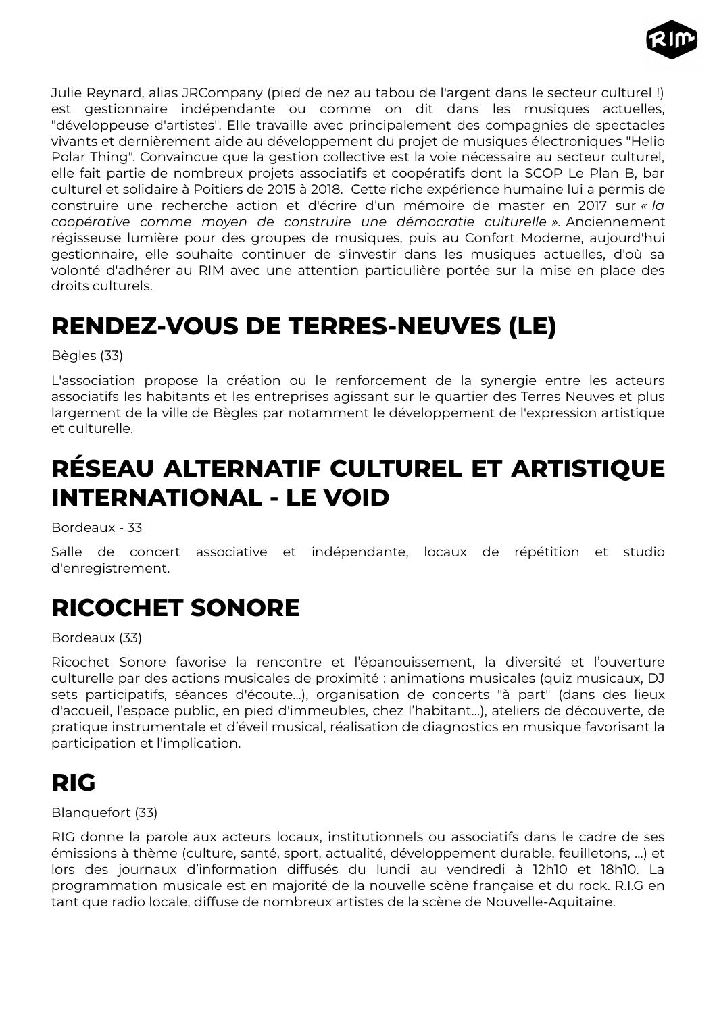

Julie Reynard, alias JRCompany (pied de nez au tabou de l'argent dans le secteur culturel !) est gestionnaire indépendante ou comme on dit dans les musiques actuelles, "développeuse d'artistes". Elle travaille avec principalement des compagnies de spectacles vivants et dernièrement aide au développement du projet de musiques électroniques "Helio Polar Thing". Convaincue que la gestion collective est la voie nécessaire au secteur culturel, elle fait partie de nombreux projets associatifs et coopératifs dont la SCOP Le Plan B, bar culturel et solidaire à Poitiers de 2015 à 2018. Cette riche expérience humaine lui a permis de construire une recherche action et d'écrire d'un mémoire de master en 2017 sur *« la coopérative comme moyen de construire une démocratie culturelle ».* Anciennement régisseuse lumière pour des groupes de musiques, puis au Confort Moderne, aujourd'hui gestionnaire, elle souhaite continuer de s'investir dans les musiques actuelles, d'où sa volonté d'adhérer au RIM avec une attention particulière portée sur la mise en place des droits culturels.

### <span id="page-38-3"></span>**RENDEZ-VOUS DE TERRES-NEUVES (LE)**

Bègles (33)

L'association propose la création ou le renforcement de la synergie entre les acteurs associatifs les habitants et les entreprises agissant sur le quartier des Terres Neuves et plus largement de la ville de Bègles par notamment le développement de l'expression artistique et culturelle.

### <span id="page-38-2"></span>**RÉSEAU ALTERNATIF CULTUREL ET ARTISTIQUE INTERNATIONAL - LE VOID**

Bordeaux - 33

Salle de concert associative et indépendante, locaux de répétition et studio d'enregistrement.

### <span id="page-38-1"></span>**RICOCHET SONORE**

#### Bordeaux (33)

Ricochet Sonore favorise la rencontre et l'épanouissement, la diversité et l'ouverture culturelle par des actions musicales de proximité : animations musicales (quiz musicaux, DJ sets participatifs, séances d'écoute...), organisation de concerts "à part" (dans des lieux d'accueil, l'espace public, en pied d'immeubles, chez l'habitant…), ateliers de découverte, de pratique instrumentale et d'éveil musical, réalisation de diagnostics en musique favorisant la participation et l'implication.

### <span id="page-38-0"></span>**RIG**

Blanquefort (33)

RIG donne la parole aux acteurs locaux, institutionnels ou associatifs dans le cadre de ses émissions à thème (culture, santé, sport, actualité, développement durable, feuilletons, …) et lors des journaux d'information diffusés du lundi au vendredi à 12h10 et 18h10. La programmation musicale est en majorité de la nouvelle scène française et du rock. R.I.G en tant que radio locale, diffuse de nombreux artistes de la scène de Nouvelle-Aquitaine.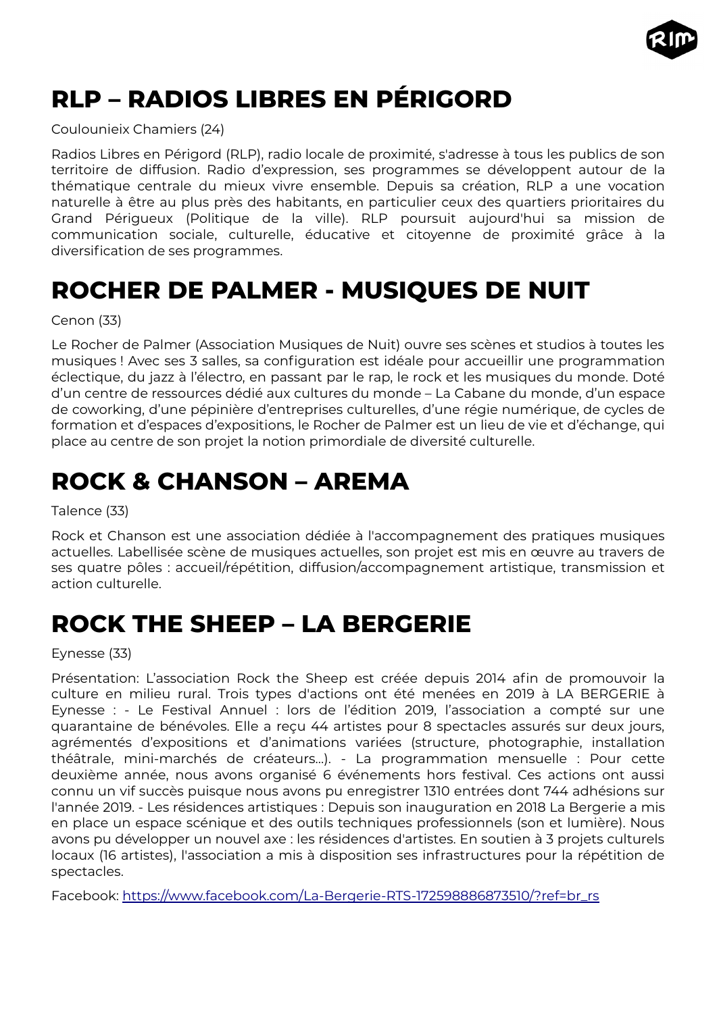

# <span id="page-39-3"></span>**RLP – RADIOS LIBRES EN PÉRIGORD**

Coulounieix Chamiers (24)

Radios Libres en Périgord (RLP), radio locale de proximité, s'adresse à tous les publics de son territoire de diffusion. Radio d'expression, ses programmes se développent autour de la thématique centrale du mieux vivre ensemble. Depuis sa création, RLP a une vocation naturelle à être au plus près des habitants, en particulier ceux des quartiers prioritaires du Grand Périgueux (Politique de la ville). RLP poursuit aujourd'hui sa mission de communication sociale, culturelle, éducative et citoyenne de proximité grâce à la diversification de ses programmes.

## <span id="page-39-2"></span>**ROCHER DE PALMER - MUSIQUES DE NUIT**

Cenon (33)

Le Rocher de Palmer (Association Musiques de Nuit) ouvre ses scènes et studios à toutes les musiques ! Avec ses 3 salles, sa configuration est idéale pour accueillir une programmation éclectique, du jazz à l'électro, en passant par le rap, le rock et les musiques du monde. Doté d'un centre de ressources dédié aux cultures du monde – La Cabane du monde, d'un espace de coworking, d'une pépinière d'entreprises culturelles, d'une régie numérique, de cycles de formation et d'espaces d'expositions, le Rocher de Palmer est un lieu de vie et d'échange, qui place au centre de son projet la notion primordiale de diversité culturelle.

# <span id="page-39-1"></span>**ROCK & CHANSON – AREMA**

Talence (33)

Rock et Chanson est une association dédiée à l'accompagnement des pratiques musiques actuelles. Labellisée scène de musiques actuelles, son projet est mis en œuvre au travers de ses quatre pôles : accueil/répétition, diffusion/accompagnement artistique, transmission et action culturelle.

### <span id="page-39-0"></span>**ROCK THE SHEEP – LA BERGERIE**

Eynesse (33)

Présentation: L'association Rock the Sheep est créée depuis 2014 afin de promouvoir la culture en milieu rural. Trois types d'actions ont été menées en 2019 à LA BERGERIE à Eynesse : - Le Festival Annuel : lors de l'édition 2019, l'association a compté sur une quarantaine de bénévoles. Elle a reçu 44 artistes pour 8 spectacles assurés sur deux jours, agrémentés d'expositions et d'animations variées (structure, photographie, installation théâtrale, mini-marchés de créateurs…). - La programmation mensuelle : Pour cette deuxième année, nous avons organisé 6 événements hors festival. Ces actions ont aussi connu un vif succès puisque nous avons pu enregistrer 1310 entrées dont 744 adhésions sur l'année 2019. - Les résidences artistiques : Depuis son inauguration en 2018 La Bergerie a mis en place un espace scénique et des outils techniques professionnels (son et lumière). Nous avons pu développer un nouvel axe : les résidences d'artistes. En soutien à 3 projets culturels locaux (16 artistes), l'association a mis à disposition ses infrastructures pour la répétition de spectacles.

Facebook: [https://www.facebook.com/La-Bergerie-RTS-172598886873510/?ref=br\\_rs](https://www.facebook.com/La-Bergerie-RTS-172598886873510/?ref=br_rs)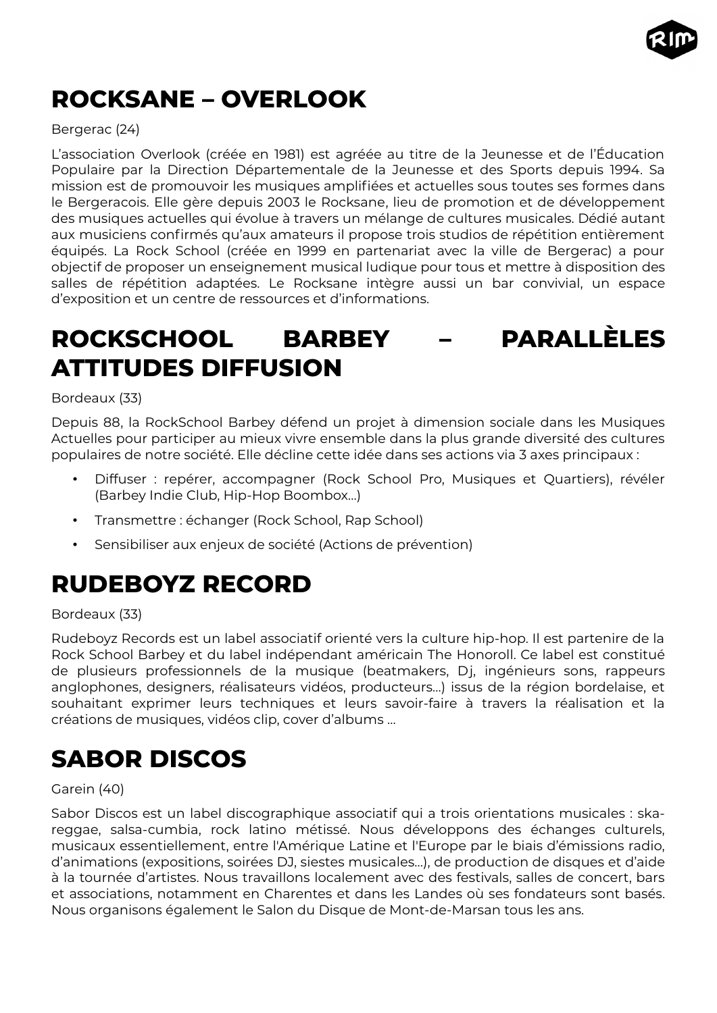

# <span id="page-40-3"></span>**ROCKSANE – OVERLOOK**

#### Bergerac (24)

L'association Overlook (créée en 1981) est agréée au titre de la Jeunesse et de l'Éducation Populaire par la Direction Départementale de la Jeunesse et des Sports depuis 1994. Sa mission est de promouvoir les musiques amplifiées et actuelles sous toutes ses formes dans le Bergeracois. Elle gère depuis 2003 le Rocksane, lieu de promotion et de développement des musiques actuelles qui évolue à travers un mélange de cultures musicales. Dédié autant aux musiciens confirmés qu'aux amateurs il propose trois studios de répétition entièrement équipés. La Rock School (créée en 1999 en partenariat avec la ville de Bergerac) a pour objectif de proposer un enseignement musical ludique pour tous et mettre à disposition des salles de répétition adaptées. Le Rocksane intègre aussi un bar convivial, un espace d'exposition et un centre de ressources et d'informations.

# <span id="page-40-2"></span>**ROCKSCHOOL BARBEY – PARALLÈLES ATTITUDES DIFFUSION**

#### Bordeaux (33)

Depuis 88, la RockSchool Barbey défend un projet à dimension sociale dans les Musiques Actuelles pour participer au mieux vivre ensemble dans la plus grande diversité des cultures populaires de notre société. Elle décline cette idée dans ses actions via 3 axes principaux :

- Diffuser : repérer, accompagner (Rock School Pro, Musiques et Quartiers), révéler (Barbey Indie Club, Hip-Hop Boombox…)
- Transmettre : échanger (Rock School, Rap School)
- Sensibiliser aux enjeux de société (Actions de prévention)

# <span id="page-40-1"></span>**RUDEBOYZ RECORD**

#### Bordeaux (33)

Rudeboyz Records est un label associatif orienté vers la culture hip-hop. Il est partenire de la Rock School Barbey et du label indépendant américain The Honoroll. Ce label est constitué de plusieurs professionnels de la musique (beatmakers, Dj, ingénieurs sons, rappeurs anglophones, designers, réalisateurs vidéos, producteurs…) issus de la région bordelaise, et souhaitant exprimer leurs techniques et leurs savoir-faire à travers la réalisation et la créations de musiques, vidéos clip, cover d'albums …

# <span id="page-40-0"></span>**SABOR DISCOS**

#### Garein (40)

Sabor Discos est un label discographique associatif qui a trois orientations musicales : skareggae, salsa-cumbia, rock latino métissé. Nous développons des échanges culturels, musicaux essentiellement, entre l'Amérique Latine et l'Europe par le biais d'émissions radio, d'animations (expositions, soirées DJ, siestes musicales…), de production de disques et d'aide à la tournée d'artistes. Nous travaillons localement avec des festivals, salles de concert, bars et associations, notamment en Charentes et dans les Landes où ses fondateurs sont basés. Nous organisons également le Salon du Disque de Mont-de-Marsan tous les ans.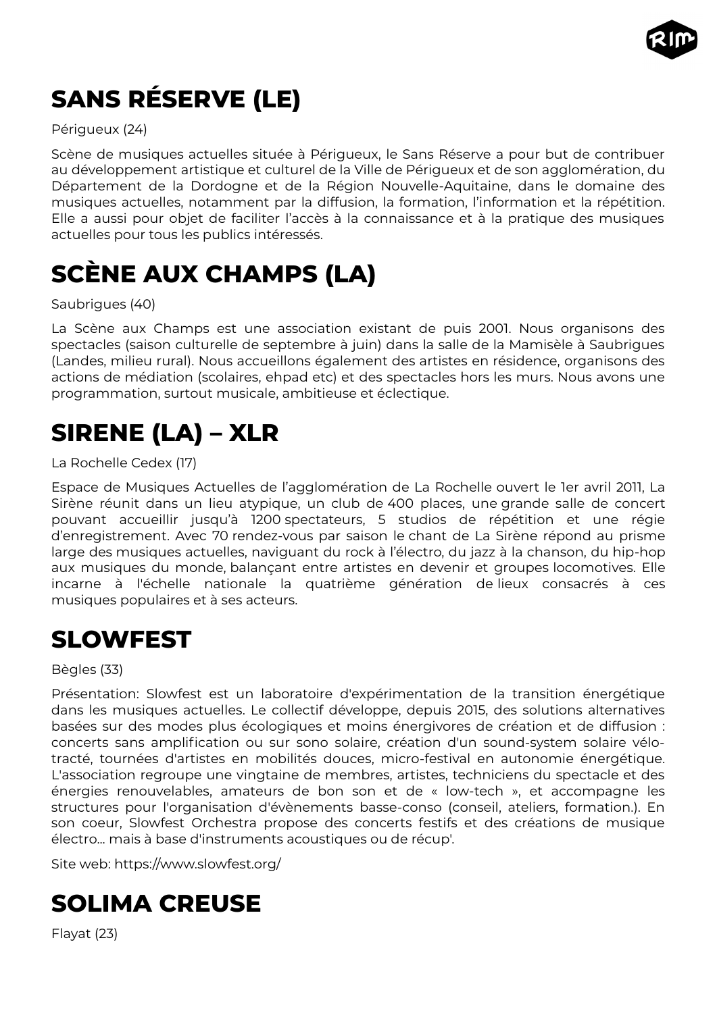

# <span id="page-41-4"></span>**SANS RÉSERVE (LE)**

#### Périgueux (24)

Scène de musiques actuelles située à Périgueux, le Sans Réserve a pour but de contribuer au développement artistique et culturel de la Ville de Périgueux et de son agglomération, du Département de la Dordogne et de la Région Nouvelle-Aquitaine, dans le domaine des musiques actuelles, notamment par la diffusion, la formation, l'information et la répétition. Elle a aussi pour objet de faciliter l'accès à la connaissance et à la pratique des musiques actuelles pour tous les publics intéressés.

# <span id="page-41-3"></span>**SCÈNE AUX CHAMPS (LA)**

#### Saubrigues (40)

La Scène aux Champs est une association existant de puis 2001. Nous organisons des spectacles (saison culturelle de septembre à juin) dans la salle de la Mamisèle à Saubrigues (Landes, milieu rural). Nous accueillons également des artistes en résidence, organisons des actions de médiation (scolaires, ehpad etc) et des spectacles hors les murs. Nous avons une programmation, surtout musicale, ambitieuse et éclectique.

# <span id="page-41-2"></span>**SIRENE (LA) – XLR**

#### La Rochelle Cedex (17)

Espace de Musiques Actuelles de l'agglomération de La Rochelle ouvert le 1er avril 2011, La Sirène réunit dans un lieu atypique, un club de 400 places, une grande salle de concert pouvant accueillir jusqu'à 1200 spectateurs, 5 studios de répétition et une régie d'enregistrement. Avec 70 rendez-vous par saison le chant de La Sirène répond au prisme large des musiques actuelles, naviguant du rock à l'électro, du jazz à la chanson, du hip-hop aux musiques du monde, balançant entre artistes en devenir et groupes locomotives. Elle incarne à l'échelle nationale la quatrième génération de lieux consacrés à ces musiques populaires et à ses acteurs.

### <span id="page-41-1"></span>**SLOWFEST**

#### Bègles (33)

Présentation: Slowfest est un laboratoire d'expérimentation de la transition énergétique dans les musiques actuelles. Le collectif développe, depuis 2015, des solutions alternatives basées sur des modes plus écologiques et moins énergivores de création et de diffusion : concerts sans amplification ou sur sono solaire, création d'un sound-system solaire vélotracté, tournées d'artistes en mobilités douces, micro-festival en autonomie énergétique. L'association regroupe une vingtaine de membres, artistes, techniciens du spectacle et des énergies renouvelables, amateurs de bon son et de « low-tech », et accompagne les structures pour l'organisation d'évènements basse-conso (conseil, ateliers, formation.). En son coeur, Slowfest Orchestra propose des concerts festifs et des créations de musique électro... mais à base d'instruments acoustiques ou de récup'.

Site web: https://www.slowfest.org/

# <span id="page-41-0"></span>**SOLIMA CREUSE**

Flayat (23)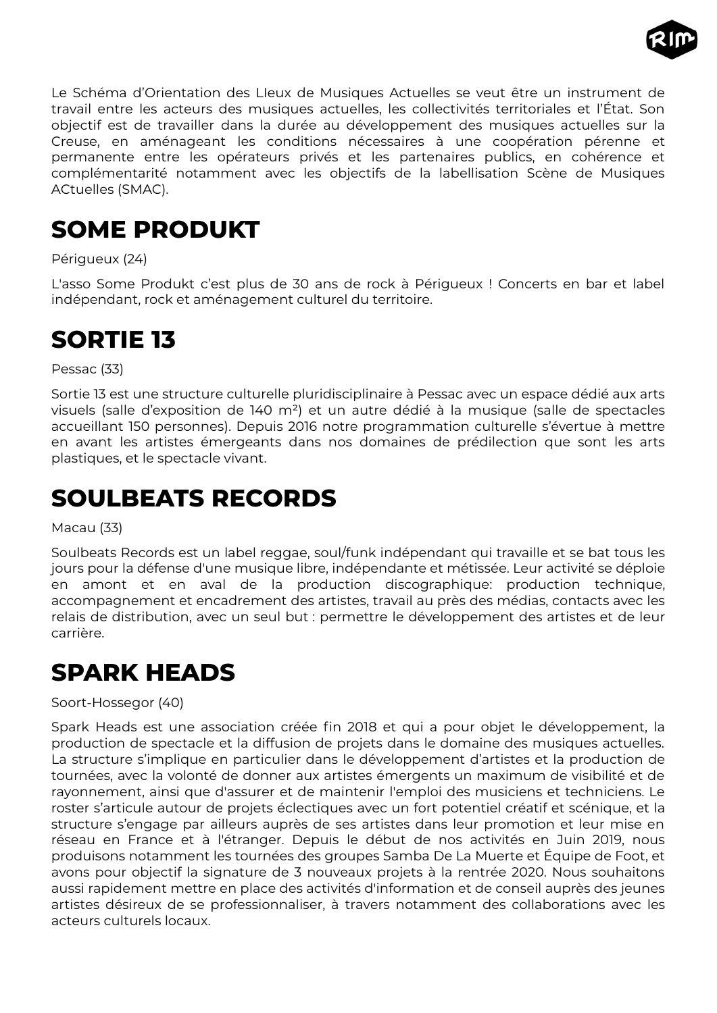

Le Schéma d'Orientation des LIeux de Musiques Actuelles se veut être un instrument de travail entre les acteurs des musiques actuelles, les collectivités territoriales et l'État. Son objectif est de travailler dans la durée au développement des musiques actuelles sur la Creuse, en aménageant les conditions nécessaires à une coopération pérenne et permanente entre les opérateurs privés et les partenaires publics, en cohérence et complémentarité notamment avec les objectifs de la labellisation Scène de Musiques ACtuelles (SMAC).

# <span id="page-42-3"></span>**SOME PRODUKT**

Périgueux (24)

L'asso Some Produkt c'est plus de 30 ans de rock à Périgueux ! Concerts en bar et label indépendant, rock et aménagement culturel du territoire.

### <span id="page-42-2"></span>**SORTIE 13**

Pessac (33)

Sortie 13 est une structure culturelle pluridisciplinaire à Pessac avec un espace dédié aux arts visuels (salle d'exposition de 140 m²) et un autre dédié à la musique (salle de spectacles accueillant 150 personnes). Depuis 2016 notre programmation culturelle s'évertue à mettre en avant les artistes émergeants dans nos domaines de prédilection que sont les arts plastiques, et le spectacle vivant.

## <span id="page-42-1"></span>**SOULBEATS RECORDS**

#### Macau (33)

Soulbeats Records est un label reggae, soul/funk indépendant qui travaille et se bat tous les jours pour la défense d'une musique libre, indépendante et métissée. Leur activité se déploie en amont et en aval de la production discographique: production technique, accompagnement et encadrement des artistes, travail au près des médias, contacts avec les relais de distribution, avec un seul but : permettre le développement des artistes et de leur carrière.

### <span id="page-42-0"></span>**SPARK HEADS**

Soort-Hossegor (40)

Spark Heads est une association créée fin 2018 et qui a pour objet le développement, la production de spectacle et la diffusion de projets dans le domaine des musiques actuelles. La structure s'implique en particulier dans le développement d'artistes et la production de tournées, avec la volonté de donner aux artistes émergents un maximum de visibilité et de rayonnement, ainsi que d'assurer et de maintenir l'emploi des musiciens et techniciens. Le roster s'articule autour de projets éclectiques avec un fort potentiel créatif et scénique, et la structure s'engage par ailleurs auprès de ses artistes dans leur promotion et leur mise en réseau en France et à l'étranger. Depuis le début de nos activités en Juin 2019, nous produisons notamment les tournées des groupes Samba De La Muerte et Équipe de Foot, et avons pour objectif la signature de 3 nouveaux projets à la rentrée 2020. Nous souhaitons aussi rapidement mettre en place des activités d'information et de conseil auprès des jeunes artistes désireux de se professionnaliser, à travers notamment des collaborations avec les acteurs culturels locaux.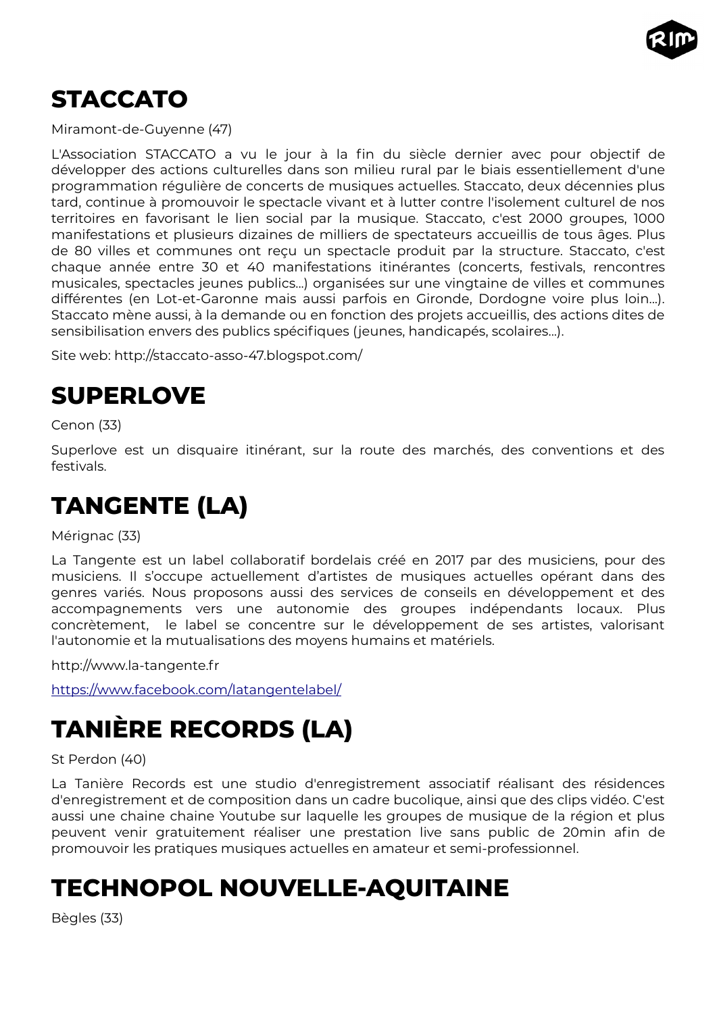

### <span id="page-43-4"></span>**STACCATO**

Miramont-de-Guyenne (47)

L'Association STACCATO a vu le jour à la fin du siècle dernier avec pour objectif de développer des actions culturelles dans son milieu rural par le biais essentiellement d'une programmation régulière de concerts de musiques actuelles. Staccato, deux décennies plus tard, continue à promouvoir le spectacle vivant et à lutter contre l'isolement culturel de nos territoires en favorisant le lien social par la musique. Staccato, c'est 2000 groupes, 1000 manifestations et plusieurs dizaines de milliers de spectateurs accueillis de tous âges. Plus de 80 villes et communes ont reçu un spectacle produit par la structure. Staccato, c'est chaque année entre 30 et 40 manifestations itinérantes (concerts, festivals, rencontres musicales, spectacles jeunes publics...) organisées sur une vingtaine de villes et communes différentes (en Lot-et-Garonne mais aussi parfois en Gironde, Dordogne voire plus loin...). Staccato mène aussi, à la demande ou en fonction des projets accueillis, des actions dites de sensibilisation envers des publics spécifiques (jeunes, handicapés, scolaires...).

Site web: http://staccato-asso-47.blogspot.com/

### <span id="page-43-3"></span>**SUPERLOVE**

Cenon (33)

Superlove est un disquaire itinérant, sur la route des marchés, des conventions et des festivals.

# <span id="page-43-2"></span>**TANGENTE (LA)**

Mérignac (33)

La Tangente est un label collaboratif bordelais créé en 2017 par des musiciens, pour des musiciens. Il s'occupe actuellement d'artistes de musiques actuelles opérant dans des genres variés. Nous proposons aussi des services de conseils en développement et des accompagnements vers une autonomie des groupes indépendants locaux. Plus concrètement, le label se concentre sur le développement de ses artistes, valorisant l'autonomie et la mutualisations des moyens humains et matériels.

http://www.la-tangente.fr

<https://www.facebook.com/latangentelabel/>

# <span id="page-43-1"></span>**TANIÈRE RECORDS (LA)**

#### St Perdon (40)

La Tanière Records est une studio d'enregistrement associatif réalisant des résidences d'enregistrement et de composition dans un cadre bucolique, ainsi que des clips vidéo. C'est aussi une chaine chaine Youtube sur laquelle les groupes de musique de la région et plus peuvent venir gratuitement réaliser une prestation live sans public de 20min afin de promouvoir les pratiques musiques actuelles en amateur et semi-professionnel.

### <span id="page-43-0"></span>**TECHNOPOL NOUVELLE-AQUITAINE**

Bègles (33)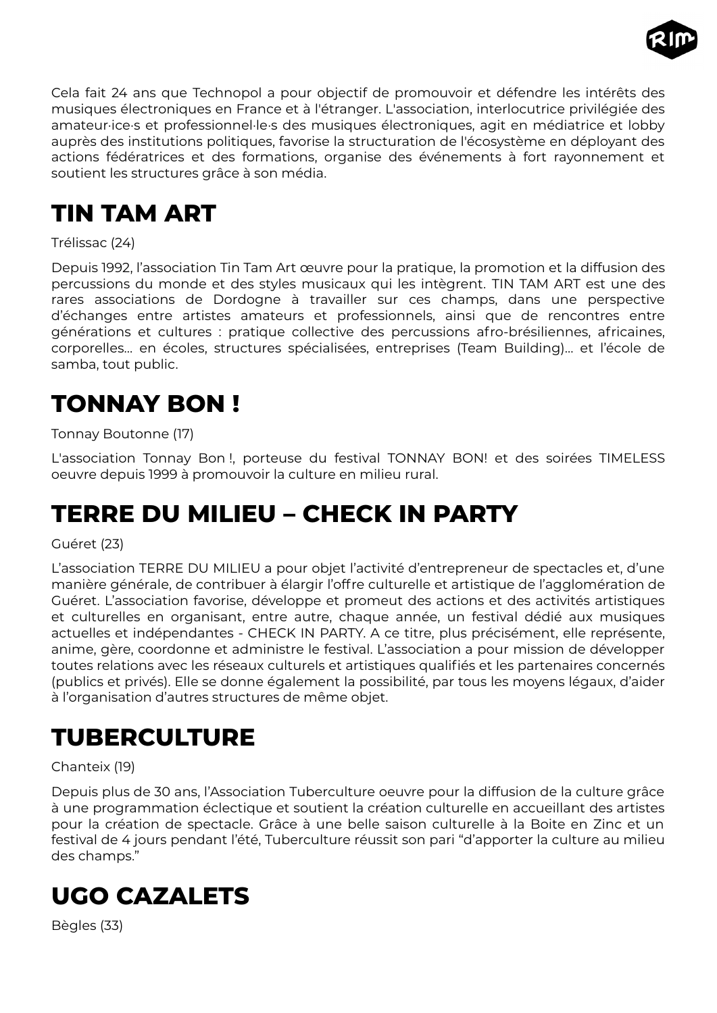

Cela fait 24 ans que Technopol a pour objectif de promouvoir et défendre les intérêts des musiques électroniques en France et à l'étranger. L'association, interlocutrice privilégiée des amateur·ice·s et professionnel·le·s des musiques électroniques, agit en médiatrice et lobby auprès des institutions politiques, favorise la structuration de l'écosystème en déployant des actions fédératrices et des formations, organise des événements à fort rayonnement et soutient les structures grâce à son média.

# <span id="page-44-4"></span>**TIN TAM ART**

#### Trélissac (24)

Depuis 1992, l'association Tin Tam Art œuvre pour la pratique, la promotion et la diffusion des percussions du monde et des styles musicaux qui les intègrent. TIN TAM ART est une des rares associations de Dordogne à travailler sur ces champs, dans une perspective d'échanges entre artistes amateurs et professionnels, ainsi que de rencontres entre générations et cultures : pratique collective des percussions afro-brésiliennes, africaines, corporelles… en écoles, structures spécialisées, entreprises (Team Building)… et l'école de samba, tout public.

# <span id="page-44-3"></span>**TONNAY BON !**

#### Tonnay Boutonne (17)

L'association Tonnay Bon !, porteuse du festival TONNAY BON! et des soirées TIMELESS oeuvre depuis 1999 à promouvoir la culture en milieu rural.

# <span id="page-44-2"></span>**TERRE DU MILIEU – CHECK IN PARTY**

#### Guéret (23)

L'association TERRE DU MILIEU a pour objet l'activité d'entrepreneur de spectacles et, d'une manière générale, de contribuer à élargir l'offre culturelle et artistique de l'agglomération de Guéret. L'association favorise, développe et promeut des actions et des activités artistiques et culturelles en organisant, entre autre, chaque année, un festival dédié aux musiques actuelles et indépendantes - CHECK IN PARTY. A ce titre, plus précisément, elle représente, anime, gère, coordonne et administre le festival. L'association a pour mission de développer toutes relations avec les réseaux culturels et artistiques qualifiés et les partenaires concernés (publics et privés). Elle se donne également la possibilité, par tous les moyens légaux, d'aider à l'organisation d'autres structures de même objet.

### <span id="page-44-1"></span>**TUBERCULTURE**

#### Chanteix (19)

Depuis plus de 30 ans, l'Association Tuberculture oeuvre pour la diffusion de la culture grâce à une programmation éclectique et soutient la création culturelle en accueillant des artistes pour la création de spectacle. Grâce à une belle saison culturelle à la Boite en Zinc et un festival de 4 jours pendant l'été, Tuberculture réussit son pari "d'apporter la culture au milieu des champs."

### <span id="page-44-0"></span>**UGO CAZALETS**

Bègles (33)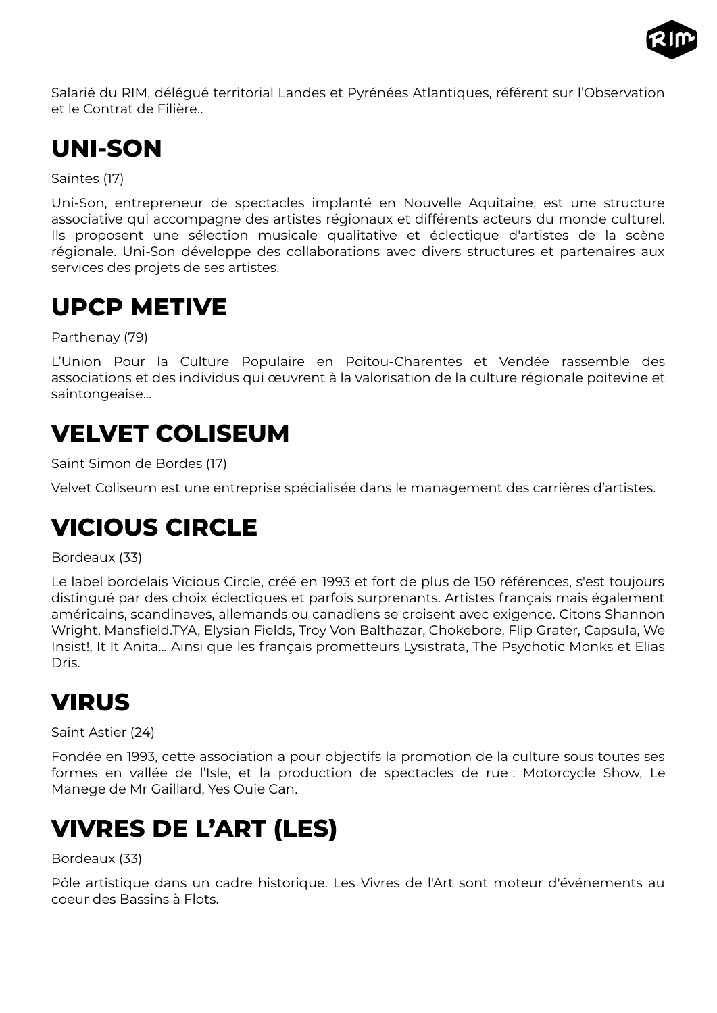

Salarié du RIM, délégué territorial Landes et Pyrénées Atlantiques, référent sur l'Observation et le Contrat de Filière..

# <span id="page-45-5"></span>**UNI-SON**

Saintes (17)

Uni-Son, entrepreneur de spectacles implanté en Nouvelle Aquitaine, est une structure associative qui accompagne des artistes régionaux et différents acteurs du monde culturel. Ils proposent une sélection musicale qualitative et éclectique d'artistes de la scène régionale. Uni-Son développe des collaborations avec divers structures et partenaires aux services des projets de ses artistes.

### <span id="page-45-4"></span>**UPCP METIVE**

Parthenay (79)

L'Union Pour la Culture Populaire en Poitou-Charentes et Vendée rassemble des associations et des individus qui œuvrent à la valorisation de la culture régionale poitevine et saintongeaise…

### <span id="page-45-3"></span>**VELVET COLISEUM**

Saint Simon de Bordes (17)

Velvet Coliseum est une entreprise spécialisée dans le management des carrières d'artistes.

### <span id="page-45-2"></span>**VICIOUS CIRCLE**

Bordeaux (33)

Le label bordelais Vicious Circle, créé en 1993 et fort de plus de 150 références, s'est toujours distingué par des choix éclectiques et parfois surprenants. Artistes français mais également américains, scandinaves, allemands ou canadiens se croisent avec exigence. Citons Shannon Wright, Mansfield.TYA, Elysian Fields, Troy Von Balthazar, Chokebore, Flip Grater, Capsula, We Insist!, It It Anita... Ainsi que les français prometteurs Lysistrata, The Psychotic Monks et Elias Dris.

# <span id="page-45-1"></span>**VIRUS**

Saint Astier (24)

Fondée en 1993, cette association a pour objectifs la promotion de la culture sous toutes ses formes en vallée de l'Isle, et la production de spectacles de rue : Motorcycle Show, Le Manege de Mr Gaillard, Yes Ouie Can.

# <span id="page-45-0"></span>**VIVRES DE L'ART (LES)**

Bordeaux (33)

Pôle artistique dans un cadre historique. Les Vivres de l'Art sont moteur d'événements au coeur des Bassins à Flots.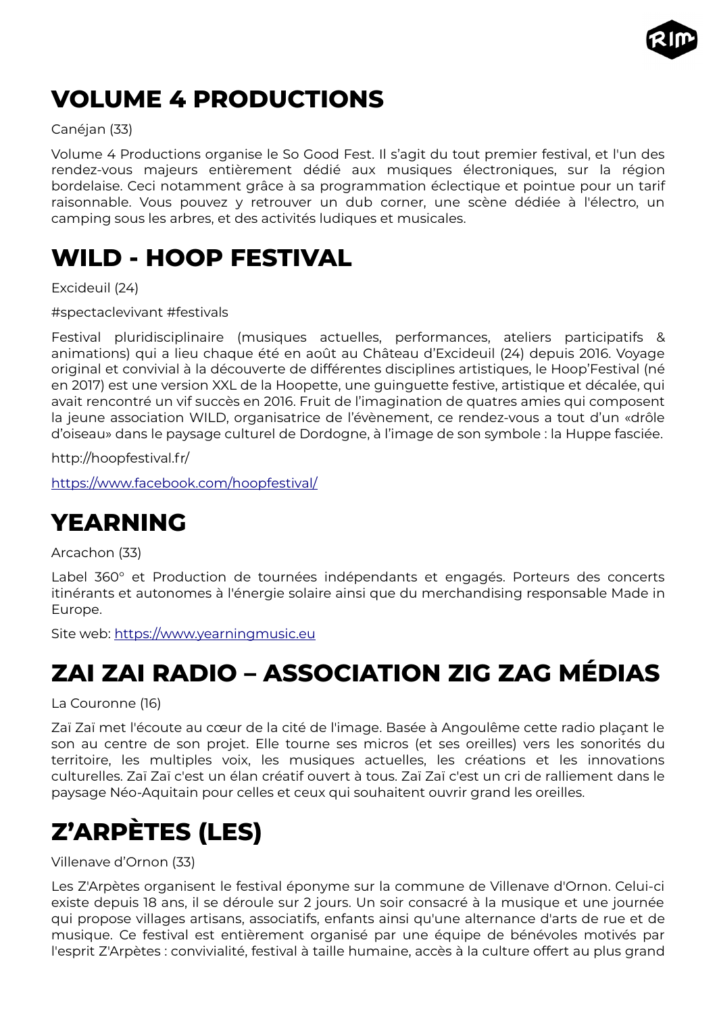

# <span id="page-46-4"></span>**VOLUME 4 PRODUCTIONS**

#### Canéjan (33)

Volume 4 Productions organise le So Good Fest. Il s'agit du tout premier festival, et l'un des rendez-vous majeurs entièrement dédié aux musiques électroniques, sur la région bordelaise. Ceci notamment grâce à sa programmation éclectique et pointue pour un tarif raisonnable. Vous pouvez y retrouver un dub corner, une scène dédiée à l'électro, un camping sous les arbres, et des activités ludiques et musicales.

### <span id="page-46-3"></span>**WILD - HOOP FESTIVAL**

Excideuil (24)

#spectaclevivant #festivals

Festival pluridisciplinaire (musiques actuelles, performances, ateliers participatifs & animations) qui a lieu chaque été en août au Château d'Excideuil (24) depuis 2016. Voyage original et convivial à la découverte de différentes disciplines artistiques, le Hoop'Festival (né en 2017) est une version XXL de la Hoopette, une guinguette festive, artistique et décalée, qui avait rencontré un vif succès en 2016. Fruit de l'imagination de quatres amies qui composent la jeune association WILD, organisatrice de l'évènement, ce rendez-vous a tout d'un «drôle d'oiseau» dans le paysage culturel de Dordogne, à l'image de son symbole : la Huppe fasciée.

http://hoopfestival.fr/

<https://www.facebook.com/hoopfestival/>

# <span id="page-46-2"></span>**YEARNING**

Arcachon (33)

Label 360° et Production de tournées indépendants et engagés. Porteurs des concerts itinérants et autonomes à l'énergie solaire ainsi que du merchandising responsable Made in Europe.

Site web: [https://www.yearningmusic.eu](https://www.yearningmusic.eu/)

# <span id="page-46-1"></span>**ZAI ZAI RADIO – ASSOCIATION ZIG ZAG MÉDIAS**

La Couronne (16)

Zaï Zaï met l'écoute au cœur de la cité de l'image. Basée à Angoulême cette radio plaçant le son au centre de son projet. Elle tourne ses micros (et ses oreilles) vers les sonorités du territoire, les multiples voix, les musiques actuelles, les créations et les innovations culturelles. Zaï Zaï c'est un élan créatif ouvert à tous. Zaï Zaï c'est un cri de ralliement dans le paysage Néo-Aquitain pour celles et ceux qui souhaitent ouvrir grand les oreilles.

# <span id="page-46-0"></span>**Z'ARPÈTES (LES)**

Villenave d'Ornon (33)

Les Z'Arpètes organisent le festival éponyme sur la commune de Villenave d'Ornon. Celui-ci existe depuis 18 ans, il se déroule sur 2 jours. Un soir consacré à la musique et une journée qui propose villages artisans, associatifs, enfants ainsi qu'une alternance d'arts de rue et de musique. Ce festival est entièrement organisé par une équipe de bénévoles motivés par l'esprit Z'Arpètes : convivialité, festival à taille humaine, accès à la culture offert au plus grand